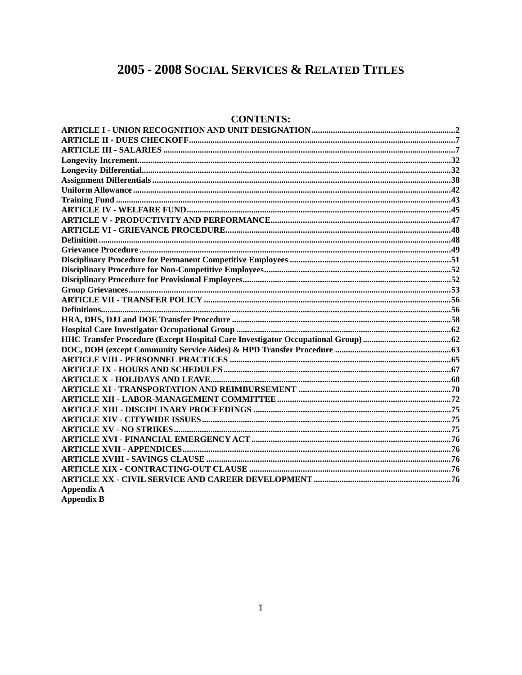# 2005 - 2008 SOCIAL SERVICES & RELATED TITLES

# **CONTENTS:**

| <b>Appendix A</b> |  |
|-------------------|--|
| <b>Appendix B</b> |  |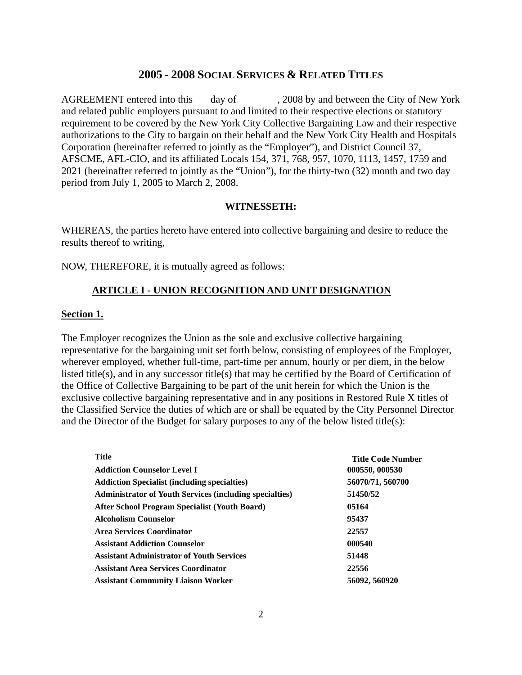### **2005 - 2008 SOCIAL SERVICES & RELATED TITLES**

<span id="page-1-0"></span>AGREEMENT entered into this day of , 2008 by and between the City of New York and related public employers pursuant to and limited to their respective elections or statutory requirement to be covered by the New York City Collective Bargaining Law and their respective authorizations to the City to bargain on their behalf and the New York City Health and Hospitals Corporation (hereinafter referred to jointly as the "Employer"), and District Council 37, AFSCME, AFL-CIO, and its affiliated Locals 154, 371, 768, 957, 1070, 1113, 1457, 1759 and 2021 (hereinafter referred to jointly as the "Union"), for the thirty-two (32) month and two day period from July 1, 2005 to March 2, 2008.

### **WITNESSETH:**

WHEREAS, the parties hereto have entered into collective bargaining and desire to reduce the results thereof to writing,

NOW, THEREFORE, it is mutually agreed as follows:

## **ARTICLE I - UNION RECOGNITION AND UNIT DESIGNATION**

### **Section 1.**

The Employer recognizes the Union as the sole and exclusive collective bargaining representative for the bargaining unit set forth below, consisting of employees of the Employer, wherever employed, whether full-time, part-time per annum, hourly or per diem, in the below listed title(s), and in any successor title(s) that may be certified by the Board of Certification of the Office of Collective Bargaining to be part of the unit herein for which the Union is the exclusive collective bargaining representative and in any positions in Restored Rule X titles of the Classified Service the duties of which are or shall be equated by the City Personnel Director and the Director of the Budget for salary purposes to any of the below listed title(s):

| <b>Title</b>                                                   | <b>Title Code Number</b> |
|----------------------------------------------------------------|--------------------------|
| <b>Addiction Counselor Level I</b>                             | 000550, 000530           |
| <b>Addiction Specialist (including specialties)</b>            | 56070/71, 560700         |
| <b>Administrator of Youth Services (including specialties)</b> | 51450/52                 |
| After School Program Specialist (Youth Board)                  | 05164                    |
| <b>Alcoholism Counselor</b>                                    | 95437                    |
| Area Services Coordinator                                      | 22557                    |
| <b>Assistant Addiction Counselor</b>                           | 000540                   |
| <b>Assistant Administrator of Youth Services</b>               | 51448                    |
| <b>Assistant Area Services Coordinator</b>                     | 22556                    |
| <b>Assistant Community Liaison Worker</b>                      | 56092, 560920            |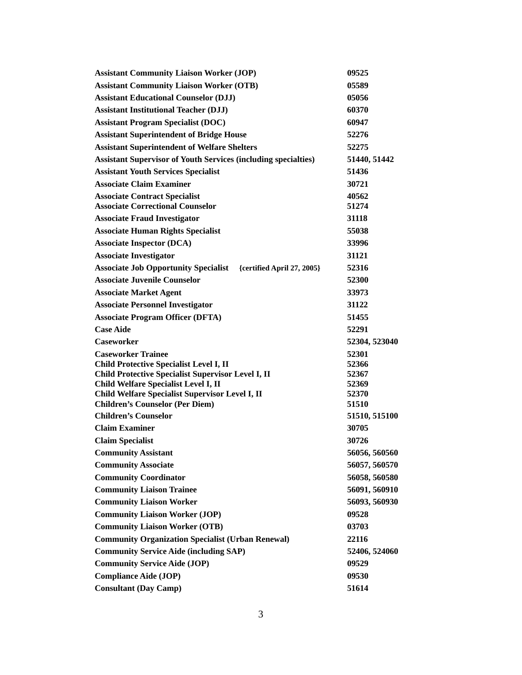| <b>Assistant Community Liaison Worker (JOP)</b>                                            | 09525          |
|--------------------------------------------------------------------------------------------|----------------|
| <b>Assistant Community Liaison Worker (OTB)</b>                                            | 05589          |
| <b>Assistant Educational Counselor (DJJ)</b>                                               | 05056          |
| <b>Assistant Institutional Teacher (DJJ)</b>                                               | 60370          |
| <b>Assistant Program Specialist (DOC)</b>                                                  | 60947          |
| <b>Assistant Superintendent of Bridge House</b>                                            | 52276          |
| <b>Assistant Superintendent of Welfare Shelters</b>                                        | 52275          |
| <b>Assistant Supervisor of Youth Services (including specialties)</b>                      | 51440, 51442   |
| <b>Assistant Youth Services Specialist</b>                                                 | 51436          |
| <b>Associate Claim Examiner</b>                                                            | 30721          |
| <b>Associate Contract Specialist</b>                                                       | 40562          |
| <b>Associate Correctional Counselor</b>                                                    | 51274          |
| <b>Associate Fraud Investigator</b>                                                        | 31118          |
| <b>Associate Human Rights Specialist</b>                                                   | 55038          |
| <b>Associate Inspector (DCA)</b>                                                           | 33996          |
| <b>Associate Investigator</b>                                                              | 31121          |
| <b>Associate Job Opportunity Specialist</b> {certified April 27, 2005}                     | 52316          |
| <b>Associate Juvenile Counselor</b>                                                        | 52300          |
| <b>Associate Market Agent</b>                                                              | 33973          |
| <b>Associate Personnel Investigator</b>                                                    | 31122          |
| <b>Associate Program Officer (DFTA)</b>                                                    | 51455          |
| <b>Case Aide</b>                                                                           | 52291          |
| <b>Caseworker</b>                                                                          | 52304, 523040  |
| <b>Caseworker Trainee</b>                                                                  | 52301          |
| Child Protective Specialist Level I, II                                                    | 52366          |
| Child Protective Specialist Supervisor Level I, II<br>Child Welfare Specialist Level I, II | 52367<br>52369 |
| Child Welfare Specialist Supervisor Level I, II                                            | 52370          |
| <b>Children's Counselor (Per Diem)</b>                                                     | 51510          |
| <b>Children's Counselor</b>                                                                | 51510, 515100  |
| <b>Claim Examiner</b>                                                                      | 30705          |
| <b>Claim Specialist</b>                                                                    | 30726          |
| <b>Community Assistant</b>                                                                 | 56056, 560560  |
| <b>Community Associate</b>                                                                 | 56057, 560570  |
| <b>Community Coordinator</b>                                                               | 56058, 560580  |
| <b>Community Liaison Trainee</b>                                                           | 56091, 560910  |
| <b>Community Liaison Worker</b>                                                            | 56093, 560930  |
| <b>Community Liaison Worker (JOP)</b>                                                      | 09528          |
| <b>Community Liaison Worker (OTB)</b>                                                      | 03703          |
| <b>Community Organization Specialist (Urban Renewal)</b>                                   | 22116          |
| <b>Community Service Aide (including SAP)</b>                                              | 52406, 524060  |
| <b>Community Service Aide (JOP)</b>                                                        | 09529          |
| <b>Compliance Aide (JOP)</b>                                                               | 09530          |
| <b>Consultant (Day Camp)</b>                                                               | 51614          |
|                                                                                            |                |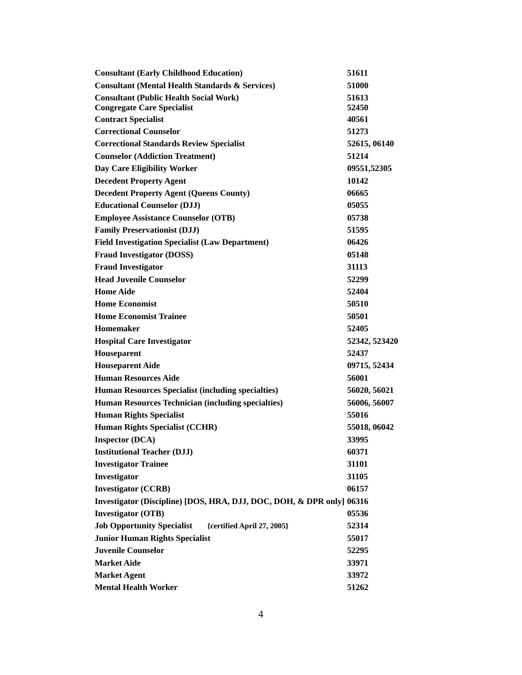| <b>Consultant (Early Childhood Education)</b>                         | 51611         |
|-----------------------------------------------------------------------|---------------|
| <b>Consultant (Mental Health Standards &amp; Services)</b>            | 51000         |
| <b>Consultant (Public Health Social Work)</b>                         | 51613         |
| <b>Congregate Care Specialist</b>                                     | 52450         |
| <b>Contract Specialist</b>                                            | 40561         |
| <b>Correctional Counselor</b>                                         | 51273         |
| <b>Correctional Standards Review Specialist</b>                       | 52615, 06140  |
| <b>Counselor (Addiction Treatment)</b>                                | 51214         |
| Day Care Eligibility Worker                                           | 09551,52305   |
| <b>Decedent Property Agent</b>                                        | 10142         |
| <b>Decedent Property Agent (Queens County)</b>                        | 06665         |
| <b>Educational Counselor (DJJ)</b>                                    | 05055         |
| <b>Employee Assistance Counselor (OTB)</b>                            | 05738         |
| <b>Family Preservationist (DJJ)</b>                                   | 51595         |
| <b>Field Investigation Specialist (Law Department)</b>                | 06426         |
| <b>Fraud Investigator (DOSS)</b>                                      | 05148         |
| <b>Fraud Investigator</b>                                             | 31113         |
| <b>Head Juvenile Counselor</b>                                        | 52299         |
| <b>Home Aide</b>                                                      | 52404         |
| <b>Home Economist</b>                                                 | 50510         |
| <b>Home Economist Trainee</b>                                         | 50501         |
| <b>Homemaker</b>                                                      | 52405         |
| <b>Hospital Care Investigator</b>                                     | 52342, 523420 |
| Houseparent                                                           | 52437         |
| <b>Houseparent Aide</b>                                               | 09715, 52434  |
| <b>Human Resources Aide</b>                                           | 56001         |
| Human Resources Specialist (including specialties)                    | 56020, 56021  |
| Human Resources Technician (including specialties)                    | 56006, 56007  |
| <b>Human Rights Specialist</b>                                        | 55016         |
| <b>Human Rights Specialist (CCHR)</b>                                 | 55018, 06042  |
| <b>Inspector (DCA)</b>                                                | 33995         |
| <b>Institutional Teacher (DJJ)</b>                                    | 60371         |
| <b>Investigator Trainee</b>                                           | 31101         |
| Investigator                                                          | 31105         |
| <b>Investigator (CCRB)</b>                                            | 06157         |
| Investigator (Discipline) [DOS, HRA, DJJ, DOC, DOH, & DPR only] 06316 |               |
| <b>Investigator (OTB)</b>                                             | 05536         |
| <b>Job Opportunity Specialist</b><br>{certified April 27, 2005}       | 52314         |
| <b>Junior Human Rights Specialist</b>                                 | 55017         |
| <b>Juvenile Counselor</b>                                             | 52295         |
| <b>Market Aide</b>                                                    | 33971         |
| <b>Market Agent</b>                                                   | 33972         |
| <b>Mental Health Worker</b>                                           | 51262         |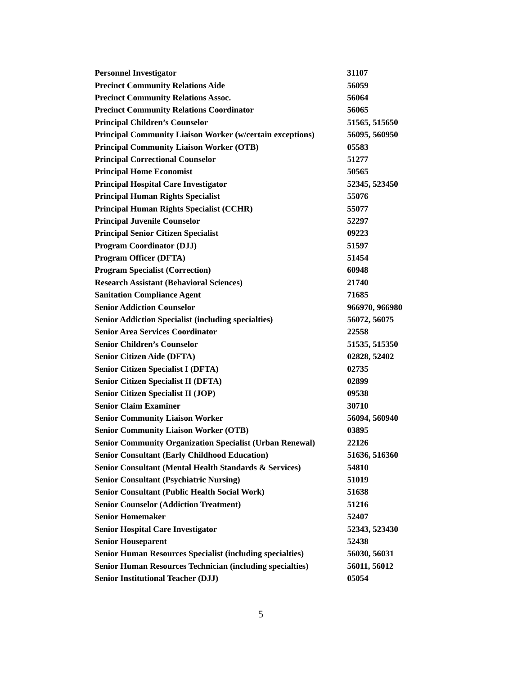| <b>Personnel Investigator</b>                                    | 31107          |
|------------------------------------------------------------------|----------------|
| <b>Precinct Community Relations Aide</b>                         | 56059          |
| <b>Precinct Community Relations Assoc.</b>                       | 56064          |
| <b>Precinct Community Relations Coordinator</b>                  | 56065          |
| <b>Principal Children's Counselor</b>                            | 51565, 515650  |
| <b>Principal Community Liaison Worker (w/certain exceptions)</b> | 56095, 560950  |
| <b>Principal Community Liaison Worker (OTB)</b>                  | 05583          |
| <b>Principal Correctional Counselor</b>                          | 51277          |
| <b>Principal Home Economist</b>                                  | 50565          |
| <b>Principal Hospital Care Investigator</b>                      | 52345, 523450  |
| <b>Principal Human Rights Specialist</b>                         | 55076          |
| <b>Principal Human Rights Specialist (CCHR)</b>                  | 55077          |
| <b>Principal Juvenile Counselor</b>                              | 52297          |
| <b>Principal Senior Citizen Specialist</b>                       | 09223          |
| <b>Program Coordinator (DJJ)</b>                                 | 51597          |
| <b>Program Officer (DFTA)</b>                                    | 51454          |
| <b>Program Specialist (Correction)</b>                           | 60948          |
| <b>Research Assistant (Behavioral Sciences)</b>                  | 21740          |
| <b>Sanitation Compliance Agent</b>                               | 71685          |
| <b>Senior Addiction Counselor</b>                                | 966970, 966980 |
| <b>Senior Addiction Specialist (including specialties)</b>       | 56072, 56075   |
| <b>Senior Area Services Coordinator</b>                          | 22558          |
| <b>Senior Children's Counselor</b>                               | 51535, 515350  |
| <b>Senior Citizen Aide (DFTA)</b>                                | 02828, 52402   |
| <b>Senior Citizen Specialist I (DFTA)</b>                        | 02735          |
| <b>Senior Citizen Specialist II (DFTA)</b>                       | 02899          |
| <b>Senior Citizen Specialist II (JOP)</b>                        | 09538          |
| <b>Senior Claim Examiner</b>                                     | 30710          |
| <b>Senior Community Liaison Worker</b>                           | 56094, 560940  |
| <b>Senior Community Liaison Worker (OTB)</b>                     | 03895          |
| <b>Senior Community Organization Specialist (Urban Renewal)</b>  | 22126          |
| <b>Senior Consultant (Early Childhood Education)</b>             | 51636, 516360  |
| Senior Consultant (Mental Health Standards & Services)           | 54810          |
| <b>Senior Consultant (Psychiatric Nursing)</b>                   | 51019          |
| <b>Senior Consultant (Public Health Social Work)</b>             | 51638          |
| <b>Senior Counselor (Addiction Treatment)</b>                    | 51216          |
| <b>Senior Homemaker</b>                                          | 52407          |
| <b>Senior Hospital Care Investigator</b>                         | 52343, 523430  |
| <b>Senior Houseparent</b>                                        | 52438          |
| <b>Senior Human Resources Specialist (including specialties)</b> | 56030, 56031   |
| <b>Senior Human Resources Technician (including specialties)</b> | 56011, 56012   |
| <b>Senior Institutional Teacher (DJJ)</b>                        | 05054          |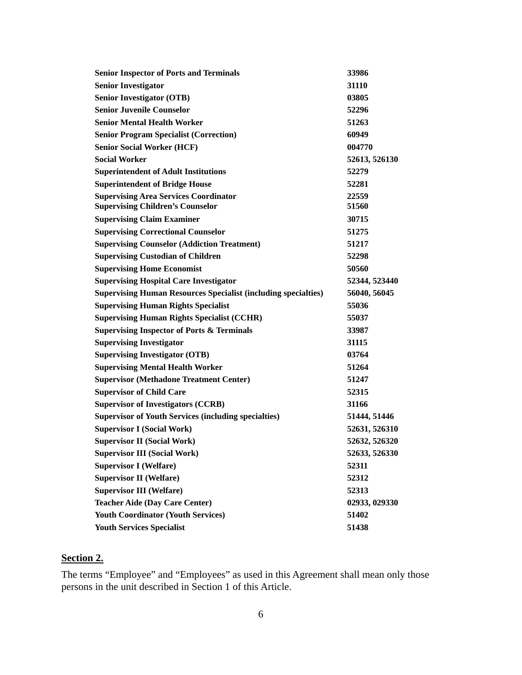| <b>Senior Inspector of Ports and Terminals</b>                        | 33986         |
|-----------------------------------------------------------------------|---------------|
| <b>Senior Investigator</b>                                            | 31110         |
| <b>Senior Investigator (OTB)</b>                                      | 03805         |
| <b>Senior Juvenile Counselor</b>                                      | 52296         |
| <b>Senior Mental Health Worker</b>                                    | 51263         |
| <b>Senior Program Specialist (Correction)</b>                         | 60949         |
| <b>Senior Social Worker (HCF)</b>                                     | 004770        |
| <b>Social Worker</b>                                                  | 52613, 526130 |
| <b>Superintendent of Adult Institutions</b>                           | 52279         |
| <b>Superintendent of Bridge House</b>                                 | 52281         |
| <b>Supervising Area Services Coordinator</b>                          | 22559         |
| <b>Supervising Children's Counselor</b>                               | 51560         |
| <b>Supervising Claim Examiner</b>                                     | 30715         |
| <b>Supervising Correctional Counselor</b>                             | 51275         |
| <b>Supervising Counselor (Addiction Treatment)</b>                    | 51217         |
| <b>Supervising Custodian of Children</b>                              | 52298         |
| <b>Supervising Home Economist</b>                                     | 50560         |
| <b>Supervising Hospital Care Investigator</b>                         | 52344, 523440 |
| <b>Supervising Human Resources Specialist (including specialties)</b> | 56040, 56045  |
| <b>Supervising Human Rights Specialist</b>                            | 55036         |
| <b>Supervising Human Rights Specialist (CCHR)</b>                     | 55037         |
| <b>Supervising Inspector of Ports &amp; Terminals</b>                 | 33987         |
| <b>Supervising Investigator</b>                                       | 31115         |
| <b>Supervising Investigator (OTB)</b>                                 | 03764         |
| <b>Supervising Mental Health Worker</b>                               | 51264         |
| <b>Supervisor (Methadone Treatment Center)</b>                        | 51247         |
| <b>Supervisor of Child Care</b>                                       | 52315         |
| <b>Supervisor of Investigators (CCRB)</b>                             | 31166         |
| <b>Supervisor of Youth Services (including specialties)</b>           | 51444, 51446  |
| <b>Supervisor I (Social Work)</b>                                     | 52631, 526310 |
| <b>Supervisor II (Social Work)</b>                                    | 52632, 526320 |
| <b>Supervisor III (Social Work)</b>                                   | 52633, 526330 |
| <b>Supervisor I (Welfare)</b>                                         |               |
|                                                                       | 52311         |
| <b>Supervisor II (Welfare)</b>                                        | 52312         |
| <b>Supervisor III (Welfare)</b>                                       | 52313         |
| <b>Teacher Aide (Day Care Center)</b>                                 | 02933, 029330 |
| <b>Youth Coordinator (Youth Services)</b>                             | 51402         |

## **Section 2.**

The terms "Employee" and "Employees" as used in this Agreement shall mean only those persons in the unit described in Section 1 of this Article.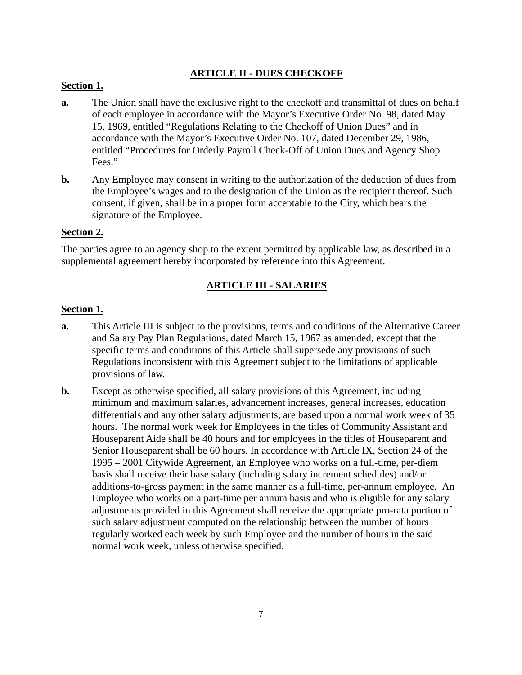# **ARTICLE II - DUES CHECKOFF**

### <span id="page-6-0"></span>**Section 1.**

- **a.** The Union shall have the exclusive right to the checkoff and transmittal of dues on behalf of each employee in accordance with the Mayor's Executive Order No. 98, dated May 15, 1969, entitled "Regulations Relating to the Checkoff of Union Dues" and in accordance with the Mayor's Executive Order No. 107, dated December 29, 1986, entitled "Procedures for Orderly Payroll Check-Off of Union Dues and Agency Shop Fees."
- **b.** Any Employee may consent in writing to the authorization of the deduction of dues from the Employee's wages and to the designation of the Union as the recipient thereof. Such consent, if given, shall be in a proper form acceptable to the City, which bears the signature of the Employee.

### **Section 2.**

The parties agree to an agency shop to the extent permitted by applicable law, as described in a supplemental agreement hereby incorporated by reference into this Agreement.

## **ARTICLE III - SALARIES**

## **Section 1.**

- **a.** This Article III is subject to the provisions, terms and conditions of the Alternative Career and Salary Pay Plan Regulations, dated March 15, 1967 as amended, except that the specific terms and conditions of this Article shall supersede any provisions of such Regulations inconsistent with this Agreement subject to the limitations of applicable provisions of law.
- **b.** Except as otherwise specified, all salary provisions of this Agreement, including minimum and maximum salaries, advancement increases, general increases, education differentials and any other salary adjustments, are based upon a normal work week of 35 hours. The normal work week for Employees in the titles of Community Assistant and Houseparent Aide shall be 40 hours and for employees in the titles of Houseparent and Senior Houseparent shall be 60 hours. In accordance with Article IX, Section 24 of the 1995 – 2001 Citywide Agreement, an Employee who works on a full-time, per-diem basis shall receive their base salary (including salary increment schedules) and/or additions-to-gross payment in the same manner as a full-time, per-annum employee. An Employee who works on a part-time per annum basis and who is eligible for any salary adjustments provided in this Agreement shall receive the appropriate pro-rata portion of such salary adjustment computed on the relationship between the number of hours regularly worked each week by such Employee and the number of hours in the said normal work week, unless otherwise specified.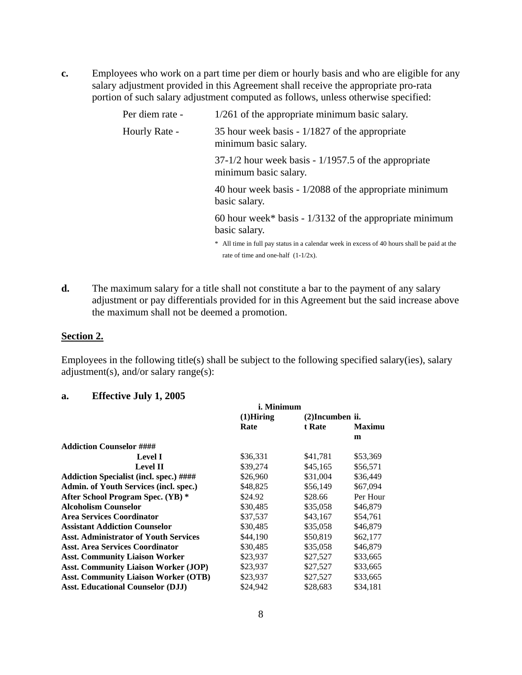**c.** Employees who work on a part time per diem or hourly basis and who are eligible for any salary adjustment provided in this Agreement shall receive the appropriate pro-rata portion of such salary adjustment computed as follows, unless otherwise specified:

| Per diem rate -      | $1/261$ of the appropriate minimum basic salary.                                                                                      |
|----------------------|---------------------------------------------------------------------------------------------------------------------------------------|
| <b>Hourly Rate -</b> | 35 hour week basis - 1/1827 of the appropriate<br>minimum basic salary.                                                               |
|                      | $37-1/2$ hour week basis - $1/1957.5$ of the appropriate<br>minimum basic salary.                                                     |
|                      | 40 hour week basis $-1/2088$ of the appropriate minimum<br>basic salary.                                                              |
|                      | 60 hour week* basis $-1/3132$ of the appropriate minimum<br>basic salary.                                                             |
|                      | * All time in full pay status in a calendar week in excess of 40 hours shall be paid at the<br>rate of time and one-half $(1-1/2x)$ . |

**d.** The maximum salary for a title shall not constitute a bar to the payment of any salary adjustment or pay differentials provided for in this Agreement but the said increase above the maximum shall not be deemed a promotion.

### **Section 2.**

Employees in the following title(s) shall be subject to the following specified salary(ies), salary adjustment(s), and/or salary range(s):

### **a. Effective July 1, 2005**

|                                                | <i>i.</i> Minimum |                    |               |
|------------------------------------------------|-------------------|--------------------|---------------|
|                                                | $(1)$ Hiring      | $(2)$ Incumben ii. |               |
|                                                | Rate              | t Rate             | <b>Maximu</b> |
|                                                |                   |                    | m             |
| <b>Addiction Counselor ####</b>                |                   |                    |               |
| <b>Level I</b>                                 | \$36,331          | \$41,781           | \$53,369      |
| <b>Level II</b>                                | \$39,274          | \$45,165           | \$56,571      |
| <b>Addiction Specialist (incl. spec.) ####</b> | \$26,960          | \$31,004           | \$36,449      |
| Admin. of Youth Services (incl. spec.)         | \$48,825          | \$56,149           | \$67,094      |
| After School Program Spec. (YB) *              | \$24.92           | \$28.66            | Per Hour      |
| <b>Alcoholism Counselor</b>                    | \$30,485          | \$35,058           | \$46,879      |
| <b>Area Services Coordinator</b>               | \$37,537          | \$43,167           | \$54,761      |
| <b>Assistant Addiction Counselor</b>           | \$30,485          | \$35,058           | \$46,879      |
| <b>Asst. Administrator of Youth Services</b>   | \$44,190          | \$50,819           | \$62,177      |
| <b>Asst. Area Services Coordinator</b>         | \$30,485          | \$35,058           | \$46,879      |
| <b>Asst. Community Liaison Worker</b>          | \$23,937          | \$27,527           | \$33,665      |
| <b>Asst. Community Liaison Worker (JOP)</b>    | \$23,937          | \$27,527           | \$33,665      |
| <b>Asst. Community Liaison Worker (OTB)</b>    | \$23,937          | \$27,527           | \$33,665      |
| <b>Asst. Educational Counselor (DJJ)</b>       | \$24,942          | \$28,683           | \$34,181      |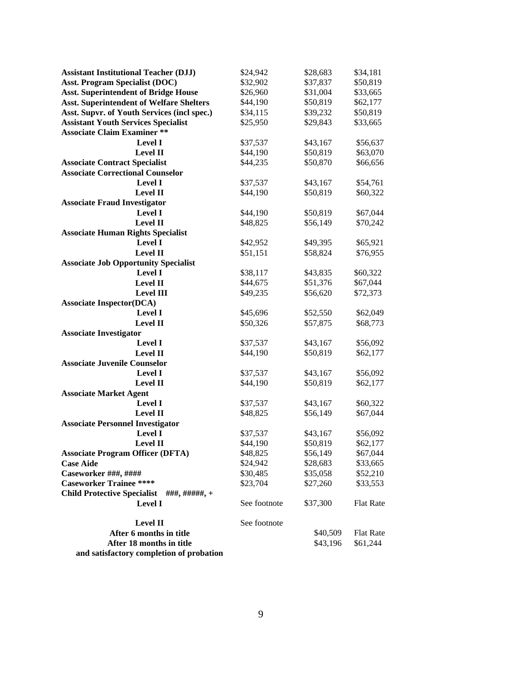| <b>Assistant Institutional Teacher (DJJ)</b>        | \$24,942     | \$28,683 | \$34,181         |
|-----------------------------------------------------|--------------|----------|------------------|
| <b>Asst. Program Specialist (DOC)</b>               | \$32,902     | \$37,837 | \$50,819         |
| <b>Asst. Superintendent of Bridge House</b>         | \$26,960     | \$31,004 | \$33,665         |
| <b>Asst. Superintendent of Welfare Shelters</b>     | \$44,190     | \$50,819 | \$62,177         |
| Asst. Supvr. of Youth Services (incl spec.)         | \$34,115     | \$39,232 | \$50,819         |
| <b>Assistant Youth Services Specialist</b>          | \$25,950     | \$29,843 | \$33,665         |
| <b>Associate Claim Examiner **</b>                  |              |          |                  |
| <b>Level I</b>                                      | \$37,537     | \$43,167 | \$56,637         |
| <b>Level II</b>                                     | \$44,190     | \$50,819 | \$63,070         |
| <b>Associate Contract Specialist</b>                | \$44,235     | \$50,870 | \$66,656         |
| <b>Associate Correctional Counselor</b>             |              |          |                  |
| <b>Level I</b>                                      | \$37,537     | \$43,167 | \$54,761         |
| <b>Level II</b>                                     | \$44,190     | \$50,819 | \$60,322         |
| <b>Associate Fraud Investigator</b>                 |              |          |                  |
| <b>Level I</b>                                      | \$44,190     | \$50,819 | \$67,044         |
| <b>Level II</b>                                     | \$48,825     | \$56,149 | \$70,242         |
| <b>Associate Human Rights Specialist</b>            |              |          |                  |
| <b>Level I</b>                                      | \$42,952     | \$49,395 | \$65,921         |
| <b>Level II</b>                                     | \$51,151     | \$58,824 | \$76,955         |
| <b>Associate Job Opportunity Specialist</b>         |              |          |                  |
| <b>Level I</b>                                      | \$38,117     | \$43,835 | \$60,322         |
| <b>Level II</b>                                     | \$44,675     | \$51,376 | \$67,044         |
| <b>Level III</b>                                    | \$49,235     | \$56,620 | \$72,373         |
| <b>Associate Inspector(DCA)</b>                     |              |          |                  |
| <b>Level I</b>                                      | \$45,696     | \$52,550 | \$62,049         |
| <b>Level II</b>                                     | \$50,326     | \$57,875 | \$68,773         |
| <b>Associate Investigator</b>                       |              |          |                  |
| <b>Level I</b>                                      | \$37,537     | \$43,167 | \$56,092         |
| <b>Level II</b>                                     | \$44,190     | \$50,819 | \$62,177         |
| <b>Associate Juvenile Counselor</b>                 |              |          |                  |
| <b>Level I</b>                                      | \$37,537     | \$43,167 | \$56,092         |
| <b>Level II</b>                                     | \$44,190     | \$50,819 | \$62,177         |
| <b>Associate Market Agent</b>                       |              |          |                  |
| <b>Level I</b>                                      | \$37,537     | \$43,167 | \$60,322         |
| <b>Level II</b>                                     | \$48,825     | \$56,149 | \$67,044         |
| <b>Associate Personnel Investigator</b>             |              |          |                  |
| <b>Level I</b>                                      | \$37,537     | \$43,167 | \$56,092         |
| <b>Level II</b>                                     | \$44,190     | \$50,819 | \$62,177         |
| <b>Associate Program Officer (DFTA)</b>             | \$48,825     | \$56,149 | \$67,044         |
| <b>Case Aide</b>                                    | \$24,942     | \$28,683 | \$33,665         |
| Caseworker ###, ####                                | \$30,485     | \$35,058 | \$52,210         |
| <b>Caseworker Trainee ****</b>                      | \$23,704     | \$27,260 | \$33,553         |
| <b>Child Protective Specialist</b><br>###, #####, + |              |          |                  |
| <b>Level I</b>                                      | See footnote | \$37,300 | <b>Flat Rate</b> |
|                                                     |              |          |                  |
| <b>Level II</b>                                     | See footnote |          |                  |
| After 6 months in title                             |              | \$40,509 | <b>Flat Rate</b> |
| After 18 months in title                            |              | \$43,196 | \$61,244         |
| and satisfactory completion of probation            |              |          |                  |
|                                                     |              |          |                  |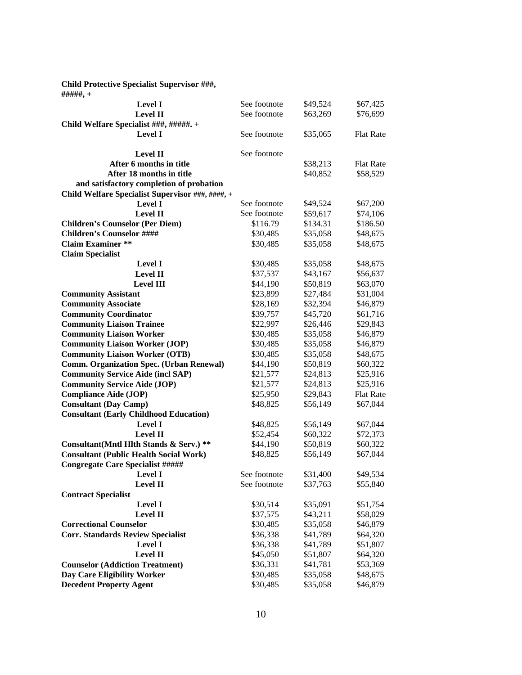| #####,+                                          |              |          |                  |
|--------------------------------------------------|--------------|----------|------------------|
| <b>Level I</b>                                   | See footnote | \$49,524 | \$67,425         |
| <b>Level II</b>                                  | See footnote | \$63,269 | \$76,699         |
| Child Welfare Specialist ###, #####. +           |              |          |                  |
| <b>Level I</b>                                   | See footnote | \$35,065 | <b>Flat Rate</b> |
|                                                  | See footnote |          |                  |
| <b>Level II</b>                                  |              |          |                  |
| After 6 months in title                          |              | \$38,213 | <b>Flat Rate</b> |
| After 18 months in title                         |              | \$40,852 | \$58,529         |
| and satisfactory completion of probation         |              |          |                  |
| Child Welfare Specialist Supervisor ###, ####, + | See footnote |          |                  |
| <b>Level I</b>                                   |              | \$49,524 | \$67,200         |
| <b>Level II</b>                                  | See footnote | \$59,617 | \$74,106         |
| <b>Children's Counselor (Per Diem)</b>           | \$116.79     | \$134.31 | \$186.50         |
| <b>Children's Counselor ####</b>                 | \$30,485     | \$35,058 | \$48,675         |
| <b>Claim Examiner **</b>                         | \$30,485     | \$35,058 | \$48,675         |
| <b>Claim Specialist</b>                          |              |          |                  |
| <b>Level I</b>                                   | \$30,485     | \$35,058 | \$48,675         |
| <b>Level II</b>                                  | \$37,537     | \$43,167 | \$56,637         |
| <b>Level III</b>                                 | \$44,190     | \$50,819 | \$63,070         |
| <b>Community Assistant</b>                       | \$23,899     | \$27,484 | \$31,004         |
| <b>Community Associate</b>                       | \$28,169     | \$32,394 | \$46,879         |
| <b>Community Coordinator</b>                     | \$39,757     | \$45,720 | \$61,716         |
| <b>Community Liaison Trainee</b>                 | \$22,997     | \$26,446 | \$29,843         |
| <b>Community Liaison Worker</b>                  | \$30,485     | \$35,058 | \$46,879         |
| <b>Community Liaison Worker (JOP)</b>            | \$30,485     | \$35,058 | \$46,879         |
| <b>Community Liaison Worker (OTB)</b>            | \$30,485     | \$35,058 | \$48,675         |
| <b>Comm. Organization Spec. (Urban Renewal)</b>  | \$44,190     | \$50,819 | \$60,322         |
| <b>Community Service Aide (incl SAP)</b>         | \$21,577     | \$24,813 | \$25,916         |
| <b>Community Service Aide (JOP)</b>              | \$21,577     | \$24,813 | \$25,916         |
| <b>Compliance Aide (JOP)</b>                     | \$25,950     | \$29,843 | <b>Flat Rate</b> |
| <b>Consultant (Day Camp)</b>                     | \$48,825     | \$56,149 | \$67,044         |
| <b>Consultant (Early Childhood Education)</b>    |              |          |                  |
| <b>Level I</b>                                   | \$48,825     | \$56,149 | \$67,044         |
| <b>Level II</b>                                  | \$52,454     | \$60,322 | \$72,373         |
| Consultant(Mntl Hlth Stands & Serv.) **          | \$44,190     | \$50,819 | \$60,322         |
| <b>Consultant (Public Health Social Work)</b>    | \$48,825     | \$56,149 | \$67,044         |
| <b>Congregate Care Specialist #####</b>          |              |          |                  |
| <b>Level 1</b>                                   | See footnote | \$31,400 | \$49,534         |
| <b>Level II</b>                                  | See footnote | \$37,763 | \$55,840         |
| <b>Contract Specialist</b>                       |              |          |                  |
| <b>Level I</b>                                   | \$30,514     | \$35,091 | \$51,754         |
| <b>Level II</b>                                  | \$37,575     | \$43,211 | \$58,029         |
| <b>Correctional Counselor</b>                    | \$30,485     | \$35,058 | \$46,879         |
| <b>Corr. Standards Review Specialist</b>         | \$36,338     | \$41,789 | \$64,320         |
| <b>Level I</b>                                   | \$36,338     | \$41,789 | \$51,807         |
| <b>Level II</b>                                  | \$45,050     | \$51,807 | \$64,320         |
| <b>Counselor (Addiction Treatment)</b>           | \$36,331     | \$41,781 | \$53,369         |
| Day Care Eligibility Worker                      | \$30,485     | \$35,058 | \$48,675         |
| <b>Decedent Property Agent</b>                   | \$30,485     | \$35,058 | \$46,879         |
|                                                  |              |          |                  |

# **Child Protective Specialist Supervisor ###,**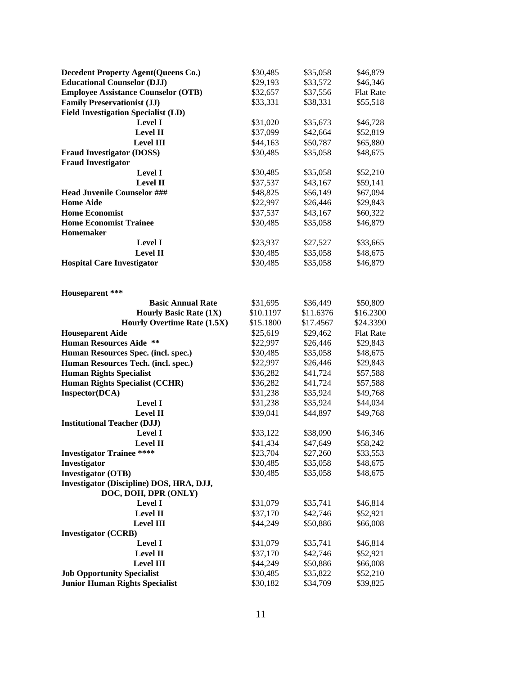| <b>Decedent Property Agent (Queens Co.)</b> | \$30,485  | \$35,058  | \$46,879         |
|---------------------------------------------|-----------|-----------|------------------|
| <b>Educational Counselor (DJJ)</b>          | \$29,193  | \$33,572  | \$46,346         |
| <b>Employee Assistance Counselor (OTB)</b>  | \$32,657  | \$37,556  | <b>Flat Rate</b> |
| <b>Family Preservationist (JJ)</b>          | \$33,331  | \$38,331  | \$55,518         |
| <b>Field Investigation Specialist (LD)</b>  |           |           |                  |
| <b>Level I</b>                              | \$31,020  | \$35,673  | \$46,728         |
| <b>Level II</b>                             | \$37,099  | \$42,664  | \$52,819         |
| <b>Level III</b>                            | \$44,163  | \$50,787  | \$65,880         |
| <b>Fraud Investigator (DOSS)</b>            | \$30,485  | \$35,058  | \$48,675         |
| <b>Fraud Investigator</b>                   |           |           |                  |
| <b>Level I</b>                              | \$30,485  | \$35,058  | \$52,210         |
| <b>Level II</b>                             | \$37,537  | \$43,167  | \$59,141         |
| <b>Head Juvenile Counselor ###</b>          | \$48,825  | \$56,149  | \$67,094         |
| <b>Home Aide</b>                            | \$22,997  | \$26,446  | \$29,843         |
| <b>Home Economist</b>                       | \$37,537  | \$43,167  | \$60,322         |
| <b>Home Economist Trainee</b>               | \$30,485  | \$35,058  | \$46,879         |
| Homemaker                                   |           |           |                  |
| <b>Level I</b>                              | \$23,937  | \$27,527  | \$33,665         |
| <b>Level II</b>                             |           | \$35,058  | \$48,675         |
|                                             | \$30,485  |           |                  |
| <b>Hospital Care Investigator</b>           | \$30,485  | \$35,058  | \$46,879         |
|                                             |           |           |                  |
| Houseparent ***                             |           |           |                  |
| <b>Basic Annual Rate</b>                    | \$31,695  | \$36,449  | \$50,809         |
| <b>Hourly Basic Rate (1X)</b>               | \$10.1197 | \$11.6376 | \$16.2300        |
| <b>Hourly Overtime Rate (1.5X)</b>          | \$15.1800 | \$17.4567 | \$24.3390        |
| <b>Houseparent Aide</b>                     | \$25,619  | \$29,462  | <b>Flat Rate</b> |
| <b>Human Resources Aide</b><br>**           | \$22,997  | \$26,446  | \$29,843         |
| Human Resources Spec. (incl. spec.)         | \$30,485  | \$35,058  | \$48,675         |
|                                             |           |           |                  |
| Human Resources Tech. (incl. spec.)         | \$22,997  | \$26,446  | \$29,843         |
| <b>Human Rights Specialist</b>              | \$36,282  | \$41,724  | \$57,588         |
| <b>Human Rights Specialist (CCHR)</b>       | \$36,282  | \$41,724  | \$57,588         |
| Inspector(DCA)                              | \$31,238  | \$35,924  | \$49,768         |
| <b>Level I</b>                              | \$31,238  | \$35,924  | \$44,034         |
| <b>Level II</b>                             | \$39,041  | \$44,897  | \$49,768         |
| <b>Institutional Teacher (DJJ)</b>          |           |           |                  |
| <b>Level I</b>                              | \$33,122  | \$38,090  | \$46,346         |
| Level II                                    | \$41,434  | \$47,649  | \$58,242         |
| <b>Investigator Trainee ****</b>            | \$23,704  | \$27,260  | \$33,553         |
| Investigator                                | \$30,485  | \$35,058  | \$48,675         |
| <b>Investigator (OTB)</b>                   | \$30,485  | \$35,058  | \$48,675         |
| Investigator (Discipline) DOS, HRA, DJJ,    |           |           |                  |
| DOC, DOH, DPR (ONLY)                        |           |           |                  |
| <b>Level I</b>                              | \$31,079  | \$35,741  | \$46,814         |
| Level II                                    | \$37,170  | \$42,746  | \$52,921         |
| <b>Level III</b>                            | \$44,249  | \$50,886  | \$66,008         |
| <b>Investigator (CCRB)</b>                  |           |           |                  |
| <b>Level I</b>                              | \$31,079  | \$35,741  | \$46,814         |
| <b>Level II</b>                             | \$37,170  | \$42,746  | \$52,921         |
| <b>Level III</b>                            | \$44,249  | \$50,886  | \$66,008         |
| <b>Job Opportunity Specialist</b>           | \$30,485  | \$35,822  | \$52,210         |
| <b>Junior Human Rights Specialist</b>       | \$30,182  | \$34,709  | \$39,825         |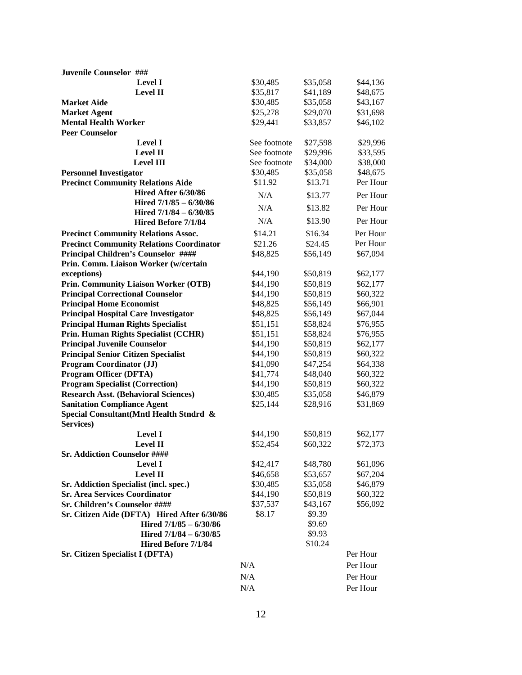| Juvenile Counselor ###                          |              |          |          |
|-------------------------------------------------|--------------|----------|----------|
| <b>Level I</b>                                  | \$30,485     | \$35,058 | \$44,136 |
| <b>Level II</b>                                 | \$35,817     | \$41,189 | \$48,675 |
| <b>Market Aide</b>                              | \$30,485     | \$35,058 | \$43,167 |
| <b>Market Agent</b>                             | \$25,278     | \$29,070 | \$31,698 |
| <b>Mental Health Worker</b>                     | \$29,441     | \$33,857 | \$46,102 |
| <b>Peer Counselor</b>                           |              |          |          |
| <b>Level I</b>                                  | See footnote | \$27,598 | \$29,996 |
| <b>Level II</b>                                 | See footnote | \$29,996 | \$33,595 |
| <b>Level III</b>                                | See footnote | \$34,000 | \$38,000 |
| <b>Personnel Investigator</b>                   | \$30,485     | \$35,058 | \$48,675 |
| <b>Precinct Community Relations Aide</b>        | \$11.92      | \$13.71  | Per Hour |
| Hired After 6/30/86                             | N/A          | \$13.77  | Per Hour |
| Hired 7/1/85 - 6/30/86                          | N/A          |          | Per Hour |
| Hired $7/1/84 - 6/30/85$                        |              | \$13.82  |          |
| <b>Hired Before 7/1/84</b>                      | N/A          | \$13.90  | Per Hour |
| <b>Precinct Community Relations Assoc.</b>      | \$14.21      | \$16.34  | Per Hour |
| <b>Precinct Community Relations Coordinator</b> | \$21.26      | \$24.45  | Per Hour |
| <b>Principal Children's Counselor ####</b>      | \$48,825     | \$56,149 | \$67,094 |
| Prin. Comm. Liaison Worker (w/certain           |              |          |          |
| exceptions)                                     | \$44,190     | \$50,819 | \$62,177 |
| Prin. Community Liaison Worker (OTB)            | \$44,190     | \$50,819 | \$62,177 |
| <b>Principal Correctional Counselor</b>         | \$44,190     | \$50,819 | \$60,322 |
| <b>Principal Home Economist</b>                 | \$48,825     | \$56,149 | \$66,901 |
| <b>Principal Hospital Care Investigator</b>     | \$48,825     | \$56,149 | \$67,044 |
| <b>Principal Human Rights Specialist</b>        | \$51,151     | \$58,824 | \$76,955 |
| Prin. Human Rights Specialist (CCHR)            | \$51,151     | \$58,824 | \$76,955 |
| <b>Principal Juvenile Counselor</b>             | \$44,190     | \$50,819 | \$62,177 |
| <b>Principal Senior Citizen Specialist</b>      | \$44,190     | \$50,819 | \$60,322 |
| <b>Program Coordinator (JJ)</b>                 | \$41,090     | \$47,254 | \$64,338 |
| <b>Program Officer (DFTA)</b>                   | \$41,774     | \$48,040 | \$60,322 |
| <b>Program Specialist (Correction)</b>          | \$44,190     | \$50,819 | \$60,322 |
| <b>Research Asst. (Behavioral Sciences)</b>     | \$30,485     | \$35,058 | \$46,879 |
| <b>Sanitation Compliance Agent</b>              | \$25,144     | \$28,916 | \$31,869 |
| Special Consultant(Mntl Health Stndrd &         |              |          |          |
| Services)                                       |              |          |          |
| <b>Level I</b>                                  | \$44,190     | \$50,819 | \$62,177 |
| <b>Level II</b>                                 | \$52,454     | \$60,322 | \$72,373 |
| <b>Sr. Addiction Counselor ####</b>             |              |          |          |
| <b>Level I</b>                                  | \$42,417     | \$48,780 | \$61,096 |
| <b>Level II</b>                                 | \$46,658     | \$53,657 | \$67,204 |
| Sr. Addiction Specialist (incl. spec.)          | \$30,485     | \$35,058 | \$46,879 |
| <b>Sr. Area Services Coordinator</b>            | \$44,190     | \$50,819 | \$60,322 |
| Sr. Children's Counselor ####                   | \$37,537     | \$43,167 | \$56,092 |
| Sr. Citizen Aide (DFTA) Hired After 6/30/86     | \$8.17       | \$9.39   |          |
| Hired $7/1/85 - 6/30/86$                        |              | \$9.69   |          |
| Hired $7/1/84 - 6/30/85$                        |              | \$9.93   |          |
| <b>Hired Before 7/1/84</b>                      |              | \$10.24  |          |
| <b>Sr. Citizen Specialist I (DFTA)</b>          |              |          | Per Hour |
|                                                 | N/A          |          | Per Hour |
|                                                 | N/A          |          | Per Hour |
|                                                 | N/A          |          | Per Hour |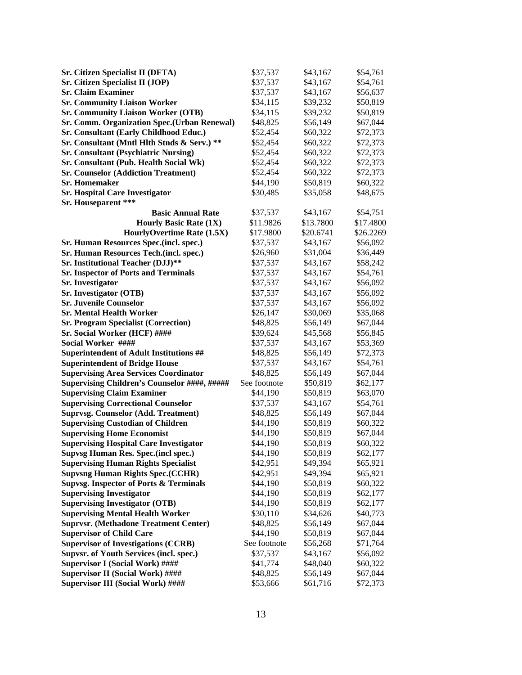| <b>Sr. Citizen Specialist II (DFTA)</b>           | \$37,537     | \$43,167  | \$54,761  |
|---------------------------------------------------|--------------|-----------|-----------|
| Sr. Citizen Specialist II (JOP)                   | \$37,537     | \$43,167  | \$54,761  |
| <b>Sr. Claim Examiner</b>                         | \$37,537     | \$43,167  | \$56,637  |
| <b>Sr. Community Liaison Worker</b>               | \$34,115     | \$39,232  | \$50,819  |
| <b>Sr. Community Liaison Worker (OTB)</b>         | \$34,115     | \$39,232  | \$50,819  |
| Sr. Comm. Organization Spec. (Urban Renewal)      | \$48,825     | \$56,149  | \$67,044  |
| Sr. Consultant (Early Childhood Educ.)            | \$52,454     | \$60,322  | \$72,373  |
| Sr. Consultant (Mntl Hlth Stnds & Serv.) **       | \$52,454     | \$60,322  | \$72,373  |
| <b>Sr. Consultant (Psychiatric Nursing)</b>       | \$52,454     | \$60,322  | \$72,373  |
| Sr. Consultant (Pub. Health Social Wk)            | \$52,454     | \$60,322  | \$72,373  |
| <b>Sr. Counselor (Addiction Treatment)</b>        | \$52,454     | \$60,322  | \$72,373  |
| <b>Sr. Homemaker</b>                              | \$44,190     | \$50,819  | \$60,322  |
| <b>Sr. Hospital Care Investigator</b>             | \$30,485     | \$35,058  | \$48,675  |
| Sr. Houseparent ***                               |              |           |           |
| <b>Basic Annual Rate</b>                          | \$37,537     | \$43,167  | \$54,751  |
| <b>Hourly Basic Rate (1X)</b>                     | \$11.9826    | \$13.7800 | \$17.4800 |
| HourlyOvertime Rate (1.5X)                        | \$17.9800    | \$20.6741 | \$26.2269 |
| Sr. Human Resources Spec.(incl. spec.)            | \$37,537     | \$43,167  | \$56,092  |
| Sr. Human Resources Tech.(incl. spec.)            | \$26,960     | \$31,004  | \$36,449  |
| Sr. Institutional Teacher (DJJ)**                 | \$37,537     | \$43,167  | \$58,242  |
| <b>Sr. Inspector of Ports and Terminals</b>       | \$37,537     | \$43,167  | \$54,761  |
| <b>Sr.</b> Investigator                           | \$37,537     | \$43,167  | \$56,092  |
| Sr. Investigator (OTB)                            | \$37,537     | \$43,167  | \$56,092  |
| <b>Sr. Juvenile Counselor</b>                     | \$37,537     | \$43,167  | \$56,092  |
| <b>Sr. Mental Health Worker</b>                   | \$26,147     | \$30,069  | \$35,068  |
| <b>Sr. Program Specialist (Correction)</b>        | \$48,825     | \$56,149  | \$67,044  |
| Sr. Social Worker (HCF) ####                      | \$39,624     | \$45,568  | \$56,845  |
| Social Worker ####                                | \$37,537     | \$43,167  | \$53,369  |
| <b>Superintendent of Adult Institutions ##</b>    | \$48,825     | \$56,149  | \$72,373  |
| <b>Superintendent of Bridge House</b>             | \$37,537     | \$43,167  | \$54,761  |
| <b>Supervising Area Services Coordinator</b>      | \$48,825     | \$56,149  | \$67,044  |
| Supervising Children's Counselor ####, #####      | See footnote | \$50,819  | \$62,177  |
| <b>Supervising Claim Examiner</b>                 | \$44,190     | \$50,819  | \$63,070  |
| <b>Supervising Correctional Counselor</b>         | \$37,537     | \$43,167  | \$54,761  |
| <b>Suprvsg. Counselor (Add. Treatment)</b>        | \$48,825     | \$56,149  | \$67,044  |
| <b>Supervising Custodian of Children</b>          | \$44,190     | \$50,819  | \$60,322  |
| <b>Supervising Home Economist</b>                 | \$44,190     | \$50,819  | \$67,044  |
| <b>Supervising Hospital Care Investigator</b>     | \$44,190     | \$50,819  | \$60,322  |
| <b>Supvsg Human Res. Spec.(incl spec.)</b>        | \$44,190     | \$50,819  | \$62,177  |
| <b>Supervising Human Rights Specialist</b>        | \$42,951     | \$49,394  | \$65,921  |
| <b>Supvsng Human Rights Spec.(CCHR)</b>           | \$42,951     | \$49,394  | \$65,921  |
| <b>Supvsg. Inspector of Ports &amp; Terminals</b> | \$44,190     | \$50,819  | \$60,322  |
| <b>Supervising Investigator</b>                   | \$44,190     | \$50,819  | \$62,177  |
| <b>Supervising Investigator (OTB)</b>             | \$44,190     | \$50,819  | \$62,177  |
| <b>Supervising Mental Health Worker</b>           | \$30,110     | \$34,626  | \$40,773  |
| <b>Suprvsr.</b> (Methadone Treatment Center)      | \$48,825     | \$56,149  | \$67,044  |
| <b>Supervisor of Child Care</b>                   | \$44,190     | \$50,819  | \$67,044  |
| <b>Supervisor of Investigations (CCRB)</b>        | See footnote | \$56,268  | \$71,764  |
| <b>Supvsr. of Youth Services (incl. spec.)</b>    | \$37,537     | \$43,167  | \$56,092  |
| <b>Supervisor I (Social Work) ####</b>            | \$41,774     | \$48,040  | \$60,322  |
| <b>Supervisor II (Social Work) ####</b>           | \$48,825     | \$56,149  | \$67,044  |
| <b>Supervisor III (Social Work) ####</b>          | \$53,666     | \$61,716  | \$72,373  |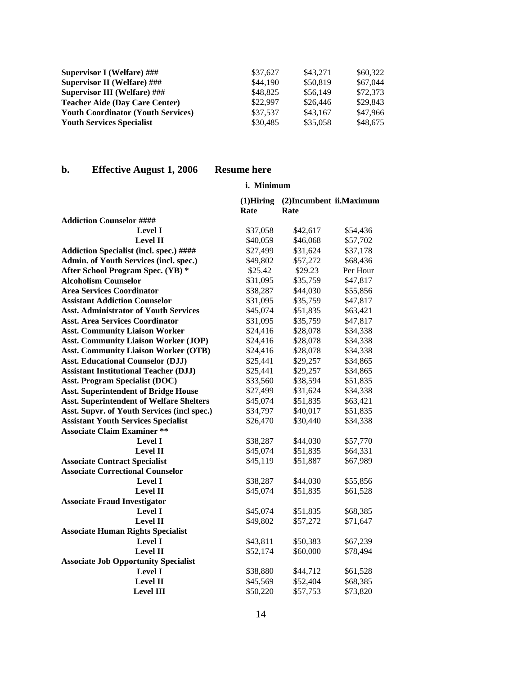| <b>Supervisor I (Welfare)</b> ###         | \$37.627 | \$43,271 | \$60,322 |
|-------------------------------------------|----------|----------|----------|
| <b>Supervisor II (Welfare) ###</b>        | \$44,190 | \$50,819 | \$67,044 |
| Supervisor III (Welfare) ###              | \$48,825 | \$56,149 | \$72,373 |
| <b>Teacher Aide (Day Care Center)</b>     | \$22,997 | \$26,446 | \$29,843 |
| <b>Youth Coordinator (Youth Services)</b> | \$37,537 | \$43,167 | \$47,966 |
| <b>Youth Services Specialist</b>          | \$30,485 | \$35,058 | \$48,675 |

# **b. Effective August 1, 2006 Resume here**

 **i. Minimum** 

|                                                 | $(1)$ Hiring | (2)Incumbent ii.Maximum |          |
|-------------------------------------------------|--------------|-------------------------|----------|
| <b>Addiction Counselor ####</b>                 | Rate         | Rate                    |          |
| <b>Level I</b>                                  | \$37,058     | \$42,617                | \$54,436 |
| <b>Level II</b>                                 | \$40,059     | \$46,068                | \$57,702 |
| <b>Addiction Specialist (incl. spec.) ####</b>  | \$27,499     | \$31,624                | \$37,178 |
| Admin. of Youth Services (incl. spec.)          | \$49,802     | \$57,272                | \$68,436 |
| After School Program Spec. (YB) *               | \$25.42      | \$29.23                 | Per Hour |
| <b>Alcoholism Counselor</b>                     | \$31,095     | \$35,759                | \$47,817 |
| <b>Area Services Coordinator</b>                | \$38,287     | \$44,030                | \$55,856 |
| <b>Assistant Addiction Counselor</b>            | \$31,095     | \$35,759                | \$47,817 |
| <b>Asst. Administrator of Youth Services</b>    | \$45,074     | \$51,835                | \$63,421 |
| <b>Asst. Area Services Coordinator</b>          | \$31,095     | \$35,759                | \$47,817 |
| <b>Asst. Community Liaison Worker</b>           | \$24,416     | \$28,078                | \$34,338 |
| <b>Asst. Community Liaison Worker (JOP)</b>     | \$24,416     | \$28,078                | \$34,338 |
| <b>Asst. Community Liaison Worker (OTB)</b>     | \$24,416     | \$28,078                | \$34,338 |
| <b>Asst. Educational Counselor (DJJ)</b>        | \$25,441     | \$29,257                | \$34,865 |
| <b>Assistant Institutional Teacher (DJJ)</b>    | \$25,441     | \$29,257                | \$34,865 |
| <b>Asst. Program Specialist (DOC)</b>           | \$33,560     | \$38,594                | \$51,835 |
| <b>Asst. Superintendent of Bridge House</b>     | \$27,499     | \$31,624                | \$34,338 |
| <b>Asst. Superintendent of Welfare Shelters</b> | \$45,074     | \$51,835                | \$63,421 |
| Asst. Supvr. of Youth Services (incl spec.)     | \$34,797     | \$40,017                | \$51,835 |
| <b>Assistant Youth Services Specialist</b>      | \$26,470     | \$30,440                | \$34,338 |
| <b>Associate Claim Examiner **</b>              |              |                         |          |
| <b>Level I</b>                                  | \$38,287     | \$44,030                | \$57,770 |
| <b>Level II</b>                                 | \$45,074     | \$51,835                | \$64,331 |
| <b>Associate Contract Specialist</b>            | \$45,119     | \$51,887                | \$67,989 |
| <b>Associate Correctional Counselor</b>         |              |                         |          |
| <b>Level I</b>                                  | \$38,287     | \$44,030                | \$55,856 |
| <b>Level II</b>                                 | \$45,074     | \$51,835                | \$61,528 |
| <b>Associate Fraud Investigator</b>             |              |                         |          |
| <b>Level I</b>                                  | \$45,074     | \$51,835                | \$68,385 |
| <b>Level II</b>                                 | \$49,802     | \$57,272                | \$71,647 |
| <b>Associate Human Rights Specialist</b>        |              |                         |          |
| <b>Level I</b>                                  | \$43,811     | \$50,383                | \$67,239 |
| <b>Level II</b>                                 | \$52,174     | \$60,000                | \$78,494 |
| <b>Associate Job Opportunity Specialist</b>     |              |                         |          |
| <b>Level I</b>                                  | \$38,880     | \$44,712                | \$61,528 |
| <b>Level II</b>                                 | \$45,569     | \$52,404                | \$68,385 |
| <b>Level III</b>                                | \$50,220     | \$57,753                | \$73,820 |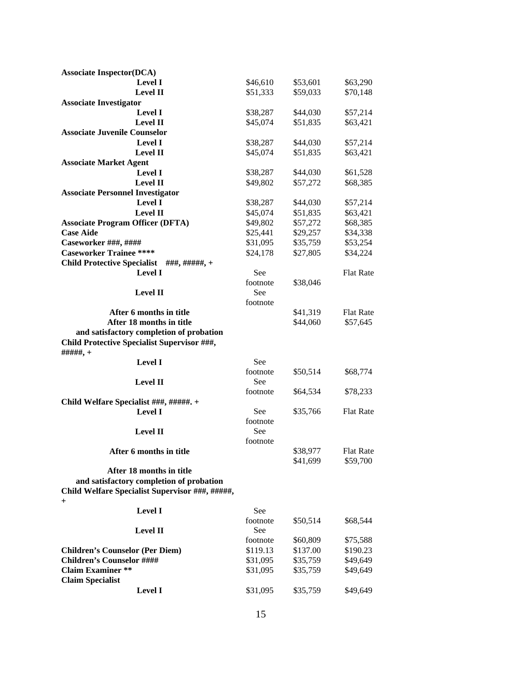| <b>Associate Inspector(DCA)</b>                                                                      |                 |          |                  |
|------------------------------------------------------------------------------------------------------|-----------------|----------|------------------|
| <b>Level I</b>                                                                                       | \$46,610        | \$53,601 | \$63,290         |
| <b>Level II</b>                                                                                      | \$51,333        | \$59,033 | \$70,148         |
| <b>Associate Investigator</b>                                                                        |                 |          |                  |
| <b>Level I</b>                                                                                       | \$38,287        | \$44,030 | \$57,214         |
| <b>Level II</b>                                                                                      | \$45,074        | \$51,835 | \$63,421         |
| <b>Associate Juvenile Counselor</b>                                                                  |                 |          |                  |
| <b>Level I</b>                                                                                       | \$38,287        | \$44,030 | \$57,214         |
| <b>Level II</b>                                                                                      | \$45,074        | \$51,835 | \$63,421         |
| <b>Associate Market Agent</b>                                                                        |                 |          |                  |
| <b>Level I</b>                                                                                       | \$38,287        | \$44,030 | \$61,528         |
| Level II                                                                                             | \$49,802        | \$57,272 | \$68,385         |
| <b>Associate Personnel Investigator</b>                                                              |                 |          |                  |
| <b>Level I</b>                                                                                       | \$38,287        | \$44,030 | \$57,214         |
| Level II                                                                                             | \$45,074        | \$51,835 | \$63,421         |
| <b>Associate Program Officer (DFTA)</b>                                                              | \$49,802        | \$57,272 | \$68,385         |
| <b>Case Aide</b>                                                                                     | \$25,441        | \$29,257 | \$34,338         |
| Caseworker ###, ####                                                                                 | \$31,095        | \$35,759 | \$53,254         |
| <b>Caseworker Trainee ****</b>                                                                       | \$24,178        | \$27,805 | \$34,224         |
| <b>Child Protective Specialist</b><br>###, #####, +                                                  |                 |          |                  |
| <b>Level I</b>                                                                                       | See             |          | <b>Flat Rate</b> |
| Level II                                                                                             | footnote<br>See | \$38,046 |                  |
|                                                                                                      | footnote        |          |                  |
| After 6 months in title                                                                              |                 | \$41,319 | <b>Flat Rate</b> |
| After 18 months in title                                                                             |                 | \$44,060 | \$57,645         |
| and satisfactory completion of probation                                                             |                 |          |                  |
| Child Protective Specialist Supervisor ###,<br>#####, +                                              |                 |          |                  |
| <b>Level I</b>                                                                                       | See             |          |                  |
|                                                                                                      | footnote        | \$50,514 | \$68,774         |
| <b>Level II</b>                                                                                      | See             |          |                  |
|                                                                                                      | footnote        | \$64,534 | \$78,233         |
| Child Welfare Specialist ###, #####. +                                                               |                 |          |                  |
| <b>Level I</b>                                                                                       | See             | \$35,766 | <b>Flat Rate</b> |
|                                                                                                      | footnote        |          |                  |
| <b>Level II</b>                                                                                      | See             |          |                  |
|                                                                                                      | footnote        |          |                  |
| After 6 months in title                                                                              |                 | \$38,977 | <b>Flat Rate</b> |
|                                                                                                      |                 | \$41,699 | \$59,700         |
| After 18 months in title                                                                             |                 |          |                  |
| and satisfactory completion of probation<br>Child Welfare Specialist Supervisor ###, #####,<br>$\pm$ |                 |          |                  |
| <b>Level I</b>                                                                                       | See             |          |                  |
|                                                                                                      | footnote        | \$50,514 | \$68,544         |
| Level II                                                                                             | See             |          |                  |
|                                                                                                      | footnote        | \$60,809 | \$75,588         |
| <b>Children's Counselor (Per Diem)</b>                                                               | \$119.13        | \$137.00 | \$190.23         |
| <b>Children's Counselor ####</b>                                                                     | \$31,095        | \$35,759 | \$49,649         |
| <b>Claim Examiner **</b>                                                                             | \$31,095        | \$35,759 | \$49,649         |
| <b>Claim Specialist</b>                                                                              |                 |          |                  |
| <b>Level I</b>                                                                                       | \$31,095        | \$35,759 | \$49,649         |
|                                                                                                      |                 |          |                  |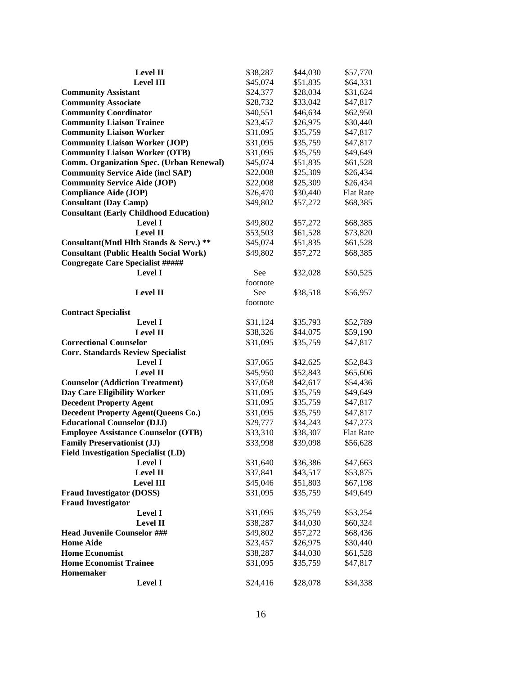| <b>Level II</b>                                 | \$38,287 | \$44,030 | \$57,770         |
|-------------------------------------------------|----------|----------|------------------|
| <b>Level III</b>                                | \$45,074 | \$51,835 | \$64,331         |
| <b>Community Assistant</b>                      | \$24,377 | \$28,034 | \$31,624         |
| <b>Community Associate</b>                      | \$28,732 | \$33,042 | \$47,817         |
| <b>Community Coordinator</b>                    | \$40,551 | \$46,634 | \$62,950         |
| <b>Community Liaison Trainee</b>                | \$23,457 | \$26,975 | \$30,440         |
| <b>Community Liaison Worker</b>                 | \$31,095 | \$35,759 | \$47,817         |
| <b>Community Liaison Worker (JOP)</b>           | \$31,095 | \$35,759 | \$47,817         |
| <b>Community Liaison Worker (OTB)</b>           | \$31,095 | \$35,759 | \$49,649         |
| <b>Comm. Organization Spec. (Urban Renewal)</b> | \$45,074 | \$51,835 | \$61,528         |
| <b>Community Service Aide (incl SAP)</b>        | \$22,008 | \$25,309 | \$26,434         |
| <b>Community Service Aide (JOP)</b>             | \$22,008 | \$25,309 | \$26,434         |
| <b>Compliance Aide (JOP)</b>                    | \$26,470 | \$30,440 | <b>Flat Rate</b> |
| <b>Consultant (Day Camp)</b>                    | \$49,802 | \$57,272 | \$68,385         |
| <b>Consultant (Early Childhood Education)</b>   |          |          |                  |
| <b>Level I</b>                                  | \$49,802 | \$57,272 | \$68,385         |
| <b>Level II</b>                                 | \$53,503 | \$61,528 | \$73,820         |
| Consultant(Mntl Hlth Stands & Serv.) **         | \$45,074 | \$51,835 | \$61,528         |
| <b>Consultant (Public Health Social Work)</b>   | \$49,802 | \$57,272 | \$68,385         |
| <b>Congregate Care Specialist #####</b>         |          |          |                  |
| <b>Level I</b>                                  | See      | \$32,028 | \$50,525         |
|                                                 | footnote |          |                  |
| <b>Level II</b>                                 | See      | \$38,518 | \$56,957         |
|                                                 | footnote |          |                  |
| <b>Contract Specialist</b>                      |          |          |                  |
| <b>Level I</b>                                  | \$31,124 | \$35,793 | \$52,789         |
| <b>Level II</b>                                 | \$38,326 | \$44,075 | \$59,190         |
| <b>Correctional Counselor</b>                   | \$31,095 | \$35,759 | \$47,817         |
| <b>Corr. Standards Review Specialist</b>        |          |          |                  |
| <b>Level I</b>                                  | \$37,065 | \$42,625 | \$52,843         |
| Level II                                        | \$45,950 | \$52,843 | \$65,606         |
| <b>Counselor (Addiction Treatment)</b>          | \$37,058 | \$42,617 | \$54,436         |
| Day Care Eligibility Worker                     | \$31,095 | \$35,759 | \$49,649         |
| <b>Decedent Property Agent</b>                  | \$31,095 | \$35,759 | \$47,817         |
| <b>Decedent Property Agent (Queens Co.)</b>     | \$31,095 | \$35,759 | \$47,817         |
| <b>Educational Counselor (DJJ)</b>              | \$29,777 | \$34,243 | \$47,273         |
| <b>Employee Assistance Counselor (OTB)</b>      | \$33,310 | \$38,307 | <b>Flat Rate</b> |
| <b>Family Preservationist (JJ)</b>              | \$33,998 | \$39,098 | \$56,628         |
| <b>Field Investigation Specialist (LD)</b>      |          |          |                  |
| <b>Level I</b>                                  | \$31,640 | \$36,386 | \$47,663         |
| Level II                                        | \$37,841 | \$43,517 | \$53,875         |
| <b>Level III</b>                                | \$45,046 | \$51,803 | \$67,198         |
| <b>Fraud Investigator (DOSS)</b>                | \$31,095 | \$35,759 | \$49,649         |
| <b>Fraud Investigator</b>                       |          |          |                  |
| <b>Level I</b>                                  | \$31,095 | \$35,759 | \$53,254         |
| <b>Level II</b>                                 | \$38,287 | \$44,030 | \$60,324         |
| <b>Head Juvenile Counselor ###</b>              | \$49,802 | \$57,272 | \$68,436         |
| <b>Home Aide</b>                                | \$23,457 | \$26,975 | \$30,440         |
| <b>Home Economist</b>                           | \$38,287 | \$44,030 | \$61,528         |
| <b>Home Economist Trainee</b>                   | \$31,095 | \$35,759 | \$47,817         |
| Homemaker                                       |          |          |                  |
| <b>Level I</b>                                  | \$24,416 | \$28,078 | \$34,338         |
|                                                 |          |          |                  |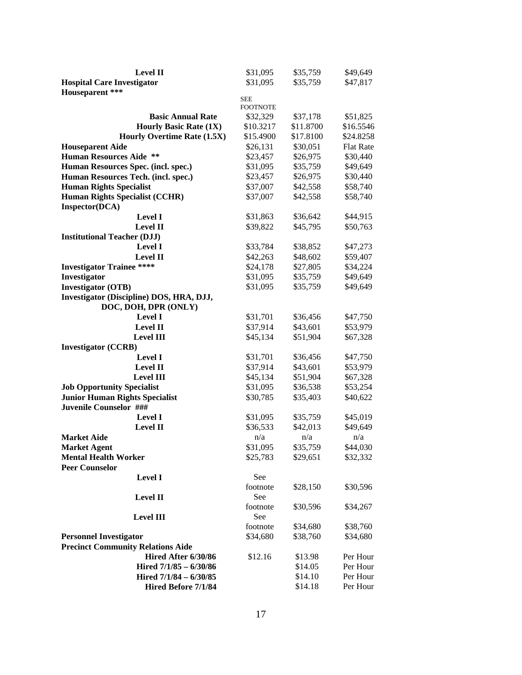| <b>Level II</b>                                           | \$31,095                    | \$35,759  | \$49,649         |
|-----------------------------------------------------------|-----------------------------|-----------|------------------|
| <b>Hospital Care Investigator</b>                         | \$31,095                    | \$35,759  | \$47,817         |
| Houseparent ***                                           |                             |           |                  |
|                                                           | SEE                         |           |                  |
| <b>Basic Annual Rate</b>                                  | <b>FOOTNOTE</b><br>\$32,329 | \$37,178  | \$51,825         |
| <b>Hourly Basic Rate (1X)</b>                             | \$10.3217                   | \$11.8700 | \$16.5546        |
| <b>Hourly Overtime Rate (1.5X)</b>                        | \$15.4900                   | \$17.8100 | \$24.8258        |
|                                                           | \$26,131                    | \$30,051  | <b>Flat Rate</b> |
| <b>Houseparent Aide</b><br><b>Human Resources Aide **</b> | \$23,457                    | \$26,975  | \$30,440         |
| Human Resources Spec. (incl. spec.)                       | \$31,095                    | \$35,759  | \$49,649         |
| Human Resources Tech. (incl. spec.)                       | \$23,457                    | \$26,975  | \$30,440         |
| <b>Human Rights Specialist</b>                            | \$37,007                    | \$42,558  | \$58,740         |
| <b>Human Rights Specialist (CCHR)</b>                     | \$37,007                    | \$42,558  | \$58,740         |
| Inspector(DCA)                                            |                             |           |                  |
| <b>Level I</b>                                            | \$31,863                    | \$36,642  | \$44,915         |
| <b>Level II</b>                                           | \$39,822                    | \$45,795  | \$50,763         |
| <b>Institutional Teacher (DJJ)</b>                        |                             |           |                  |
| <b>Level I</b>                                            | \$33,784                    | \$38,852  | \$47,273         |
| <b>Level II</b>                                           | \$42,263                    | \$48,602  | \$59,407         |
| <b>Investigator Trainee ****</b>                          | \$24,178                    | \$27,805  | \$34,224         |
| Investigator                                              | \$31,095                    | \$35,759  | \$49,649         |
| <b>Investigator (OTB)</b>                                 | \$31,095                    | \$35,759  | \$49,649         |
| Investigator (Discipline) DOS, HRA, DJJ,                  |                             |           |                  |
| DOC, DOH, DPR (ONLY)                                      |                             |           |                  |
| <b>Level I</b>                                            | \$31,701                    | \$36,456  | \$47,750         |
| <b>Level II</b>                                           | \$37,914                    | \$43,601  | \$53,979         |
| <b>Level III</b>                                          | \$45,134                    | \$51,904  | \$67,328         |
| <b>Investigator (CCRB)</b>                                |                             |           |                  |
| <b>Level I</b>                                            | \$31,701                    | \$36,456  | \$47,750         |
| <b>Level II</b>                                           | \$37,914                    | \$43,601  | \$53,979         |
| <b>Level III</b>                                          | \$45,134                    | \$51,904  | \$67,328         |
| <b>Job Opportunity Specialist</b>                         | \$31,095                    | \$36,538  | \$53,254         |
| <b>Junior Human Rights Specialist</b>                     | \$30,785                    | \$35,403  | \$40,622         |
| Juvenile Counselor ###                                    |                             |           |                  |
| <b>Level I</b>                                            | \$31,095                    | \$35,759  | \$45,019         |
| <b>Level II</b>                                           | \$36,533                    | \$42,013  | \$49,649         |
| <b>Market Aide</b>                                        | n/a                         | n/a       | n/a              |
| <b>Market Agent</b>                                       | \$31,095                    | \$35,759  | \$44,030         |
| <b>Mental Health Worker</b>                               | \$25,783                    | \$29,651  | \$32,332         |
| <b>Peer Counselor</b>                                     |                             |           |                  |
| <b>Level I</b>                                            | See                         |           |                  |
|                                                           | footnote                    | \$28,150  | \$30,596         |
| <b>Level II</b>                                           | See                         |           |                  |
|                                                           | footnote                    | \$30,596  | \$34,267         |
| <b>Level III</b>                                          | See                         |           |                  |
|                                                           | footnote                    | \$34,680  | \$38,760         |
| <b>Personnel Investigator</b>                             | \$34,680                    | \$38,760  | \$34,680         |
| <b>Precinct Community Relations Aide</b>                  |                             |           |                  |
| Hired After 6/30/86                                       | \$12.16                     | \$13.98   | Per Hour         |
| Hired 7/1/85 - 6/30/86                                    |                             | \$14.05   | Per Hour         |
| Hired 7/1/84 - 6/30/85                                    |                             | \$14.10   | Per Hour         |
| Hired Before 7/1/84                                       |                             | \$14.18   | Per Hour         |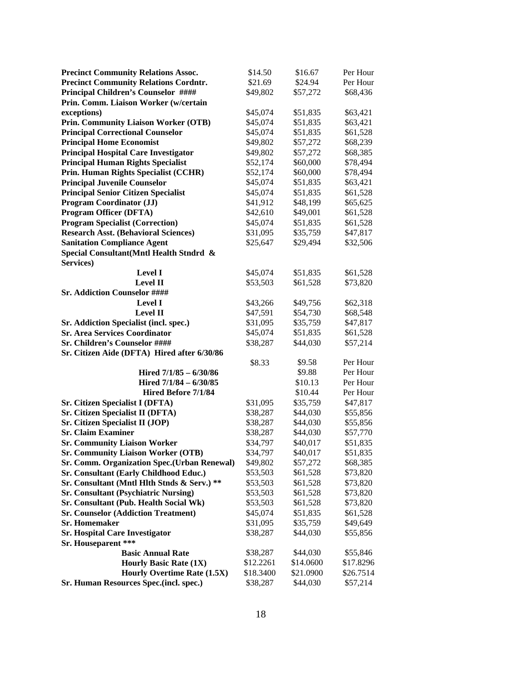| <b>Precinct Community Relations Assoc.</b>   | \$14.50   | \$16.67   | Per Hour  |
|----------------------------------------------|-----------|-----------|-----------|
| <b>Precinct Community Relations Cordntr.</b> | \$21.69   | \$24.94   | Per Hour  |
| <b>Principal Children's Counselor ####</b>   | \$49,802  | \$57,272  | \$68,436  |
| Prin. Comm. Liaison Worker (w/certain        |           |           |           |
| exceptions)                                  | \$45,074  | \$51,835  | \$63,421  |
| <b>Prin. Community Liaison Worker (OTB)</b>  | \$45,074  | \$51,835  | \$63,421  |
| <b>Principal Correctional Counselor</b>      | \$45,074  | \$51,835  | \$61,528  |
| <b>Principal Home Economist</b>              | \$49,802  | \$57,272  | \$68,239  |
| <b>Principal Hospital Care Investigator</b>  | \$49,802  | \$57,272  | \$68,385  |
| <b>Principal Human Rights Specialist</b>     | \$52,174  | \$60,000  | \$78,494  |
| Prin. Human Rights Specialist (CCHR)         | \$52,174  | \$60,000  | \$78,494  |
| <b>Principal Juvenile Counselor</b>          | \$45,074  | \$51,835  | \$63,421  |
| <b>Principal Senior Citizen Specialist</b>   | \$45,074  | \$51,835  | \$61,528  |
| <b>Program Coordinator (JJ)</b>              | \$41,912  | \$48,199  | \$65,625  |
| <b>Program Officer (DFTA)</b>                | \$42,610  | \$49,001  | \$61,528  |
| <b>Program Specialist (Correction)</b>       | \$45,074  | \$51,835  | \$61,528  |
| <b>Research Asst. (Behavioral Sciences)</b>  | \$31,095  | \$35,759  | \$47,817  |
| <b>Sanitation Compliance Agent</b>           | \$25,647  | \$29,494  | \$32,506  |
| Special Consultant(Mntl Health Stndrd &      |           |           |           |
| Services)                                    |           |           |           |
| <b>Level I</b>                               | \$45,074  | \$51,835  | \$61,528  |
| <b>Level II</b>                              | \$53,503  | \$61,528  | \$73,820  |
| <b>Sr. Addiction Counselor ####</b>          |           |           |           |
| <b>Level I</b>                               | \$43,266  | \$49,756  | \$62,318  |
| <b>Level II</b>                              | \$47,591  | \$54,730  | \$68,548  |
| Sr. Addiction Specialist (incl. spec.)       | \$31,095  | \$35,759  | \$47,817  |
| <b>Sr. Area Services Coordinator</b>         | \$45,074  | \$51,835  | \$61,528  |
| Sr. Children's Counselor ####                | \$38,287  | \$44,030  | \$57,214  |
| Sr. Citizen Aide (DFTA) Hired after 6/30/86  |           |           |           |
|                                              | \$8.33    | \$9.58    | Per Hour  |
| Hired 7/1/85 - 6/30/86                       |           | \$9.88    | Per Hour  |
| Hired 7/1/84 - 6/30/85                       |           | \$10.13   | Per Hour  |
| Hired Before 7/1/84                          |           | \$10.44   | Per Hour  |
| <b>Sr. Citizen Specialist I (DFTA)</b>       | \$31,095  | \$35,759  | \$47,817  |
| <b>Sr. Citizen Specialist II (DFTA)</b>      | \$38,287  | \$44,030  | \$55,856  |
| Sr. Citizen Specialist II (JOP)              | \$38,287  | \$44,030  | \$55,856  |
| <b>Sr. Claim Examiner</b>                    | \$38,287  | \$44,030  | \$57,770  |
| <b>Sr. Community Liaison Worker</b>          | \$34,797  | \$40,017  | \$51,835  |
| <b>Sr. Community Liaison Worker (OTB)</b>    | \$34,797  | \$40,017  | \$51,835  |
| Sr. Comm. Organization Spec.(Urban Renewal)  | \$49,802  | \$57,272  | \$68,385  |
| Sr. Consultant (Early Childhood Educ.)       | \$53,503  | \$61,528  | \$73,820  |
| Sr. Consultant (Mntl Hlth Stnds & Serv.) **  | \$53,503  | \$61,528  | \$73,820  |
| <b>Sr. Consultant (Psychiatric Nursing)</b>  | \$53,503  | \$61,528  | \$73,820  |
| Sr. Consultant (Pub. Health Social Wk)       | \$53,503  | \$61,528  | \$73,820  |
| <b>Sr. Counselor (Addiction Treatment)</b>   | \$45,074  | \$51,835  | \$61,528  |
| <b>Sr. Homemaker</b>                         | \$31,095  | \$35,759  | \$49,649  |
| <b>Sr. Hospital Care Investigator</b>        | \$38,287  | \$44,030  | \$55,856  |
| Sr. Houseparent ***                          |           |           |           |
| <b>Basic Annual Rate</b>                     | \$38,287  | \$44,030  | \$55,846  |
| <b>Hourly Basic Rate (1X)</b>                | \$12.2261 | \$14.0600 | \$17.8296 |
| <b>Hourly Overtime Rate (1.5X)</b>           | \$18.3400 | \$21.0900 | \$26.7514 |
| Sr. Human Resources Spec.(incl. spec.)       | \$38,287  | \$44,030  | \$57,214  |
|                                              |           |           |           |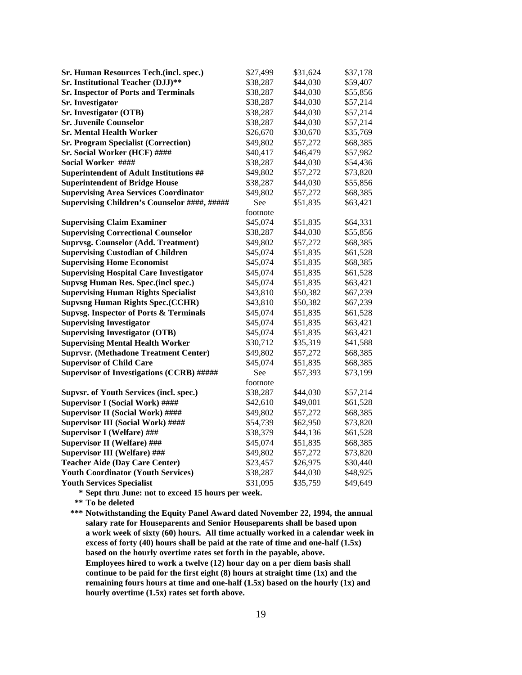| Sr. Human Resources Tech.(incl. spec.)            | \$27,499 | \$31,624 | \$37,178 |
|---------------------------------------------------|----------|----------|----------|
| Sr. Institutional Teacher (DJJ)**                 | \$38,287 | \$44,030 | \$59,407 |
| <b>Sr. Inspector of Ports and Terminals</b>       | \$38,287 | \$44,030 | \$55,856 |
| Sr. Investigator                                  | \$38,287 | \$44,030 | \$57,214 |
| Sr. Investigator (OTB)                            | \$38,287 | \$44,030 | \$57,214 |
| <b>Sr. Juvenile Counselor</b>                     | \$38,287 | \$44,030 | \$57,214 |
| <b>Sr. Mental Health Worker</b>                   | \$26,670 | \$30,670 | \$35,769 |
| <b>Sr. Program Specialist (Correction)</b>        | \$49,802 | \$57,272 | \$68,385 |
| Sr. Social Worker (HCF) ####                      | \$40,417 | \$46,479 | \$57,982 |
| Social Worker ####                                | \$38,287 | \$44,030 | \$54,436 |
| <b>Superintendent of Adult Institutions ##</b>    | \$49,802 | \$57,272 | \$73,820 |
| <b>Superintendent of Bridge House</b>             | \$38,287 | \$44,030 | \$55,856 |
| <b>Supervising Area Services Coordinator</b>      | \$49,802 | \$57,272 | \$68,385 |
| Supervising Children's Counselor ####, #####      | See      | \$51,835 | \$63,421 |
|                                                   | footnote |          |          |
| <b>Supervising Claim Examiner</b>                 | \$45,074 | \$51,835 | \$64,331 |
| <b>Supervising Correctional Counselor</b>         | \$38,287 | \$44,030 | \$55,856 |
| <b>Suprvsg. Counselor (Add. Treatment)</b>        | \$49,802 | \$57,272 | \$68,385 |
| <b>Supervising Custodian of Children</b>          | \$45,074 | \$51,835 | \$61,528 |
| <b>Supervising Home Economist</b>                 | \$45,074 | \$51,835 | \$68,385 |
| <b>Supervising Hospital Care Investigator</b>     | \$45,074 | \$51,835 | \$61,528 |
| <b>Supvsg Human Res. Spec.(incl spec.)</b>        | \$45,074 | \$51,835 | \$63,421 |
| <b>Supervising Human Rights Specialist</b>        | \$43,810 | \$50,382 | \$67,239 |
| <b>Supvsng Human Rights Spec.(CCHR)</b>           | \$43,810 | \$50,382 | \$67,239 |
| <b>Supvsg. Inspector of Ports &amp; Terminals</b> | \$45,074 | \$51,835 | \$61,528 |
| <b>Supervising Investigator</b>                   | \$45,074 | \$51,835 | \$63,421 |
| <b>Supervising Investigator (OTB)</b>             | \$45,074 | \$51,835 | \$63,421 |
| <b>Supervising Mental Health Worker</b>           | \$30,712 | \$35,319 | \$41,588 |
| <b>Suprvsr.</b> (Methadone Treatment Center)      | \$49,802 | \$57,272 | \$68,385 |
| <b>Supervisor of Child Care</b>                   | \$45,074 | \$51,835 | \$68,385 |
| <b>Supervisor of Investigations (CCRB) #####</b>  | See      | \$57,393 | \$73,199 |
|                                                   | footnote |          |          |
| <b>Supvsr. of Youth Services (incl. spec.)</b>    | \$38,287 | \$44,030 | \$57,214 |
| <b>Supervisor I (Social Work) ####</b>            | \$42,610 | \$49,001 | \$61,528 |
| <b>Supervisor II (Social Work) ####</b>           | \$49,802 | \$57,272 | \$68,385 |
| <b>Supervisor III (Social Work) ####</b>          | \$54,739 | \$62,950 | \$73,820 |
| <b>Supervisor I (Welfare) ###</b>                 | \$38,379 | \$44,136 | \$61,528 |
| <b>Supervisor II (Welfare) ###</b>                | \$45,074 | \$51,835 | \$68,385 |
| <b>Supervisor III (Welfare) ###</b>               | \$49,802 | \$57,272 | \$73,820 |
| <b>Teacher Aide (Day Care Center)</b>             | \$23,457 | \$26,975 | \$30,440 |
| <b>Youth Coordinator (Youth Services)</b>         | \$38,287 | \$44,030 | \$48,925 |
| <b>Youth Services Specialist</b>                  | \$31,095 | \$35,759 | \$49,649 |

**\* Sept thru June: not to exceed 15 hours per week.**

**\*\* To be deleted** 

**\*\*\* Notwithstanding the Equity Panel Award dated November 22, 1994, the annual salary rate for Houseparents and Senior Houseparents shall be based upon a work week of sixty (60) hours. All time actually worked in a calendar week in excess of forty (40) hours shall be paid at the rate of time and one-half (1.5x) based on the hourly overtime rates set forth in the payable, above. Employees hired to work a twelve (12) hour day on a per diem basis shall continue to be paid for the first eight (8) hours at straight time (1x) and the remaining fours hours at time and one-half (1.5x) based on the hourly (1x) and hourly overtime (1.5x) rates set forth above.**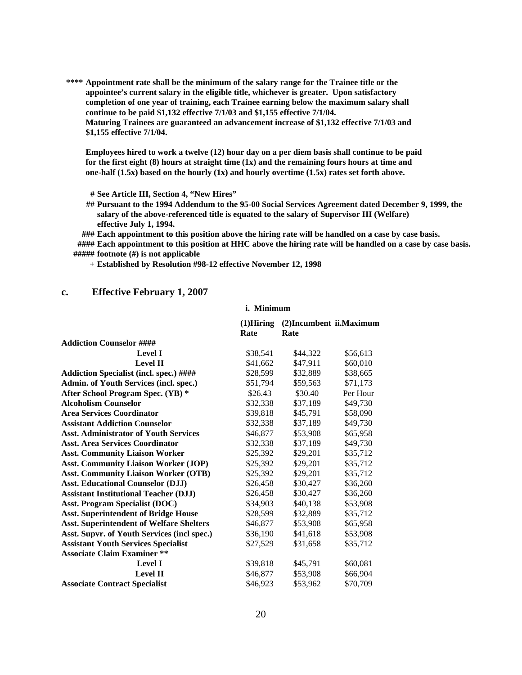**\*\*\*\* Appointment rate shall be the minimum of the salary range for the Trainee title or the appointee's current salary in the eligible title, whichever is greater. Upon satisfactory completion of one year of training, each Trainee earning below the maximum salary shall continue to be paid \$1,132 effective 7/1/03 and \$1,155 effective 7/1/04. Maturing Trainees are guaranteed an advancement increase of \$1,132 effective 7/1/03 and \$1,155 effective 7/1/04.** 

**Employees hired to work a twelve (12) hour day on a per diem basis shall continue to be paid for the first eight (8) hours at straight time (1x) and the remaining fours hours at time and one-half (1.5x) based on the hourly (1x) and hourly overtime (1.5x) rates set forth above.** 

**# See Article III, Section 4, "New Hires"** 

**## Pursuant to the 1994 Addendum to the 95-00 Social Services Agreement dated December 9, 1999, the salary of the above-referenced title is equated to the salary of Supervisor III (Welfare) effective July 1, 1994.** 

**### Each appointment to this position above the hiring rate will be handled on a case by case basis. #### Each appointment to this position at HHC above the hiring rate will be handled on a case by case basis. ##### footnote (#) is not applicable**

**+ Established by Resolution #98-12 effective November 12, 1998**

#### **c. Effective February 1, 2007**

#### **i. Minimum**

|                                                    | $(1)$ Hiring | (2) Incumbent ii. Maximum |          |
|----------------------------------------------------|--------------|---------------------------|----------|
|                                                    | Rate         | Rate                      |          |
| <b>Addiction Counselor ####</b>                    |              |                           |          |
| <b>Level I</b>                                     | \$38,541     | \$44,322                  | \$56,613 |
| <b>Level II</b>                                    | \$41,662     | \$47,911                  | \$60,010 |
| <b>Addiction Specialist (incl. spec.) ####</b>     | \$28,599     | \$32,889                  | \$38,665 |
| Admin. of Youth Services (incl. spec.)             | \$51,794     | \$59,563                  | \$71,173 |
| After School Program Spec. (YB) *                  | \$26.43      | \$30.40                   | Per Hour |
| <b>Alcoholism Counselor</b>                        | \$32,338     | \$37,189                  | \$49,730 |
| <b>Area Services Coordinator</b>                   | \$39,818     | \$45,791                  | \$58,090 |
| <b>Assistant Addiction Counselor</b>               | \$32,338     | \$37,189                  | \$49,730 |
| <b>Asst. Administrator of Youth Services</b>       | \$46,877     | \$53,908                  | \$65,958 |
| <b>Asst. Area Services Coordinator</b>             | \$32,338     | \$37,189                  | \$49,730 |
| <b>Asst. Community Liaison Worker</b>              | \$25,392     | \$29,201                  | \$35,712 |
| <b>Asst. Community Liaison Worker (JOP)</b>        | \$25,392     | \$29,201                  | \$35,712 |
| <b>Asst. Community Liaison Worker (OTB)</b>        | \$25,392     | \$29,201                  | \$35,712 |
| <b>Asst. Educational Counselor (DJJ)</b>           | \$26,458     | \$30,427                  | \$36,260 |
| <b>Assistant Institutional Teacher (DJJ)</b>       | \$26,458     | \$30,427                  | \$36,260 |
| <b>Asst. Program Specialist (DOC)</b>              | \$34,903     | \$40,138                  | \$53,908 |
| <b>Asst. Superintendent of Bridge House</b>        | \$28,599     | \$32,889                  | \$35,712 |
| <b>Asst. Superintendent of Welfare Shelters</b>    | \$46,877     | \$53,908                  | \$65,958 |
| <b>Asst. Supvr. of Youth Services (incl spec.)</b> | \$36,190     | \$41,618                  | \$53,908 |
| <b>Assistant Youth Services Specialist</b>         | \$27,529     | \$31,658                  | \$35,712 |
| <b>Associate Claim Examiner **</b>                 |              |                           |          |
| <b>Level I</b>                                     | \$39,818     | \$45,791                  | \$60,081 |
| <b>Level II</b>                                    | \$46,877     | \$53,908                  | \$66,904 |
| <b>Associate Contract Specialist</b>               | \$46,923     | \$53,962                  | \$70,709 |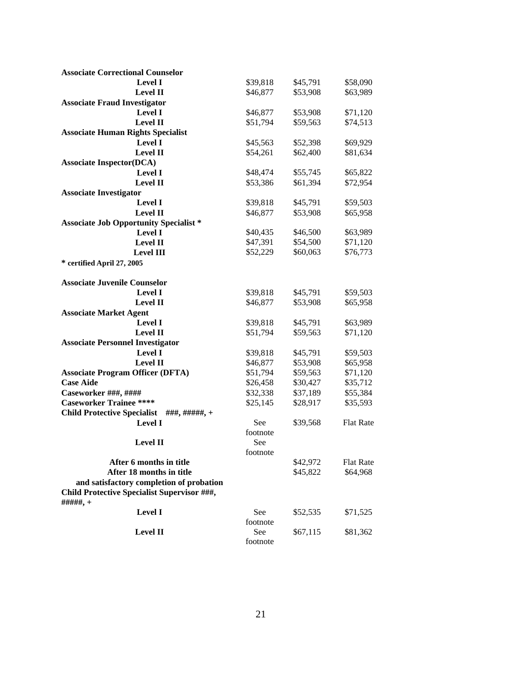| <b>Associate Correctional Counselor</b>                    |                           |                      |                      |
|------------------------------------------------------------|---------------------------|----------------------|----------------------|
| <b>Level I</b>                                             | \$39,818                  | \$45,791             | \$58,090             |
| <b>Level II</b>                                            | \$46,877                  | \$53,908             | \$63,989             |
| <b>Associate Fraud Investigator</b>                        |                           |                      |                      |
| <b>Level I</b>                                             | \$46,877                  | \$53,908             | \$71,120             |
| Level II                                                   | \$51,794                  | \$59,563             | \$74,513             |
| <b>Associate Human Rights Specialist</b>                   |                           |                      |                      |
| <b>Level I</b>                                             | \$45,563                  | \$52,398             | \$69,929             |
| <b>Level II</b>                                            | \$54,261                  | \$62,400             | \$81,634             |
| <b>Associate Inspector(DCA)</b>                            |                           |                      |                      |
| <b>Level I</b>                                             | \$48,474                  | \$55,745             | \$65,822             |
| <b>Level II</b>                                            | \$53,386                  | \$61,394             | \$72,954             |
| <b>Associate Investigator</b>                              |                           |                      |                      |
| <b>Level I</b>                                             | \$39,818                  | \$45,791             | \$59,503             |
| <b>Level II</b>                                            | \$46,877                  | \$53,908             | \$65,958             |
| <b>Associate Job Opportunity Specialist *</b>              |                           |                      |                      |
| <b>Level I</b>                                             | \$40,435                  | \$46,500             | \$63,989             |
| <b>Level II</b>                                            | \$47,391                  | \$54,500             | \$71,120             |
| <b>Level III</b>                                           | \$52,229                  | \$60,063             | \$76,773             |
| * certified April 27, 2005                                 |                           |                      |                      |
|                                                            |                           |                      |                      |
| <b>Associate Juvenile Counselor</b>                        |                           |                      |                      |
| <b>Level I</b>                                             | \$39,818                  | \$45,791             | \$59,503             |
| <b>Level II</b>                                            | \$46,877                  | \$53,908             | \$65,958             |
| <b>Associate Market Agent</b>                              |                           |                      |                      |
| <b>Level I</b>                                             | \$39,818                  | \$45,791             | \$63,989             |
| <b>Level II</b>                                            | \$51,794                  | \$59,563             | \$71,120             |
| <b>Associate Personnel Investigator</b>                    |                           |                      |                      |
| <b>Level I</b>                                             | \$39,818                  | \$45,791             | \$59,503<br>\$65,958 |
| <b>Level II</b><br><b>Associate Program Officer (DFTA)</b> | \$46,877<br>\$51,794      | \$53,908<br>\$59,563 | \$71,120             |
| <b>Case Aide</b>                                           | \$26,458                  | \$30,427             | \$35,712             |
| Caseworker ###, ####                                       | \$32,338                  | \$37,189             | \$55,384             |
| <b>Caseworker Trainee ****</b>                             | \$25,145                  | \$28,917             | \$35,593             |
| <b>Child Protective Specialist</b><br>###, #####, +        |                           |                      |                      |
| <b>Level I</b>                                             | See                       | \$39,568             | <b>Flat Rate</b>     |
|                                                            | footnote                  |                      |                      |
| <b>Level II</b>                                            | See                       |                      |                      |
|                                                            | $\operatorname{footnote}$ |                      |                      |
| After 6 months in title                                    |                           | \$42,972             | <b>Flat Rate</b>     |
| After 18 months in title                                   |                           | \$45,822             | \$64,968             |
| and satisfactory completion of probation                   |                           |                      |                      |
| Child Protective Specialist Supervisor ###,                |                           |                      |                      |
| #####, +                                                   |                           |                      |                      |
| <b>Level I</b>                                             | See                       | \$52,535             | \$71,525             |
|                                                            | footnote                  |                      |                      |
| <b>Level II</b>                                            | See                       | \$67,115             | \$81,362             |
|                                                            | footnote                  |                      |                      |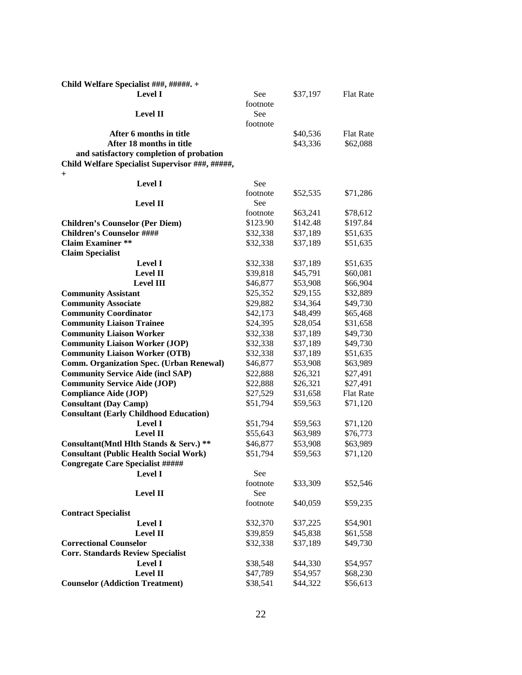| Child Welfare Specialist ###, #####. +          |          |          |                  |
|-------------------------------------------------|----------|----------|------------------|
| <b>Level I</b>                                  | See      | \$37,197 | <b>Flat Rate</b> |
|                                                 | footnote |          |                  |
| <b>Level II</b>                                 | See      |          |                  |
|                                                 | footnote |          |                  |
| After 6 months in title                         |          | \$40,536 | <b>Flat Rate</b> |
| After 18 months in title                        |          | \$43,336 | \$62,088         |
| and satisfactory completion of probation        |          |          |                  |
| Child Welfare Specialist Supervisor ###, #####, |          |          |                  |
| $\ddot{}$                                       |          |          |                  |
| <b>Level I</b>                                  | See      |          |                  |
|                                                 | footnote | \$52,535 | \$71,286         |
| <b>Level II</b>                                 | See      |          |                  |
|                                                 | footnote | \$63,241 | \$78,612         |
| <b>Children's Counselor (Per Diem)</b>          | \$123.90 | \$142.48 | \$197.84         |
| <b>Children's Counselor ####</b>                | \$32,338 | \$37,189 | \$51,635         |
| <b>Claim Examiner **</b>                        | \$32,338 | \$37,189 | \$51,635         |
| <b>Claim Specialist</b>                         |          |          |                  |
| <b>Level I</b>                                  | \$32,338 | \$37,189 | \$51,635         |
| <b>Level II</b>                                 | \$39,818 | \$45,791 | \$60,081         |
| <b>Level III</b>                                | \$46,877 | \$53,908 | \$66,904         |
| <b>Community Assistant</b>                      | \$25,352 | \$29,155 | \$32,889         |
| <b>Community Associate</b>                      | \$29,882 | \$34,364 | \$49,730         |
| <b>Community Coordinator</b>                    | \$42,173 | \$48,499 | \$65,468         |
| <b>Community Liaison Trainee</b>                | \$24,395 | \$28,054 | \$31,658         |
| <b>Community Liaison Worker</b>                 | \$32,338 | \$37,189 | \$49,730         |
| <b>Community Liaison Worker (JOP)</b>           | \$32,338 | \$37,189 | \$49,730         |
| <b>Community Liaison Worker (OTB)</b>           | \$32,338 | \$37,189 | \$51,635         |
| <b>Comm. Organization Spec. (Urban Renewal)</b> | \$46,877 | \$53,908 | \$63,989         |
| <b>Community Service Aide (incl SAP)</b>        | \$22,888 | \$26,321 | \$27,491         |
| <b>Community Service Aide (JOP)</b>             | \$22,888 | \$26,321 | \$27,491         |
| <b>Compliance Aide (JOP)</b>                    | \$27,529 | \$31,658 | <b>Flat Rate</b> |
| <b>Consultant (Day Camp)</b>                    | \$51,794 | \$59,563 | \$71,120         |
| <b>Consultant (Early Childhood Education)</b>   |          |          |                  |
| <b>Level I</b>                                  | \$51,794 | \$59,563 | \$71,120         |
| <b>Level II</b>                                 | \$55,643 | \$63,989 | \$76,773         |
| Consultant(Mntl Hlth Stands & Serv.) **         | \$46,877 | \$53,908 | \$63,989         |
| <b>Consultant (Public Health Social Work)</b>   |          |          |                  |
|                                                 | \$51,794 | \$59,563 | \$71,120         |
| <b>Congregate Care Specialist #####</b>         | See      |          |                  |
| <b>Level I</b>                                  | footnote | \$33,309 | \$52,546         |
| <b>Level II</b>                                 | See      |          |                  |
|                                                 | footnote | \$40,059 | \$59,235         |
| <b>Contract Specialist</b>                      |          |          |                  |
|                                                 |          |          |                  |
| <b>Level I</b><br>Level II                      | \$32,370 | \$37,225 | \$54,901         |
|                                                 | \$39,859 | \$45,838 | \$61,558         |
| <b>Correctional Counselor</b>                   | \$32,338 | \$37,189 | \$49,730         |
| <b>Corr. Standards Review Specialist</b>        |          |          |                  |
| <b>Level I</b>                                  | \$38,548 | \$44,330 | \$54,957         |
| Level II                                        | \$47,789 | \$54,957 | \$68,230         |
| <b>Counselor (Addiction Treatment)</b>          | \$38,541 | \$44,322 | \$56,613         |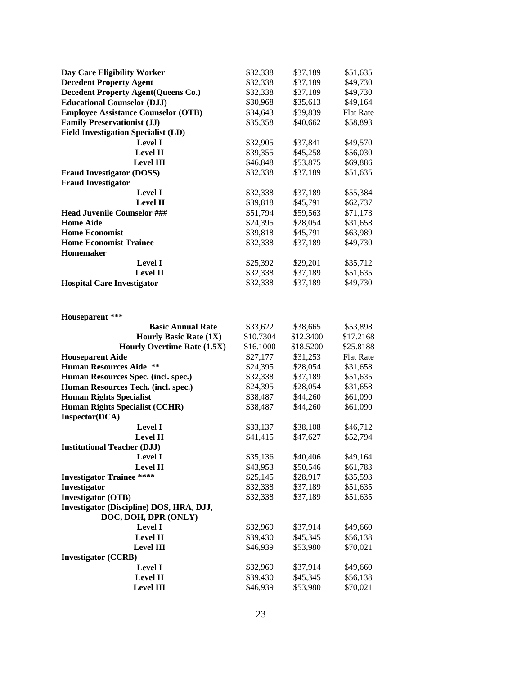| Day Care Eligibility Worker                               | \$32,338              | \$37,189              | \$51,635             |
|-----------------------------------------------------------|-----------------------|-----------------------|----------------------|
| <b>Decedent Property Agent</b>                            | \$32,338              | \$37,189              | \$49,730             |
| <b>Decedent Property Agent (Queens Co.)</b>               | \$32,338              | \$37,189              | \$49,730             |
| <b>Educational Counselor (DJJ)</b>                        | \$30,968              | \$35,613              | \$49,164             |
| <b>Employee Assistance Counselor (OTB)</b>                | \$34,643              | \$39,839              | <b>Flat Rate</b>     |
| <b>Family Preservationist (JJ)</b>                        | \$35,358              | \$40,662              | \$58,893             |
| <b>Field Investigation Specialist (LD)</b>                |                       |                       |                      |
| <b>Level I</b>                                            | \$32,905              | \$37,841              | \$49,570             |
| <b>Level II</b>                                           | \$39,355              | \$45,258              | \$56,030             |
| <b>Level III</b>                                          | \$46,848              | \$53,875              | \$69,886             |
| <b>Fraud Investigator (DOSS)</b>                          | \$32,338              | \$37,189              | \$51,635             |
| <b>Fraud Investigator</b>                                 |                       |                       |                      |
| <b>Level I</b>                                            | \$32,338              | \$37,189              | \$55,384             |
| <b>Level II</b>                                           | \$39,818              | \$45,791              | \$62,737             |
| <b>Head Juvenile Counselor ###</b>                        | \$51,794              | \$59,563              | \$71,173             |
| <b>Home Aide</b>                                          | \$24,395              | \$28,054              | \$31,658             |
| <b>Home Economist</b>                                     | \$39,818              | \$45,791              | \$63,989             |
| <b>Home Economist Trainee</b>                             | \$32,338              | \$37,189              | \$49,730             |
| Homemaker                                                 |                       |                       |                      |
| <b>Level I</b>                                            | \$25,392              | \$29,201              | \$35,712             |
| <b>Level II</b>                                           | \$32,338              | \$37,189              | \$51,635             |
| <b>Hospital Care Investigator</b>                         | \$32,338              | \$37,189              | \$49,730             |
|                                                           |                       |                       |                      |
| Houseparent ***<br><b>Basic Annual Rate</b>               |                       |                       |                      |
|                                                           | \$33,622<br>\$10.7304 | \$38,665<br>\$12.3400 | \$53,898             |
| <b>Hourly Basic Rate (1X)</b>                             |                       |                       | \$17.2168            |
| <b>Hourly Overtime Rate (1.5X)</b>                        | \$16.1000             | \$18.5200             | \$25.8188            |
| <b>Houseparent Aide</b><br><b>Human Resources Aide **</b> | \$27,177              | \$31,253              | <b>Flat Rate</b>     |
|                                                           | \$24,395              | \$28,054              | \$31,658             |
| Human Resources Spec. (incl. spec.)                       | \$32,338              | \$37,189              | \$51,635             |
| Human Resources Tech. (incl. spec.)                       | \$24,395              | \$28,054              | \$31,658             |
| <b>Human Rights Specialist</b>                            | \$38,487              | \$44,260              | \$61,090             |
| <b>Human Rights Specialist (CCHR)</b>                     | \$38,487              | \$44,260              | \$61,090             |
| Inspector(DCA)                                            |                       |                       |                      |
| <b>Level I</b><br><b>Level II</b>                         | \$33,137<br>\$41,415  | \$38,108<br>\$47,627  | \$46,712<br>\$52,794 |
| <b>Institutional Teacher (DJJ)</b>                        |                       |                       |                      |
|                                                           | \$35,136              | \$40,406              | \$49,164             |
| Level I<br><b>Level II</b>                                | \$43,953              | \$50,546              | \$61,783             |
| <b>Investigator Trainee ****</b>                          | \$25,145              | \$28,917              | \$35,593             |
| Investigator                                              | \$32,338              | \$37,189              | \$51,635             |
| <b>Investigator (OTB)</b>                                 | \$32,338              |                       |                      |
|                                                           |                       | \$37,189              | \$51,635             |
| Investigator (Discipline) DOS, HRA, DJJ,                  |                       |                       |                      |
| DOC, DOH, DPR (ONLY)                                      |                       |                       |                      |
| <b>Level I</b>                                            | \$32,969              | \$37,914              | \$49,660             |
| <b>Level II</b>                                           | \$39,430              | \$45,345              | \$56,138             |
| <b>Level III</b>                                          | \$46,939              | \$53,980              | \$70,021             |
| <b>Investigator (CCRB)</b>                                |                       |                       |                      |
| <b>Level I</b>                                            | \$32,969              | \$37,914              | \$49,660             |
| <b>Level II</b>                                           | \$39,430              | \$45,345              | \$56,138             |
| <b>Level III</b>                                          | \$46,939              | \$53,980              | \$70,021             |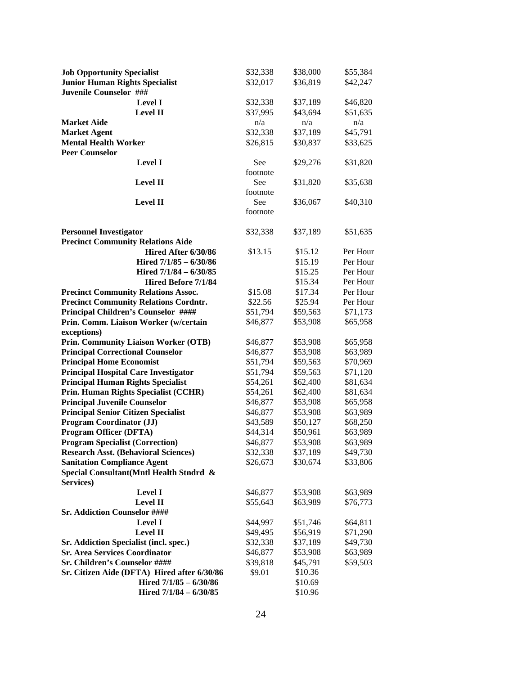| <b>Job Opportunity Specialist</b>                                               | \$32,338             | \$38,000 | \$55,384 |
|---------------------------------------------------------------------------------|----------------------|----------|----------|
| <b>Junior Human Rights Specialist</b>                                           | \$32,017             | \$36,819 | \$42,247 |
| Juvenile Counselor ###                                                          |                      |          |          |
| <b>Level I</b>                                                                  | \$32,338             | \$37,189 | \$46,820 |
| <b>Level II</b>                                                                 | \$37,995             |          | \$51,635 |
|                                                                                 |                      | \$43,694 |          |
| <b>Market Aide</b>                                                              | n/a                  | n/a      | n/a      |
| <b>Market Agent</b>                                                             | \$32,338             | \$37,189 | \$45,791 |
| <b>Mental Health Worker</b>                                                     | \$26,815             | \$30,837 | \$33,625 |
| <b>Peer Counselor</b>                                                           |                      |          |          |
| <b>Level I</b>                                                                  | See                  | \$29,276 | \$31,820 |
|                                                                                 | footnote             |          |          |
| <b>Level II</b>                                                                 | See                  | \$31,820 | \$35,638 |
|                                                                                 | footnote             |          |          |
| <b>Level II</b>                                                                 | See                  | \$36,067 | \$40,310 |
|                                                                                 | footnote             |          |          |
| <b>Personnel Investigator</b>                                                   | \$32,338             | \$37,189 | \$51,635 |
| <b>Precinct Community Relations Aide</b>                                        |                      |          |          |
| Hired After 6/30/86                                                             | \$13.15              | \$15.12  | Per Hour |
| Hired $7/1/85 - 6/30/86$                                                        |                      | \$15.19  | Per Hour |
| Hired 7/1/84 - 6/30/85                                                          |                      | \$15.25  | Per Hour |
| Hired Before 7/1/84                                                             |                      | \$15.34  | Per Hour |
| <b>Precinct Community Relations Assoc.</b>                                      | \$15.08              | \$17.34  | Per Hour |
| <b>Precinct Community Relations Cordntr.</b>                                    | \$22.56              | \$25.94  | Per Hour |
| Principal Children's Counselor ####                                             | \$51,794             | \$59,563 | \$71,173 |
| Prin. Comm. Liaison Worker (w/certain                                           | \$46,877             | \$53,908 | \$65,958 |
| exceptions)                                                                     |                      |          |          |
|                                                                                 |                      |          | \$65,958 |
| Prin. Community Liaison Worker (OTB)<br><b>Principal Correctional Counselor</b> | \$46,877<br>\$46,877 | \$53,908 |          |
|                                                                                 |                      | \$53,908 | \$63,989 |
| <b>Principal Home Economist</b>                                                 | \$51,794             | \$59,563 | \$70,969 |
| <b>Principal Hospital Care Investigator</b>                                     | \$51,794             | \$59,563 | \$71,120 |
| <b>Principal Human Rights Specialist</b>                                        | \$54,261             | \$62,400 | \$81,634 |
| Prin. Human Rights Specialist (CCHR)                                            | \$54,261             | \$62,400 | \$81,634 |
| <b>Principal Juvenile Counselor</b>                                             | \$46,877             | \$53,908 | \$65,958 |
| <b>Principal Senior Citizen Specialist</b>                                      | \$46,877             | \$53,908 | \$63,989 |
| <b>Program Coordinator (JJ)</b>                                                 | \$43,589             | \$50,127 | \$68,250 |
| <b>Program Officer (DFTA)</b>                                                   | \$44,314             | \$50,961 | \$63,989 |
| <b>Program Specialist (Correction)</b>                                          | \$46,877             | \$53,908 | \$63,989 |
| <b>Research Asst. (Behavioral Sciences)</b>                                     | \$32,338             | \$37,189 | \$49,730 |
| <b>Sanitation Compliance Agent</b>                                              | \$26,673             | \$30,674 | \$33,806 |
| Special Consultant (Mntl Health Stndrd &                                        |                      |          |          |
| Services)                                                                       |                      |          |          |
| <b>Level I</b>                                                                  | \$46,877             | \$53,908 | \$63,989 |
| <b>Level II</b>                                                                 | \$55,643             | \$63,989 | \$76,773 |
| <b>Sr. Addiction Counselor ####</b>                                             |                      |          |          |
| <b>Level I</b>                                                                  | \$44,997             | \$51,746 | \$64,811 |
| <b>Level II</b>                                                                 | \$49,495             | \$56,919 | \$71,290 |
| Sr. Addiction Specialist (incl. spec.)                                          | \$32,338             | \$37,189 | \$49,730 |
| <b>Sr. Area Services Coordinator</b>                                            | \$46,877             | \$53,908 | \$63,989 |
| Sr. Children's Counselor ####                                                   | \$39,818             | \$45,791 | \$59,503 |
| Sr. Citizen Aide (DFTA) Hired after 6/30/86                                     | \$9.01               | \$10.36  |          |
| Hired 7/1/85 - 6/30/86                                                          |                      | \$10.69  |          |
| Hired 7/1/84 - 6/30/85                                                          |                      | \$10.96  |          |
|                                                                                 |                      |          |          |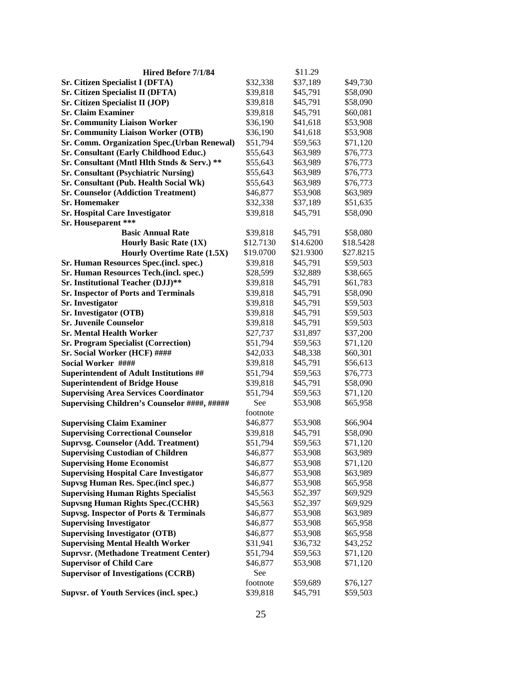| Hired Before 7/1/84                               |           | \$11.29   |           |
|---------------------------------------------------|-----------|-----------|-----------|
| Sr. Citizen Specialist I (DFTA)                   | \$32,338  | \$37,189  | \$49,730  |
| <b>Sr. Citizen Specialist II (DFTA)</b>           | \$39,818  | \$45,791  | \$58,090  |
| Sr. Citizen Specialist II (JOP)                   | \$39,818  | \$45,791  | \$58,090  |
| <b>Sr. Claim Examiner</b>                         | \$39,818  | \$45,791  | \$60,081  |
| <b>Sr. Community Liaison Worker</b>               | \$36,190  | \$41,618  | \$53,908  |
| <b>Sr. Community Liaison Worker (OTB)</b>         | \$36,190  | \$41,618  | \$53,908  |
| Sr. Comm. Organization Spec.(Urban Renewal)       | \$51,794  | \$59,563  | \$71,120  |
| Sr. Consultant (Early Childhood Educ.)            | \$55,643  | \$63,989  | \$76,773  |
| Sr. Consultant (Mntl Hlth Stnds & Serv.) **       | \$55,643  | \$63,989  | \$76,773  |
| <b>Sr. Consultant (Psychiatric Nursing)</b>       | \$55,643  | \$63,989  | \$76,773  |
| Sr. Consultant (Pub. Health Social Wk)            | \$55,643  | \$63,989  | \$76,773  |
| <b>Sr. Counselor (Addiction Treatment)</b>        | \$46,877  | \$53,908  | \$63,989  |
| <b>Sr. Homemaker</b>                              | \$32,338  | \$37,189  | \$51,635  |
| <b>Sr. Hospital Care Investigator</b>             | \$39,818  | \$45,791  | \$58,090  |
| Sr. Houseparent ***                               |           |           |           |
| <b>Basic Annual Rate</b>                          | \$39,818  | \$45,791  | \$58,080  |
| <b>Hourly Basic Rate (1X)</b>                     | \$12.7130 | \$14.6200 | \$18.5428 |
| <b>Hourly Overtime Rate (1.5X)</b>                | \$19.0700 | \$21.9300 | \$27.8215 |
| Sr. Human Resources Spec.(incl. spec.)            | \$39,818  | \$45,791  | \$59,503  |
| Sr. Human Resources Tech.(incl. spec.)            | \$28,599  | \$32,889  | \$38,665  |
| Sr. Institutional Teacher (DJJ)**                 | \$39,818  | \$45,791  | \$61,783  |
| <b>Sr. Inspector of Ports and Terminals</b>       | \$39,818  | \$45,791  | \$58,090  |
| <b>Sr.</b> Investigator                           | \$39,818  | \$45,791  | \$59,503  |
| Sr. Investigator (OTB)                            | \$39,818  | \$45,791  | \$59,503  |
| <b>Sr. Juvenile Counselor</b>                     | \$39,818  | \$45,791  | \$59,503  |
| <b>Sr. Mental Health Worker</b>                   | \$27,737  | \$31,897  | \$37,200  |
| <b>Sr. Program Specialist (Correction)</b>        | \$51,794  | \$59,563  | \$71,120  |
| Sr. Social Worker (HCF) ####                      | \$42,033  | \$48,338  | \$60,301  |
| Social Worker ####                                | \$39,818  | \$45,791  | \$56,613  |
| <b>Superintendent of Adult Institutions ##</b>    | \$51,794  | \$59,563  | \$76,773  |
| <b>Superintendent of Bridge House</b>             | \$39,818  | \$45,791  | \$58,090  |
| <b>Supervising Area Services Coordinator</b>      | \$51,794  | \$59,563  | \$71,120  |
| Supervising Children's Counselor ####, #####      | See       | \$53,908  | \$65,958  |
|                                                   | footnote  |           |           |
| <b>Supervising Claim Examiner</b>                 | \$46,877  | \$53,908  | \$66,904  |
| <b>Supervising Correctional Counselor</b>         | \$39,818  | \$45,791  | \$58,090  |
| <b>Suprvsg. Counselor (Add. Treatment)</b>        | \$51,794  | \$59,563  | \$71,120  |
| <b>Supervising Custodian of Children</b>          | \$46,877  | \$53,908  | \$63,989  |
| <b>Supervising Home Economist</b>                 | \$46,877  | \$53,908  | \$71,120  |
| <b>Supervising Hospital Care Investigator</b>     | \$46,877  | \$53,908  | \$63,989  |
| <b>Supvsg Human Res. Spec.(incl spec.)</b>        | \$46,877  | \$53,908  | \$65,958  |
| <b>Supervising Human Rights Specialist</b>        | \$45,563  | \$52,397  | \$69,929  |
| <b>Supvsng Human Rights Spec.(CCHR)</b>           | \$45,563  | \$52,397  | \$69,929  |
| <b>Supvsg. Inspector of Ports &amp; Terminals</b> | \$46,877  | \$53,908  | \$63,989  |
| <b>Supervising Investigator</b>                   | \$46,877  | \$53,908  | \$65,958  |
| <b>Supervising Investigator (OTB)</b>             | \$46,877  | \$53,908  | \$65,958  |
| <b>Supervising Mental Health Worker</b>           | \$31,941  | \$36,732  | \$43,252  |
| <b>Suprvsr.</b> (Methadone Treatment Center)      | \$51,794  | \$59,563  | \$71,120  |
| <b>Supervisor of Child Care</b>                   | \$46,877  | \$53,908  | \$71,120  |
| <b>Supervisor of Investigations (CCRB)</b>        | See       |           |           |
|                                                   | footnote  | \$59,689  | \$76,127  |
| <b>Supvsr. of Youth Services (incl. spec.)</b>    | \$39,818  | \$45,791  | \$59,503  |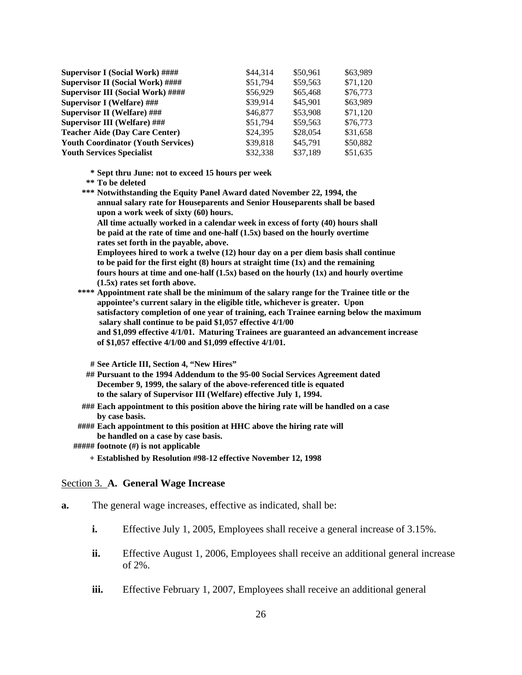| <b>Supervisor I (Social Work) ####</b>    | \$44,314 | \$50.961 | \$63,989 |
|-------------------------------------------|----------|----------|----------|
| <b>Supervisor II (Social Work) ####</b>   | \$51,794 | \$59,563 | \$71,120 |
| <b>Supervisor III (Social Work) ####</b>  | \$56,929 | \$65,468 | \$76,773 |
| <b>Supervisor I (Welfare) ###</b>         | \$39,914 | \$45,901 | \$63,989 |
| <b>Supervisor II (Welfare)</b> ###        | \$46,877 | \$53,908 | \$71,120 |
| Supervisor III (Welfare) ###              | \$51,794 | \$59,563 | \$76,773 |
| <b>Teacher Aide (Day Care Center)</b>     | \$24,395 | \$28,054 | \$31,658 |
| <b>Youth Coordinator (Youth Services)</b> | \$39,818 | \$45,791 | \$50,882 |
| <b>Youth Services Specialist</b>          | \$32,338 | \$37,189 | \$51,635 |

- **\* Sept thru June: not to exceed 15 hours per week**
- **\*\* To be deleted**

**\*\*\* Notwithstanding the Equity Panel Award dated November 22, 1994, the annual salary rate for Houseparents and Senior Houseparents shall be based upon a work week of sixty (60) hours.** 

 **All time actually worked in a calendar week in excess of forty (40) hours shall be paid at the rate of time and one-half (1.5x) based on the hourly overtime rates set forth in the payable, above.** 

 **Employees hired to work a twelve (12) hour day on a per diem basis shall continue to be paid for the first eight (8) hours at straight time (1x) and the remaining fours hours at time and one-half (1.5x) based on the hourly (1x) and hourly overtime (1.5x) rates set forth above.**

**\*\*\*\* Appointment rate shall be the minimum of the salary range for the Trainee title or the appointee's current salary in the eligible title, whichever is greater. Upon satisfactory completion of one year of training, each Trainee earning below the maximum salary shall continue to be paid \$1,057 effective 4/1/00 and \$1,099 effective 4/1/01. Maturing Trainees are guaranteed an advancement increase of \$1,057 effective 4/1/00 and \$1,099 effective 4/1/01.**

**# See Article III, Section 4, "New Hires"** 

- **## Pursuant to the 1994 Addendum to the 95-00 Social Services Agreement dated December 9, 1999, the salary of the above-referenced title is equated to the salary of Supervisor III (Welfare) effective July 1, 1994.**
- **### Each appointment to this position above the hiring rate will be handled on a case by case basis.**

### **#### Each appointment to this position at HHC above the hiring rate will be handled on a case by case basis.**

- **##### footnote (#) is not applicable** 
	- **+ Established by Resolution #98-12 effective November 12, 1998**

### Section 3. **A. General Wage Increase**

- **a.** The general wage increases, effective as indicated, shall be:
	- **i.** Effective July 1, 2005, Employees shall receive a general increase of 3.15%.
	- **ii.** Effective August 1, 2006, Employees shall receive an additional general increase of 2%.
	- **iii.** Effective February 1, 2007, Employees shall receive an additional general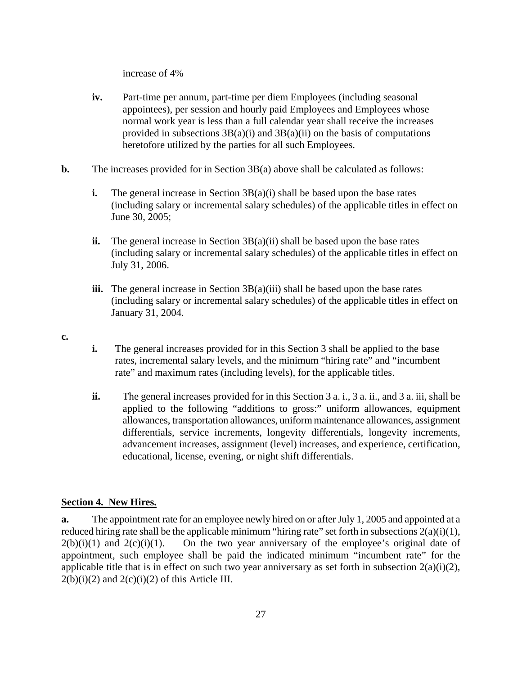increase of 4%

- **iv.** Part-time per annum, part-time per diem Employees (including seasonal appointees), per session and hourly paid Employees and Employees whose normal work year is less than a full calendar year shall receive the increases provided in subsections  $3B(a)(i)$  and  $3B(a)(ii)$  on the basis of computations heretofore utilized by the parties for all such Employees.
- **b.** The increases provided for in Section 3B(a) above shall be calculated as follows:
	- **i.** The general increase in Section  $3B(a)(i)$  shall be based upon the base rates (including salary or incremental salary schedules) of the applicable titles in effect on June 30, 2005;
	- **ii.** The general increase in Section  $3B(a)(ii)$  shall be based upon the base rates (including salary or incremental salary schedules) of the applicable titles in effect on July 31, 2006.
	- **iii.** The general increase in Section  $3B(a)(iii)$  shall be based upon the base rates (including salary or incremental salary schedules) of the applicable titles in effect on January 31, 2004.
- **c.**
- **i.** The general increases provided for in this Section 3 shall be applied to the base rates, incremental salary levels, and the minimum "hiring rate" and "incumbent rate" and maximum rates (including levels), for the applicable titles.
- **ii.** The general increases provided for in this Section 3 a. i., 3 a. ii., and 3 a. iii, shall be applied to the following "additions to gross:" uniform allowances, equipment allowances, transportation allowances, uniform maintenance allowances, assignment differentials, service increments, longevity differentials, longevity increments, advancement increases, assignment (level) increases, and experience, certification, educational, license, evening, or night shift differentials.

### **Section 4. New Hires.**

**a.** The appointment rate for an employee newly hired on or after July 1, 2005 and appointed at a reduced hiring rate shall be the applicable minimum "hiring rate" set forth in subsections  $2(a)(i)(1)$ ,  $2(b)(i)(1)$  and  $2(c)(i)(1)$ . On the two year anniversary of the employee's original date of appointment, such employee shall be paid the indicated minimum "incumbent rate" for the applicable title that is in effect on such two year anniversary as set forth in subsection  $2(a)(i)(2)$ ,  $2(b)(i)(2)$  and  $2(c)(i)(2)$  of this Article III.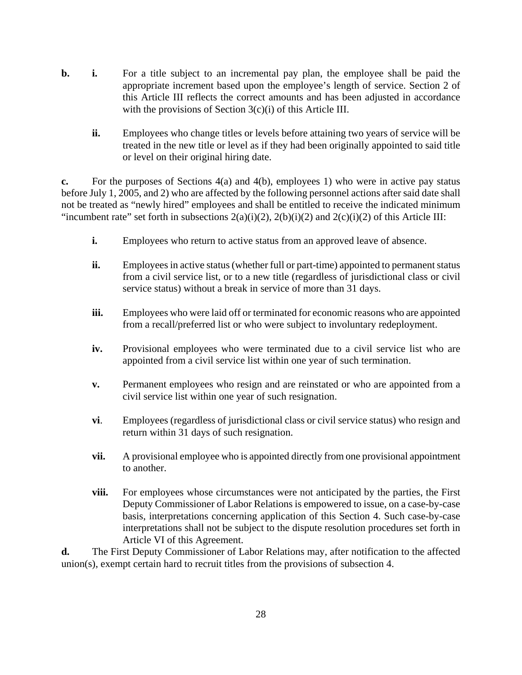- **b. i.** For a title subject to an incremental pay plan, the employee shall be paid the appropriate increment based upon the employee's length of service. Section 2 of this Article III reflects the correct amounts and has been adjusted in accordance with the provisions of Section 3(c)(i) of this Article III.
	- **ii.** Employees who change titles or levels before attaining two years of service will be treated in the new title or level as if they had been originally appointed to said title or level on their original hiring date.

**c.** For the purposes of Sections 4(a) and 4(b), employees 1) who were in active pay status before July 1, 2005, and 2) who are affected by the following personnel actions after said date shall not be treated as "newly hired" employees and shall be entitled to receive the indicated minimum "incumbent rate" set forth in subsections  $2(a)(i)(2)$ ,  $2(b)(i)(2)$  and  $2(c)(i)(2)$  of this Article III:

- **i.** Employees who return to active status from an approved leave of absence.
- **ii.** Employees in active status (whether full or part-time) appointed to permanent status from a civil service list, or to a new title (regardless of jurisdictional class or civil service status) without a break in service of more than 31 days.
- **iii.** Employees who were laid off or terminated for economic reasons who are appointed from a recall/preferred list or who were subject to involuntary redeployment.
- **iv.** Provisional employees who were terminated due to a civil service list who are appointed from a civil service list within one year of such termination.
- **v.** Permanent employees who resign and are reinstated or who are appointed from a civil service list within one year of such resignation.
- **vi**. Employees (regardless of jurisdictional class or civil service status) who resign and return within 31 days of such resignation.
- **vii.** A provisional employee who is appointed directly from one provisional appointment to another.
- **viii.** For employees whose circumstances were not anticipated by the parties, the First Deputy Commissioner of Labor Relations is empowered to issue, on a case-by-case basis, interpretations concerning application of this Section 4. Such case-by-case interpretations shall not be subject to the dispute resolution procedures set forth in Article VI of this Agreement.

**d.** The First Deputy Commissioner of Labor Relations may, after notification to the affected union(s), exempt certain hard to recruit titles from the provisions of subsection 4.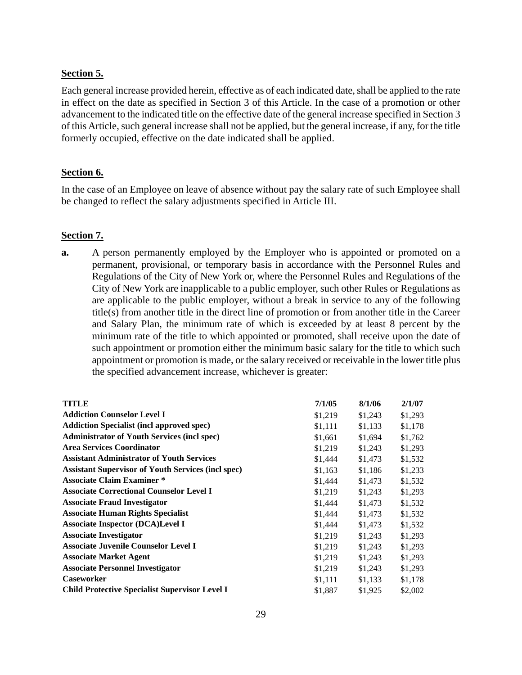### **Section 5.**

Each general increase provided herein, effective as of each indicated date, shall be applied to the rate in effect on the date as specified in Section 3 of this Article. In the case of a promotion or other advancement to the indicated title on the effective date of the general increase specified in Section 3 of this Article, such general increase shall not be applied, but the general increase, if any, for the title formerly occupied, effective on the date indicated shall be applied.

### **Section 6.**

In the case of an Employee on leave of absence without pay the salary rate of such Employee shall be changed to reflect the salary adjustments specified in Article III.

### **Section 7.**

**a.** A person permanently employed by the Employer who is appointed or promoted on a permanent, provisional, or temporary basis in accordance with the Personnel Rules and Regulations of the City of New York or, where the Personnel Rules and Regulations of the City of New York are inapplicable to a public employer, such other Rules or Regulations as are applicable to the public employer, without a break in service to any of the following title(s) from another title in the direct line of promotion or from another title in the Career and Salary Plan, the minimum rate of which is exceeded by at least 8 percent by the minimum rate of the title to which appointed or promoted, shall receive upon the date of such appointment or promotion either the minimum basic salary for the title to which such appointment or promotion is made, or the salary received or receivable in the lower title plus the specified advancement increase, whichever is greater:

| TITLE                                                     | 7/1/05  | 8/1/06  | 2/1/07  |
|-----------------------------------------------------------|---------|---------|---------|
| <b>Addiction Counselor Level I</b>                        | \$1,219 | \$1,243 | \$1,293 |
| <b>Addiction Specialist (incl approved spec)</b>          | \$1,111 | \$1,133 | \$1,178 |
| <b>Administrator of Youth Services (incl spec)</b>        | \$1,661 | \$1,694 | \$1,762 |
| <b>Area Services Coordinator</b>                          | \$1,219 | \$1,243 | \$1,293 |
| <b>Assistant Administrator of Youth Services</b>          | \$1,444 | \$1,473 | \$1,532 |
| <b>Assistant Supervisor of Youth Services (incl spec)</b> | \$1,163 | \$1,186 | \$1,233 |
| <b>Associate Claim Examiner *</b>                         | \$1,444 | \$1,473 | \$1,532 |
| <b>Associate Correctional Counselor Level I</b>           | \$1,219 | \$1,243 | \$1,293 |
| <b>Associate Fraud Investigator</b>                       | \$1,444 | \$1,473 | \$1,532 |
| <b>Associate Human Rights Specialist</b>                  | \$1,444 | \$1,473 | \$1,532 |
| <b>Associate Inspector (DCA)Level I</b>                   | \$1,444 | \$1,473 | \$1,532 |
| <b>Associate Investigator</b>                             | \$1,219 | \$1,243 | \$1,293 |
| <b>Associate Juvenile Counselor Level I</b>               | \$1,219 | \$1,243 | \$1,293 |
| <b>Associate Market Agent</b>                             | \$1,219 | \$1,243 | \$1,293 |
| <b>Associate Personnel Investigator</b>                   | \$1.219 | \$1,243 | \$1,293 |
| <b>Caseworker</b>                                         | \$1,111 | \$1,133 | \$1,178 |
| <b>Child Protective Specialist Supervisor Level I</b>     | \$1,887 | \$1,925 | \$2,002 |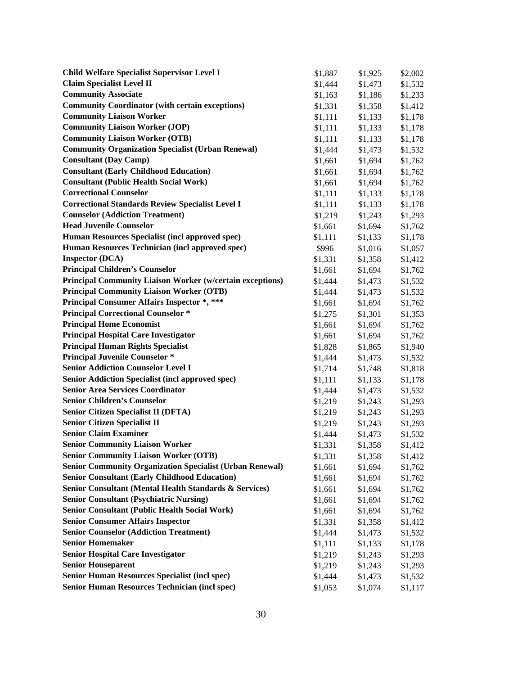| <b>Child Welfare Specialist Supervisor Level I</b>               | \$1,887 | \$1,925 | \$2,002 |
|------------------------------------------------------------------|---------|---------|---------|
| <b>Claim Specialist Level II</b>                                 | \$1,444 | \$1,473 | \$1,532 |
| <b>Community Associate</b>                                       | \$1,163 | \$1,186 | \$1,233 |
| <b>Community Coordinator (with certain exceptions)</b>           | \$1,331 | \$1,358 | \$1,412 |
| <b>Community Liaison Worker</b>                                  | \$1,111 | \$1,133 | \$1,178 |
| <b>Community Liaison Worker (JOP)</b>                            | \$1,111 | \$1,133 | \$1,178 |
| <b>Community Liaison Worker (OTB)</b>                            | \$1,111 | \$1,133 | \$1,178 |
| <b>Community Organization Specialist (Urban Renewal)</b>         | \$1,444 | \$1,473 | \$1,532 |
| <b>Consultant (Day Camp)</b>                                     | \$1,661 | \$1,694 | \$1,762 |
| <b>Consultant (Early Childhood Education)</b>                    | \$1,661 | \$1,694 | \$1,762 |
| <b>Consultant (Public Health Social Work)</b>                    | \$1,661 | \$1,694 | \$1,762 |
| <b>Correctional Counselor</b>                                    | \$1,111 | \$1,133 | \$1,178 |
| <b>Correctional Standards Review Specialist Level I</b>          | \$1,111 | \$1,133 | \$1,178 |
| <b>Counselor (Addiction Treatment)</b>                           | \$1,219 | \$1,243 | \$1,293 |
| <b>Head Juvenile Counselor</b>                                   | \$1,661 | \$1,694 | \$1,762 |
| Human Resources Specialist (incl approved spec)                  | \$1,111 | \$1,133 | \$1,178 |
| Human Resources Technician (incl approved spec)                  | \$996   | \$1,016 | \$1,057 |
| <b>Inspector (DCA)</b>                                           | \$1,331 | \$1,358 | \$1,412 |
| <b>Principal Children's Counselor</b>                            | \$1,661 | \$1,694 | \$1,762 |
| <b>Principal Community Liaison Worker (w/certain exceptions)</b> | \$1,444 | \$1,473 | \$1,532 |
| <b>Principal Community Liaison Worker (OTB)</b>                  | \$1,444 | \$1,473 | \$1,532 |
| <b>Principal Consumer Affairs Inspector *, ***</b>               | \$1,661 | \$1,694 | \$1,762 |
| <b>Principal Correctional Counselor *</b>                        | \$1,275 | \$1,301 | \$1,353 |
| <b>Principal Home Economist</b>                                  | \$1,661 | \$1,694 | \$1,762 |
| <b>Principal Hospital Care Investigator</b>                      | \$1,661 | \$1,694 | \$1,762 |
| <b>Principal Human Rights Specialist</b>                         | \$1,828 | \$1,865 | \$1,940 |
| <b>Principal Juvenile Counselor *</b>                            | \$1,444 | \$1,473 | \$1,532 |
| <b>Senior Addiction Counselor Level I</b>                        | \$1,714 | \$1,748 | \$1,818 |
| <b>Senior Addiction Specialist (incl approved spec)</b>          | \$1,111 | \$1,133 | \$1,178 |
| <b>Senior Area Services Coordinator</b>                          | \$1,444 | \$1,473 | \$1,532 |
| <b>Senior Children's Counselor</b>                               | \$1,219 | \$1,243 | \$1,293 |
| <b>Senior Citizen Specialist II (DFTA)</b>                       | \$1,219 | \$1,243 | \$1,293 |
| <b>Senior Citizen Specialist II</b>                              | \$1,219 | \$1,243 | \$1,293 |
| <b>Senior Claim Examiner</b>                                     | \$1,444 | \$1,473 | \$1,532 |
| <b>Senior Community Liaison Worker</b>                           | \$1,331 | \$1,358 | \$1,412 |
| <b>Senior Community Liaison Worker (OTB)</b>                     | \$1,331 | \$1,358 | \$1,412 |
| <b>Senior Community Organization Specialist (Urban Renewal)</b>  | \$1,661 | \$1,694 | \$1,762 |
| <b>Senior Consultant (Early Childhood Education)</b>             | \$1,661 | \$1,694 | \$1,762 |
| Senior Consultant (Mental Health Standards & Services)           | \$1,661 | \$1,694 | \$1,762 |
| <b>Senior Consultant (Psychiatric Nursing)</b>                   | \$1,661 | \$1,694 | \$1,762 |
| <b>Senior Consultant (Public Health Social Work)</b>             | \$1,661 | \$1,694 | \$1,762 |
| <b>Senior Consumer Affairs Inspector</b>                         | \$1,331 | \$1,358 | \$1,412 |
| <b>Senior Counselor (Addiction Treatment)</b>                    | \$1,444 | \$1,473 | \$1,532 |
| <b>Senior Homemaker</b>                                          | \$1,111 | \$1,133 | \$1,178 |
| <b>Senior Hospital Care Investigator</b>                         | \$1,219 | \$1,243 | \$1,293 |
| <b>Senior Houseparent</b>                                        | \$1,219 | \$1,243 | \$1,293 |
| <b>Senior Human Resources Specialist (incl spec)</b>             | \$1,444 | \$1,473 | \$1,532 |
| <b>Senior Human Resources Technician (incl spec)</b>             | \$1,053 | \$1,074 | \$1,117 |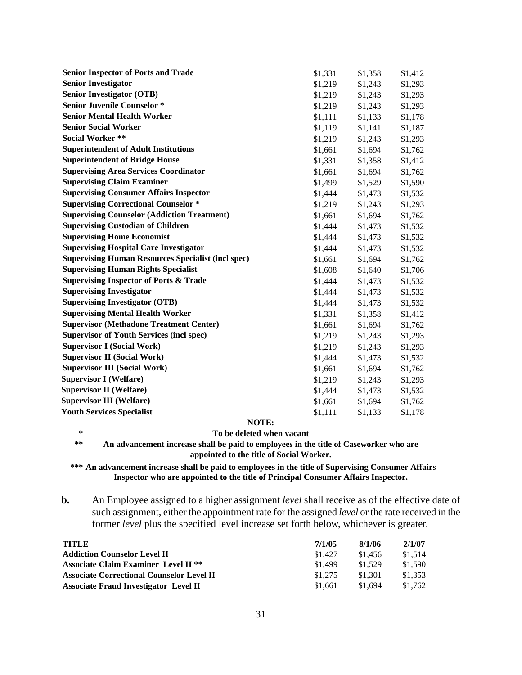| <b>Senior Inspector of Ports and Trade</b>                | \$1,331 | \$1,358 | \$1,412 |
|-----------------------------------------------------------|---------|---------|---------|
| <b>Senior Investigator</b>                                | \$1,219 | \$1,243 | \$1,293 |
| <b>Senior Investigator (OTB)</b>                          | \$1,219 | \$1,243 | \$1,293 |
| <b>Senior Juvenile Counselor *</b>                        | \$1,219 | \$1,243 | \$1,293 |
| <b>Senior Mental Health Worker</b>                        | \$1,111 | \$1,133 | \$1,178 |
| <b>Senior Social Worker</b>                               | \$1,119 | \$1,141 | \$1,187 |
| <b>Social Worker **</b>                                   | \$1,219 | \$1,243 | \$1,293 |
| <b>Superintendent of Adult Institutions</b>               | \$1,661 | \$1,694 | \$1,762 |
| <b>Superintendent of Bridge House</b>                     | \$1,331 | \$1,358 | \$1,412 |
| <b>Supervising Area Services Coordinator</b>              | \$1,661 | \$1,694 | \$1,762 |
| <b>Supervising Claim Examiner</b>                         | \$1,499 | \$1,529 | \$1,590 |
| <b>Supervising Consumer Affairs Inspector</b>             | \$1,444 | \$1,473 | \$1,532 |
| <b>Supervising Correctional Counselor *</b>               | \$1,219 | \$1,243 | \$1,293 |
| <b>Supervising Counselor (Addiction Treatment)</b>        | \$1,661 | \$1,694 | \$1,762 |
| <b>Supervising Custodian of Children</b>                  | \$1,444 | \$1,473 | \$1,532 |
| <b>Supervising Home Economist</b>                         | \$1,444 | \$1,473 | \$1,532 |
| <b>Supervising Hospital Care Investigator</b>             | \$1,444 | \$1,473 | \$1,532 |
| <b>Supervising Human Resources Specialist (incl spec)</b> | \$1,661 | \$1,694 | \$1,762 |
| <b>Supervising Human Rights Specialist</b>                | \$1,608 | \$1,640 | \$1,706 |
| <b>Supervising Inspector of Ports &amp; Trade</b>         | \$1,444 | \$1,473 | \$1,532 |
| <b>Supervising Investigator</b>                           | \$1,444 | \$1,473 | \$1,532 |
| <b>Supervising Investigator (OTB)</b>                     | \$1,444 | \$1,473 | \$1,532 |
| <b>Supervising Mental Health Worker</b>                   | \$1,331 | \$1,358 | \$1,412 |
| <b>Supervisor (Methadone Treatment Center)</b>            | \$1,661 | \$1,694 | \$1,762 |
| <b>Supervisor of Youth Services (incl spec)</b>           | \$1,219 | \$1,243 | \$1,293 |
| <b>Supervisor I (Social Work)</b>                         | \$1,219 | \$1,243 | \$1,293 |
| <b>Supervisor II (Social Work)</b>                        | \$1,444 | \$1,473 | \$1,532 |
| <b>Supervisor III (Social Work)</b>                       | \$1,661 | \$1,694 | \$1,762 |
| <b>Supervisor I (Welfare)</b>                             | \$1,219 | \$1,243 | \$1,293 |
| <b>Supervisor II (Welfare)</b>                            | \$1,444 | \$1,473 | \$1,532 |
| <b>Supervisor III (Welfare)</b>                           | \$1,661 | \$1,694 | \$1,762 |
| <b>Youth Services Specialist</b>                          | \$1,111 | \$1,133 | \$1,178 |

 **NOTE:** 

**\* To be deleted when vacant** 

**\*\* An advancement increase shall be paid to employees in the title of Caseworker who are appointed to the title of Social Worker.** 

**\*\*\* An advancement increase shall be paid to employees in the title of Supervising Consumer Affairs Inspector who are appointed to the title of Principal Consumer Affairs Inspector.** 

**b.** An Employee assigned to a higher assignment *level* shall receive as of the effective date of such assignment, either the appointment rate for the assigned *level* or the rate received in the former *level* plus the specified level increase set forth below, whichever is greater.

| <b>TITLE</b>                                     | 7/1/05  | 8/1/06  | 2/1/07  |
|--------------------------------------------------|---------|---------|---------|
| <b>Addiction Counselor Level II</b>              | \$1,427 | \$1.456 | \$1.514 |
| <b>Associate Claim Examiner Level II **</b>      | \$1,499 | \$1.529 | \$1.590 |
| <b>Associate Correctional Counselor Level II</b> | \$1,275 | \$1,301 | \$1.353 |
| <b>Associate Fraud Investigator Level II</b>     | \$1.661 | \$1.694 | \$1.762 |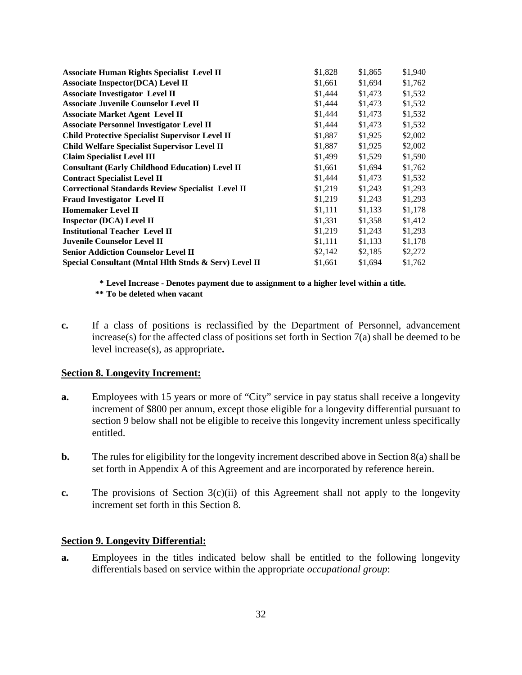<span id="page-31-0"></span>

| <b>Associate Human Rights Specialist Level II</b>        | \$1,828 | \$1,865 | \$1,940 |
|----------------------------------------------------------|---------|---------|---------|
| Associate Inspector(DCA) Level II                        | \$1,661 | \$1,694 | \$1,762 |
| <b>Associate Investigator Level II</b>                   | \$1,444 | \$1,473 | \$1,532 |
| <b>Associate Juvenile Counselor Level II</b>             | \$1,444 | \$1,473 | \$1,532 |
| <b>Associate Market Agent Level II</b>                   | \$1,444 | \$1,473 | \$1,532 |
| <b>Associate Personnel Investigator Level II</b>         | \$1,444 | \$1,473 | \$1,532 |
| <b>Child Protective Specialist Supervisor Level II</b>   | \$1,887 | \$1,925 | \$2,002 |
| <b>Child Welfare Specialist Supervisor Level II</b>      | \$1,887 | \$1,925 | \$2,002 |
| <b>Claim Specialist Level III</b>                        | \$1,499 | \$1,529 | \$1,590 |
| <b>Consultant (Early Childhood Education) Level II</b>   | \$1,661 | \$1,694 | \$1,762 |
| <b>Contract Specialist Level II</b>                      | \$1,444 | \$1,473 | \$1,532 |
| <b>Correctional Standards Review Specialist Level II</b> | \$1,219 | \$1,243 | \$1,293 |
| <b>Fraud Investigator Level II</b>                       | \$1,219 | \$1,243 | \$1,293 |
| <b>Homemaker Level II</b>                                | \$1,111 | \$1,133 | \$1,178 |
| <b>Inspector (DCA)</b> Level II                          | \$1,331 | \$1,358 | \$1,412 |
| <b>Institutional Teacher Level II</b>                    | \$1,219 | \$1,243 | \$1,293 |
| <b>Juvenile Counselor Level II</b>                       | \$1,111 | \$1,133 | \$1,178 |
| <b>Senior Addiction Counselor Level II</b>               | \$2,142 | \$2,185 | \$2,272 |
| Special Consultant (Mntal Hlth Stnds & Serv) Level II    | \$1,661 | \$1,694 | \$1,762 |

**\* Level Increase - Denotes payment due to assignment to a higher level within a title.** 

**c.** If a class of positions is reclassified by the Department of Personnel, advancement increase(s) for the affected class of positions set forth in Section 7(a) shall be deemed to be level increase(s), as appropriate**.** 

### **Section 8. Longevity Increment:**

- **a.** Employees with 15 years or more of "City" service in pay status shall receive a longevity increment of \$800 per annum, except those eligible for a longevity differential pursuant to section 9 below shall not be eligible to receive this longevity increment unless specifically entitled.
- **b.** The rules for eligibility for the longevity increment described above in Section 8(a) shall be set forth in Appendix A of this Agreement and are incorporated by reference herein.
- **c.** The provisions of Section 3(c)(ii) of this Agreement shall not apply to the longevity increment set forth in this Section 8.

### **Section 9. Longevity Differential:**

**a.** Employees in the titles indicated below shall be entitled to the following longevity differentials based on service within the appropriate *occupational group*:

**<sup>\*\*</sup> To be deleted when vacant**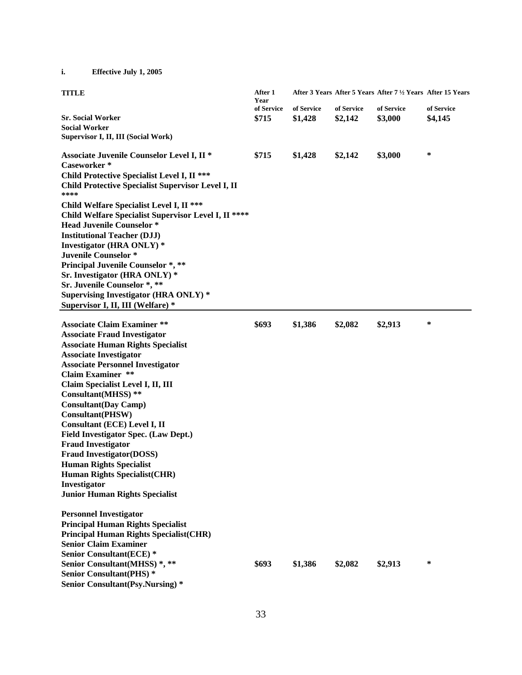## **i. Effective July 1, 2005**

| <b>TITLE</b>                                                                                              | After 1<br>Year |            |            | After 3 Years After 5 Years After 7 1/2 Years After 15 Years |            |
|-----------------------------------------------------------------------------------------------------------|-----------------|------------|------------|--------------------------------------------------------------|------------|
|                                                                                                           | of Service      | of Service | of Service | of Service                                                   | of Service |
| <b>Sr. Social Worker</b>                                                                                  | \$715           | \$1,428    | \$2,142    | \$3,000                                                      | \$4,145    |
| <b>Social Worker</b>                                                                                      |                 |            |            |                                                              |            |
| Supervisor I, II, III (Social Work)                                                                       |                 |            |            |                                                              |            |
|                                                                                                           |                 |            |            |                                                              |            |
| Associate Juvenile Counselor Level I, II <sup>*</sup><br>Caseworker*                                      | \$715           | \$1,428    | \$2,142    | \$3,000                                                      | $\ast$     |
| Child Protective Specialist Level I, II ***<br>Child Protective Specialist Supervisor Level I, II<br>**** |                 |            |            |                                                              |            |
| Child Welfare Specialist Level I, II ***<br>Child Welfare Specialist Supervisor Level I, II ****          |                 |            |            |                                                              |            |
| <b>Head Juvenile Counselor *</b>                                                                          |                 |            |            |                                                              |            |
| <b>Institutional Teacher (DJJ)</b>                                                                        |                 |            |            |                                                              |            |
| Investigator (HRA ONLY) *                                                                                 |                 |            |            |                                                              |            |
| Juvenile Counselor *                                                                                      |                 |            |            |                                                              |            |
| <b>Principal Juvenile Counselor *, **</b>                                                                 |                 |            |            |                                                              |            |
| Sr. Investigator (HRA ONLY) *                                                                             |                 |            |            |                                                              |            |
| Sr. Juvenile Counselor *, **                                                                              |                 |            |            |                                                              |            |
| Supervising Investigator (HRA ONLY) *                                                                     |                 |            |            |                                                              |            |
| Supervisor I, II, III (Welfare) *                                                                         |                 |            |            |                                                              |            |
|                                                                                                           |                 |            |            |                                                              |            |
| <b>Associate Claim Examiner **</b>                                                                        | \$693           | \$1,386    | \$2,082    | \$2,913                                                      | ∗          |
| <b>Associate Fraud Investigator</b>                                                                       |                 |            |            |                                                              |            |
| <b>Associate Human Rights Specialist</b>                                                                  |                 |            |            |                                                              |            |
| <b>Associate Investigator</b>                                                                             |                 |            |            |                                                              |            |
| <b>Associate Personnel Investigator</b>                                                                   |                 |            |            |                                                              |            |
| <b>Claim Examiner **</b>                                                                                  |                 |            |            |                                                              |            |
| Claim Specialist Level I, II, III                                                                         |                 |            |            |                                                              |            |
| Consultant(MHSS) **                                                                                       |                 |            |            |                                                              |            |
| <b>Consultant(Day Camp)</b>                                                                               |                 |            |            |                                                              |            |
| Consultant(PHSW)                                                                                          |                 |            |            |                                                              |            |
| Consultant (ECE) Level I, II                                                                              |                 |            |            |                                                              |            |
| <b>Field Investigator Spec. (Law Dept.)</b>                                                               |                 |            |            |                                                              |            |
| <b>Fraud Investigator</b>                                                                                 |                 |            |            |                                                              |            |
| <b>Fraud Investigator(DOSS)</b>                                                                           |                 |            |            |                                                              |            |
| <b>Human Rights Specialist</b>                                                                            |                 |            |            |                                                              |            |
| <b>Human Rights Specialist(CHR)</b>                                                                       |                 |            |            |                                                              |            |
| Investigator                                                                                              |                 |            |            |                                                              |            |
| <b>Junior Human Rights Specialist</b>                                                                     |                 |            |            |                                                              |            |
|                                                                                                           |                 |            |            |                                                              |            |
| <b>Personnel Investigator</b>                                                                             |                 |            |            |                                                              |            |
| <b>Principal Human Rights Specialist</b>                                                                  |                 |            |            |                                                              |            |
| <b>Principal Human Rights Specialist(CHR)</b>                                                             |                 |            |            |                                                              |            |
| <b>Senior Claim Examiner</b>                                                                              |                 |            |            |                                                              |            |
| <b>Senior Consultant(ECE) *</b>                                                                           |                 |            |            |                                                              |            |
| Senior Consultant(MHSS) *, **                                                                             | \$693           | \$1,386    | \$2,082    | \$2,913                                                      | $\ast$     |
| <b>Senior Consultant(PHS)*</b>                                                                            |                 |            |            |                                                              |            |
| <b>Senior Consultant(Psy.Nursing)*</b>                                                                    |                 |            |            |                                                              |            |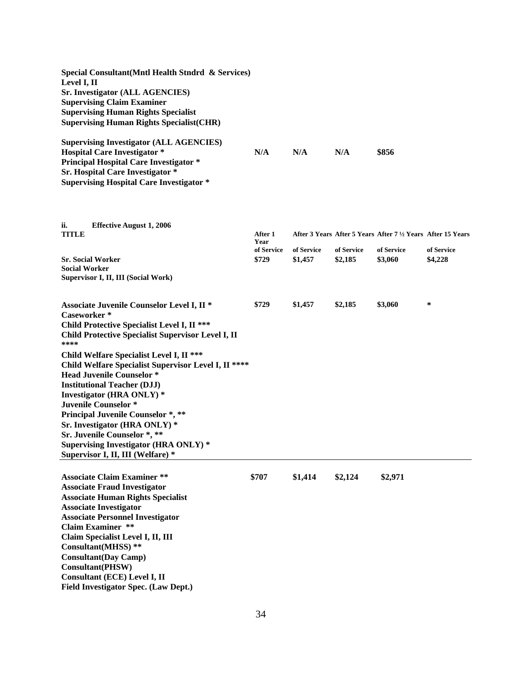| Special Consultant (Mntl Health Stndrd & Services)<br>Level I, II<br>Sr. Investigator (ALL AGENCIES)<br><b>Supervising Claim Examiner</b><br><b>Supervising Human Rights Specialist</b><br><b>Supervising Human Rights Specialist(CHR)</b>                                                                               |                     |                       |                       |                                                              |                       |
|--------------------------------------------------------------------------------------------------------------------------------------------------------------------------------------------------------------------------------------------------------------------------------------------------------------------------|---------------------|-----------------------|-----------------------|--------------------------------------------------------------|-----------------------|
| <b>Supervising Investigator (ALL AGENCIES)</b><br><b>Hospital Care Investigator *</b><br><b>Principal Hospital Care Investigator *</b><br><b>Sr. Hospital Care Investigator *</b><br><b>Supervising Hospital Care Investigator *</b>                                                                                     | N/A                 | N/A                   | N/A                   | \$856                                                        |                       |
| ii.<br><b>Effective August 1, 2006</b><br><b>TITLE</b>                                                                                                                                                                                                                                                                   | After 1<br>Year     |                       |                       | After 3 Years After 5 Years After 7 1/2 Years After 15 Years |                       |
| <b>Sr. Social Worker</b><br><b>Social Worker</b><br>Supervisor I, II, III (Social Work)                                                                                                                                                                                                                                  | of Service<br>\$729 | of Service<br>\$1,457 | of Service<br>\$2,185 | of Service<br>\$3,060                                        | of Service<br>\$4,228 |
| Associate Juvenile Counselor Level I, II <sup>*</sup><br>Caseworker*<br>Child Protective Specialist Level I, II ***<br>Child Protective Specialist Supervisor Level I, II<br>****                                                                                                                                        | \$729               | \$1,457               | \$2,185               | \$3,060                                                      | ∗                     |
| Child Welfare Specialist Level I, II ***<br>Child Welfare Specialist Supervisor Level I, II ****<br><b>Head Juvenile Counselor *</b><br><b>Institutional Teacher (DJJ)</b><br><b>Investigator (HRA ONLY) *</b>                                                                                                           |                     |                       |                       |                                                              |                       |
| <b>Juvenile Counselor *</b><br><b>Principal Juvenile Counselor *, **</b><br>Sr. Investigator (HRA ONLY) *<br>Sr. Juvenile Counselor *, **<br>Supervising Investigator (HRA ONLY) *<br>Supervisor I, II, III (Welfare) *                                                                                                  |                     |                       |                       |                                                              |                       |
| <b>Associate Claim Examiner **</b><br><b>Associate Fraud Investigator</b><br><b>Associate Human Rights Specialist</b><br><b>Associate Investigator</b><br><b>Associate Personnel Investigator</b><br><b>Claim Examiner **</b><br>Claim Specialist Level I, II, III<br>Consultant(MHSS) **<br><b>Consultant(Day Camp)</b> | \$707               | \$1,414               | \$2,124               | \$2,971                                                      |                       |
| Consultant(PHSW)<br>Consultant (ECE) Level I, II<br><b>Field Investigator Spec. (Law Dept.)</b>                                                                                                                                                                                                                          |                     |                       |                       |                                                              |                       |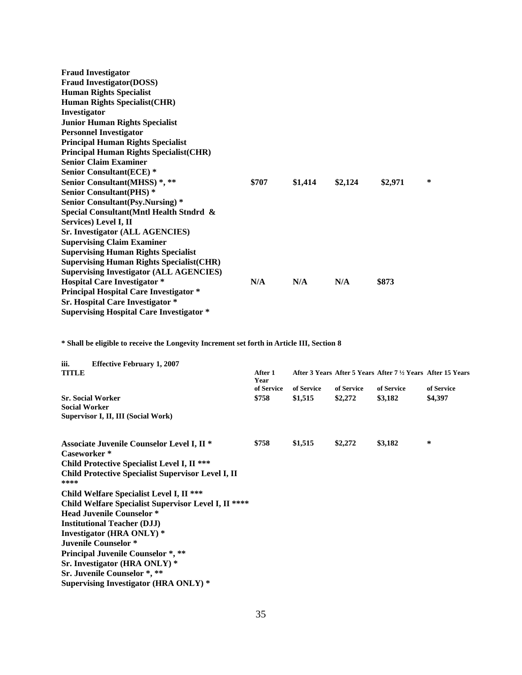| <b>Fraud Investigator</b>                                                                  |       |         |         |         |   |
|--------------------------------------------------------------------------------------------|-------|---------|---------|---------|---|
| <b>Fraud Investigator(DOSS)</b>                                                            |       |         |         |         |   |
| <b>Human Rights Specialist</b>                                                             |       |         |         |         |   |
| <b>Human Rights Specialist(CHR)</b>                                                        |       |         |         |         |   |
| Investigator                                                                               |       |         |         |         |   |
| <b>Junior Human Rights Specialist</b>                                                      |       |         |         |         |   |
| <b>Personnel Investigator</b>                                                              |       |         |         |         |   |
| <b>Principal Human Rights Specialist</b>                                                   |       |         |         |         |   |
| <b>Principal Human Rights Specialist(CHR)</b>                                              |       |         |         |         |   |
| <b>Senior Claim Examiner</b>                                                               |       |         |         |         |   |
| <b>Senior Consultant(ECE) *</b>                                                            |       |         |         |         |   |
| Senior Consultant(MHSS) *, **                                                              | \$707 | \$1,414 | \$2,124 | \$2,971 | * |
| <b>Senior Consultant(PHS)*</b>                                                             |       |         |         |         |   |
| <b>Senior Consultant(Psy.Nursing)*</b>                                                     |       |         |         |         |   |
| Special Consultant (Mntl Health Stndrd &                                                   |       |         |         |         |   |
| Services) Level I, II                                                                      |       |         |         |         |   |
| Sr. Investigator (ALL AGENCIES)                                                            |       |         |         |         |   |
| <b>Supervising Claim Examiner</b>                                                          |       |         |         |         |   |
| <b>Supervising Human Rights Specialist</b>                                                 |       |         |         |         |   |
| <b>Supervising Human Rights Specialist(CHR)</b>                                            |       |         |         |         |   |
| <b>Supervising Investigator (ALL AGENCIES)</b>                                             |       |         |         |         |   |
| <b>Hospital Care Investigator *</b>                                                        | N/A   | N/A     | N/A     | \$873   |   |
| <b>Principal Hospital Care Investigator *</b>                                              |       |         |         |         |   |
| <b>Sr. Hospital Care Investigator *</b>                                                    |       |         |         |         |   |
| <b>Supervising Hospital Care Investigator *</b>                                            |       |         |         |         |   |
|                                                                                            |       |         |         |         |   |
|                                                                                            |       |         |         |         |   |
| * Shall be eligible to receive the Longevity Increment set forth in Article III, Section 8 |       |         |         |         |   |

Shall be eligible to receive the Longevity Increment set forth in Article III, Section 8

| iii.<br><b>Effective February 1, 2007</b><br><b>TITLE</b>  | After 1            |            |            | After 3 Years After 5 Years After 7 1/2 Years After 15 Years |            |
|------------------------------------------------------------|--------------------|------------|------------|--------------------------------------------------------------|------------|
|                                                            | Year<br>of Service | of Service | of Service | of Service                                                   | of Service |
| <b>Sr. Social Worker</b>                                   | \$758              | \$1,515    | \$2,272    | \$3,182                                                      | \$4,397    |
| <b>Social Worker</b>                                       |                    |            |            |                                                              |            |
| Supervisor I, II, III (Social Work)                        |                    |            |            |                                                              |            |
| Associate Juvenile Counselor Level I, II <sup>*</sup>      | \$758              | \$1,515    | \$2,272    | \$3,182                                                      | $\ast$     |
| Caseworker*                                                |                    |            |            |                                                              |            |
| Child Protective Specialist Level I, II ***                |                    |            |            |                                                              |            |
| Child Protective Specialist Supervisor Level I, II<br>**** |                    |            |            |                                                              |            |
| Child Welfare Specialist Level I, II ***                   |                    |            |            |                                                              |            |
| Child Welfare Specialist Supervisor Level I, II ****       |                    |            |            |                                                              |            |
| <b>Head Juvenile Counselor *</b>                           |                    |            |            |                                                              |            |
| <b>Institutional Teacher (DJJ)</b>                         |                    |            |            |                                                              |            |
| <b>Investigator (HRA ONLY) *</b>                           |                    |            |            |                                                              |            |
| Juvenile Counselor *                                       |                    |            |            |                                                              |            |
| <b>Principal Juvenile Counselor *, **</b>                  |                    |            |            |                                                              |            |
| Sr. Investigator (HRA ONLY) *                              |                    |            |            |                                                              |            |
| Sr. Juvenile Counselor *, **                               |                    |            |            |                                                              |            |
| Supervising Investigator (HRA ONLY) *                      |                    |            |            |                                                              |            |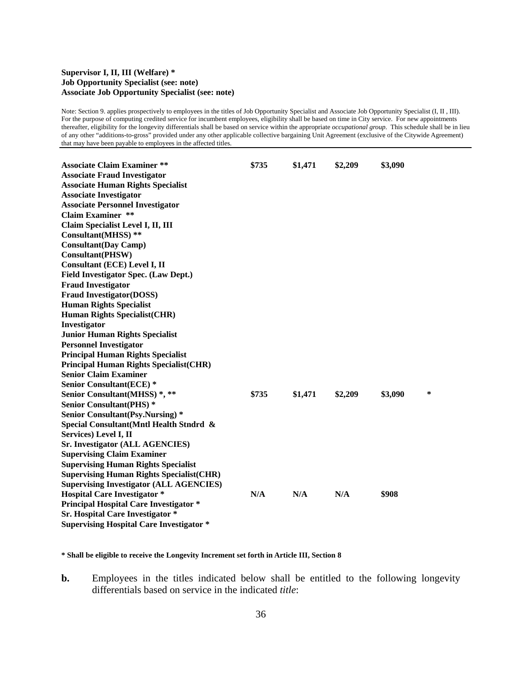#### **Supervisor I, II, III (Welfare) \* Job Opportunity Specialist (see: note) Associate Job Opportunity Specialist (see: note)**

Note: Section 9. applies prospectively to employees in the titles of Job Opportunity Specialist and Associate Job Opportunity Specialist (I, II , III). For the purpose of computing credited service for incumbent employees, eligibility shall be based on time in City service. For new appointments thereafter, eligibility for the longevity differentials shall be based on service within the appropriate *occupational group*. This schedule shall be in lieu of any other "additions-to-gross" provided under any other applicable collective bargaining Unit Agreement (exclusive of the Citywide Agreement) that may have been payable to employees in the affected titles.

| <b>Associate Claim Examiner **</b>               | \$735 | \$1,471 | \$2,209 | \$3,090 |   |
|--------------------------------------------------|-------|---------|---------|---------|---|
| <b>Associate Fraud Investigator</b>              |       |         |         |         |   |
| <b>Associate Human Rights Specialist</b>         |       |         |         |         |   |
| <b>Associate Investigator</b>                    |       |         |         |         |   |
| <b>Associate Personnel Investigator</b>          |       |         |         |         |   |
| <b>Claim Examiner</b> **                         |       |         |         |         |   |
| Claim Specialist Level I, II, III                |       |         |         |         |   |
| Consultant(MHSS) **                              |       |         |         |         |   |
| <b>Consultant</b> (Day Camp)                     |       |         |         |         |   |
| Consultant(PHSW)                                 |       |         |         |         |   |
| Consultant (ECE) Level I, II                     |       |         |         |         |   |
| <b>Field Investigator Spec. (Law Dept.)</b>      |       |         |         |         |   |
| <b>Fraud Investigator</b>                        |       |         |         |         |   |
| <b>Fraud Investigator(DOSS)</b>                  |       |         |         |         |   |
| <b>Human Rights Specialist</b>                   |       |         |         |         |   |
| <b>Human Rights Specialist(CHR)</b>              |       |         |         |         |   |
| Investigator                                     |       |         |         |         |   |
| <b>Junior Human Rights Specialist</b>            |       |         |         |         |   |
| <b>Personnel Investigator</b>                    |       |         |         |         |   |
| <b>Principal Human Rights Specialist</b>         |       |         |         |         |   |
| <b>Principal Human Rights Specialist(CHR)</b>    |       |         |         |         |   |
| <b>Senior Claim Examiner</b>                     |       |         |         |         |   |
| <b>Senior Consultant(ECE) *</b>                  |       |         |         |         |   |
| Senior Consultant(MHSS) *, **                    | \$735 | \$1,471 | \$2,209 | \$3,090 | ∗ |
| <b>Senior Consultant(PHS) *</b>                  |       |         |         |         |   |
| <b>Senior Consultant(Psy.Nursing)*</b>           |       |         |         |         |   |
| Special Consultant (Mntl Health Stndrd &         |       |         |         |         |   |
| Services) Level I, II                            |       |         |         |         |   |
| Sr. Investigator (ALL AGENCIES)                  |       |         |         |         |   |
| <b>Supervising Claim Examiner</b>                |       |         |         |         |   |
| <b>Supervising Human Rights Specialist</b>       |       |         |         |         |   |
| <b>Supervising Human Rights Specialist (CHR)</b> |       |         |         |         |   |
| <b>Supervising Investigator (ALL AGENCIES)</b>   |       |         |         |         |   |
| <b>Hospital Care Investigator *</b>              | N/A   | N/A     | N/A     | \$908   |   |
| <b>Principal Hospital Care Investigator *</b>    |       |         |         |         |   |
| <b>Sr. Hospital Care Investigator *</b>          |       |         |         |         |   |
| <b>Supervising Hospital Care Investigator *</b>  |       |         |         |         |   |

**\* Shall be eligible to receive the Longevity Increment set forth in Article III, Section 8** 

**b.** Employees in the titles indicated below shall be entitled to the following longevity differentials based on service in the indicated *title*: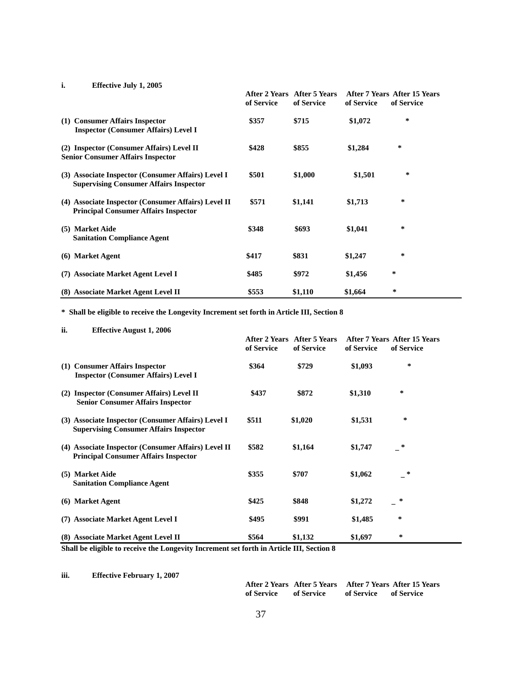|  | <b>Effective July 1, 2005</b> |
|--|-------------------------------|
|--|-------------------------------|

|                                                                                                     | of Service | After 2 Years After 5 Years<br>of Service | of Service | After 7 Years After 15 Years<br>of Service |
|-----------------------------------------------------------------------------------------------------|------------|-------------------------------------------|------------|--------------------------------------------|
| (1) Consumer Affairs Inspector<br><b>Inspector (Consumer Affairs) Level I</b>                       | \$357      | \$715                                     | \$1,072    | ∗                                          |
| (2) Inspector (Consumer Affairs) Level II<br><b>Senior Consumer Affairs Inspector</b>               | \$428      | \$855                                     | \$1,284    | *                                          |
| (3) Associate Inspector (Consumer Affairs) Level I<br><b>Supervising Consumer Affairs Inspector</b> | \$501      | \$1,000                                   | \$1,501    | ∗                                          |
| (4) Associate Inspector (Consumer Affairs) Level II<br><b>Principal Consumer Affairs Inspector</b>  | \$571      | \$1,141                                   | \$1,713    | ∗                                          |
| (5) Market Aide<br><b>Sanitation Compliance Agent</b>                                               | \$348      | \$693                                     | \$1,041    | ∗                                          |
| (6) Market Agent                                                                                    | \$417      | \$831                                     | \$1,247    | *                                          |
| (7) Associate Market Agent Level I                                                                  | \$485      | \$972                                     | \$1,456    | ∗                                          |
| (8) Associate Market Agent Level II                                                                 | \$553      | \$1,110                                   | \$1,664    | *                                          |

**\* Shall be eligible to receive the Longevity Increment set forth in Article III, Section 8** 

#### **ii. Effective August 1, 2006**

|     |                                                                                                     | of Service | After 2 Years After 5 Years<br>of Service | of Service | After 7 Years After 15 Years<br>of Service |
|-----|-----------------------------------------------------------------------------------------------------|------------|-------------------------------------------|------------|--------------------------------------------|
| (1) | <b>Consumer Affairs Inspector</b><br><b>Inspector (Consumer Affairs) Level I</b>                    | \$364      | \$729                                     | \$1,093    | ∗                                          |
| (2) | <b>Inspector (Consumer Affairs) Level II</b><br><b>Senior Consumer Affairs Inspector</b>            | \$437      | \$872                                     | \$1,310    | *                                          |
|     | (3) Associate Inspector (Consumer Affairs) Level I<br><b>Supervising Consumer Affairs Inspector</b> | \$511      | \$1,020                                   | \$1,531    | ∗                                          |
|     | (4) Associate Inspector (Consumer Affairs) Level II<br><b>Principal Consumer Affairs Inspector</b>  | \$582      | \$1,164                                   | \$1,747    | *                                          |
|     | (5) Market Aide<br><b>Sanitation Compliance Agent</b>                                               | \$355      | \$707                                     | \$1,062    | ∗                                          |
|     | (6) Market Agent                                                                                    | \$425      | \$848                                     | \$1,272    | ∗                                          |
|     | (7) Associate Market Agent Level I                                                                  | \$495      | \$991                                     | \$1,485    | ∗                                          |
|     | (8) Associate Market Agent Level II                                                                 | \$564      | \$1,132                                   | \$1,697    | ∗                                          |

**Shall be eligible to receive the Longevity Increment set forth in Article III, Section 8** 

**iii. Effective February 1, 2007** 

 **After 2 Years After 5 Years After 7 Years After 15 Years of Service of Service of Service of Service**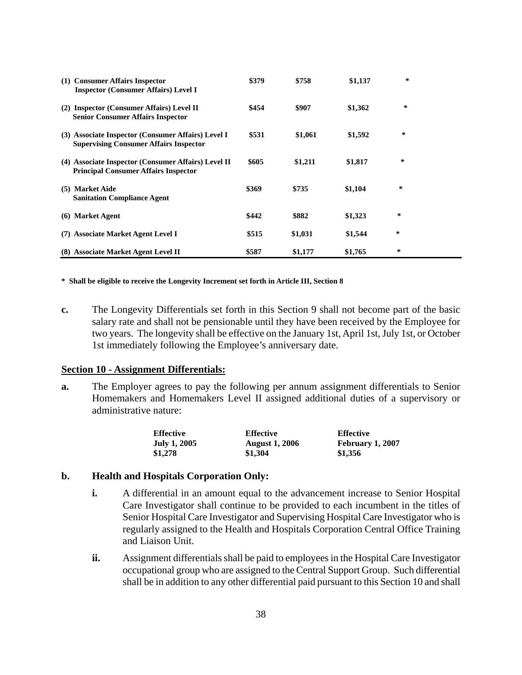| (1) Consumer Affairs Inspector<br><b>Inspector (Consumer Affairs) Level I</b>                       | \$379 | \$758   | \$1,137 | * |
|-----------------------------------------------------------------------------------------------------|-------|---------|---------|---|
| (2) Inspector (Consumer Affairs) Level II<br><b>Senior Consumer Affairs Inspector</b>               | \$454 | \$907   | \$1,362 | ∗ |
| (3) Associate Inspector (Consumer Affairs) Level I<br><b>Supervising Consumer Affairs Inspector</b> | \$531 | \$1,061 | \$1,592 | * |
| (4) Associate Inspector (Consumer Affairs) Level II<br><b>Principal Consumer Affairs Inspector</b>  | \$605 | \$1,211 | \$1,817 | ∗ |
| (5) Market Aide<br><b>Sanitation Compliance Agent</b>                                               | \$369 | \$735   | \$1,104 | * |
| (6) Market Agent                                                                                    | \$442 | \$882   | \$1,323 | * |
| (7) Associate Market Agent Level I                                                                  | \$515 | \$1,031 | \$1,544 | * |
| (8) Associate Market Agent Level II                                                                 | \$587 | \$1,177 | \$1,765 | ∗ |

**\* Shall be eligible to receive the Longevity Increment set forth in Article III, Section 8** 

**c.** The Longevity Differentials set forth in this Section 9 shall not become part of the basic salary rate and shall not be pensionable until they have been received by the Employee for two years. The longevity shall be effective on the January 1st, April 1st, July 1st, or October 1st immediately following the Employee's anniversary date.

#### **Section 10 - Assignment Differentials:**

**a.** The Employer agrees to pay the following per annum assignment differentials to Senior Homemakers and Homemakers Level II assigned additional duties of a supervisory or administrative nature:

| <b>Effective</b>    | <b>Effective</b>      | <b>Effective</b> |
|---------------------|-----------------------|------------------|
| <b>July 1, 2005</b> | <b>August 1, 2006</b> | February 1, 2007 |
| \$1,278             | \$1,304               | \$1,356          |

#### **b. Health and Hospitals Corporation Only:**

- **i.** A differential in an amount equal to the advancement increase to Senior Hospital Care Investigator shall continue to be provided to each incumbent in the titles of Senior Hospital Care Investigator and Supervising Hospital Care Investigator who is regularly assigned to the Health and Hospitals Corporation Central Office Training and Liaison Unit.
- **ii.** Assignment differentials shall be paid to employees in the Hospital Care Investigator occupational group who are assigned to the Central Support Group. Such differential shall be in addition to any other differential paid pursuant to this Section 10 and shall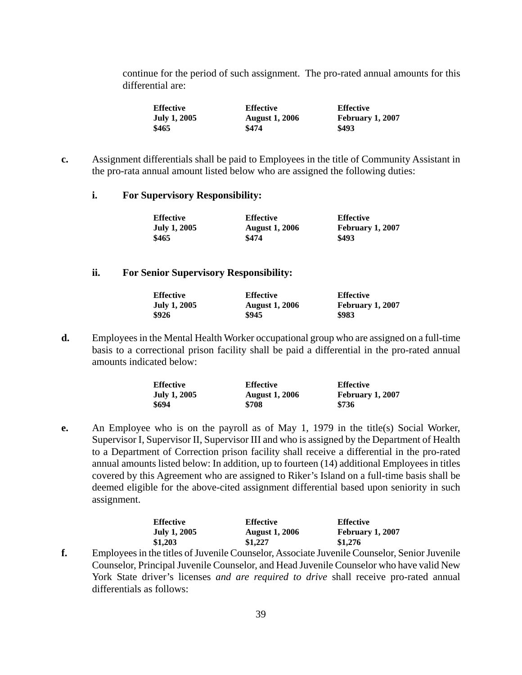continue for the period of such assignment. The pro-rated annual amounts for this differential are:

| <b>Effective</b>    | <b>Effective</b>      | <b>Effective</b> |
|---------------------|-----------------------|------------------|
| <b>July 1, 2005</b> | <b>August 1, 2006</b> | February 1, 2007 |
| \$465               | \$474                 | \$493            |

- **c.** Assignment differentials shall be paid to Employees in the title of Community Assistant in the pro-rata annual amount listed below who are assigned the following duties:
	- **i. For Supervisory Responsibility:**

| <b>Effective</b>    | <b>Effective</b>      | <b>Effective</b> |
|---------------------|-----------------------|------------------|
| <b>July 1, 2005</b> | <b>August 1, 2006</b> | February 1, 2007 |
| \$465               | \$474                 | \$493            |

#### **ii. For Senior Supervisory Responsibility:**

| <b>Effective</b>    | <b>Effective</b>      | <b>Effective</b> |
|---------------------|-----------------------|------------------|
| <b>July 1, 2005</b> | <b>August 1, 2006</b> | February 1, 2007 |
| \$926               | \$945                 | \$983            |

**d.** Employees in the Mental Health Worker occupational group who are assigned on a full-time basis to a correctional prison facility shall be paid a differential in the pro-rated annual amounts indicated below:

| <b>Effective</b>    | <b>Effective</b>      | <b>Effective</b>        |
|---------------------|-----------------------|-------------------------|
| <b>July 1, 2005</b> | <b>August 1, 2006</b> | <b>February 1, 2007</b> |
| \$694               | \$708                 | \$736                   |

**e.** An Employee who is on the payroll as of May 1, 1979 in the title(s) Social Worker, Supervisor I, Supervisor II, Supervisor III and who is assigned by the Department of Health to a Department of Correction prison facility shall receive a differential in the pro-rated annual amounts listed below: In addition, up to fourteen (14) additional Employees in titles covered by this Agreement who are assigned to Riker's Island on a full-time basis shall be deemed eligible for the above-cited assignment differential based upon seniority in such assignment.

| <b>Effective</b>    | <b>Effective</b>      | <b>Effective</b> |
|---------------------|-----------------------|------------------|
| <b>July 1, 2005</b> | <b>August 1, 2006</b> | February 1, 2007 |
| \$1,203             | \$1,227               | \$1,276          |

**f.** Employees in the titles of Juvenile Counselor, Associate Juvenile Counselor, Senior Juvenile Counselor, Principal Juvenile Counselor, and Head Juvenile Counselor who have valid New York State driver's licenses *and are required to drive* shall receive pro-rated annual differentials as follows: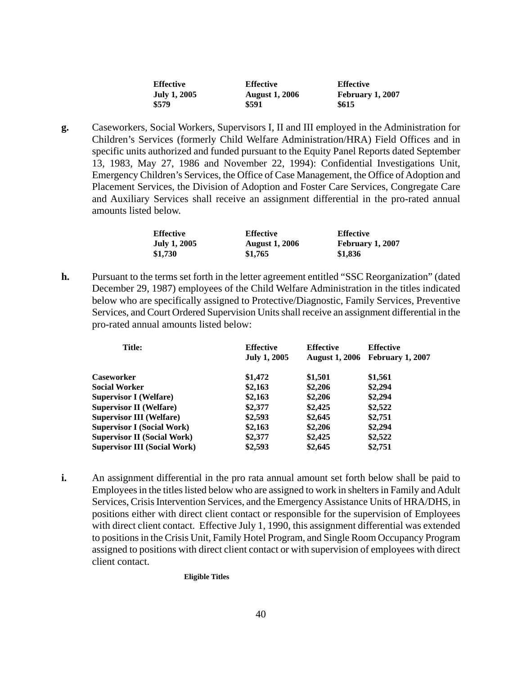| <b>Effective</b>    | <b>Effective</b>      | <b>Effective</b>        |
|---------------------|-----------------------|-------------------------|
| <b>July 1, 2005</b> | <b>August 1, 2006</b> | <b>February 1, 2007</b> |
| \$579               | \$591                 | \$615                   |

**g.** Caseworkers, Social Workers, Supervisors I, II and III employed in the Administration for Children's Services (formerly Child Welfare Administration/HRA) Field Offices and in specific units authorized and funded pursuant to the Equity Panel Reports dated September 13, 1983, May 27, 1986 and November 22, 1994): Confidential Investigations Unit, Emergency Children's Services, the Office of Case Management, the Office of Adoption and Placement Services, the Division of Adoption and Foster Care Services, Congregate Care and Auxiliary Services shall receive an assignment differential in the pro-rated annual amounts listed below.

| <b>Effective</b>    | <b>Effective</b>      | <b>Effective</b> |
|---------------------|-----------------------|------------------|
| <b>July 1, 2005</b> | <b>August 1, 2006</b> | February 1, 2007 |
| \$1,730             | \$1,765               | \$1,836          |

**h.** Pursuant to the terms set forth in the letter agreement entitled "SSC Reorganization" (dated December 29, 1987) employees of the Child Welfare Administration in the titles indicated below who are specifically assigned to Protective/Diagnostic, Family Services, Preventive Services, and Court Ordered Supervision Units shall receive an assignment differential in the pro-rated annual amounts listed below:

| <b>Effective</b>    | <b>Effective</b> | <b>Effective</b>                       |
|---------------------|------------------|----------------------------------------|
| <b>July 1, 2005</b> |                  | <b>August 1, 2006</b> February 1, 2007 |
| \$1,472             | \$1,501          | \$1,561                                |
| \$2,163             | \$2,206          | \$2,294                                |
| \$2,163             | \$2,206          | \$2,294                                |
| \$2,377             | \$2,425          | \$2,522                                |
| \$2,593             | \$2,645          | \$2,751                                |
| \$2,163             | \$2,206          | \$2,294                                |
| \$2,377             | \$2,425          | \$2,522                                |
| \$2,593             | \$2,645          | \$2,751                                |
|                     |                  |                                        |

**i.** An assignment differential in the pro rata annual amount set forth below shall be paid to Employees in the titles listed below who are assigned to work in shelters in Family and Adult Services, Crisis Intervention Services, and the Emergency Assistance Units of HRA/DHS, in positions either with direct client contact or responsible for the supervision of Employees with direct client contact. Effective July 1, 1990, this assignment differential was extended to positions in the Crisis Unit, Family Hotel Program, and Single Room Occupancy Program assigned to positions with direct client contact or with supervision of employees with direct client contact.

 **Eligible Titles**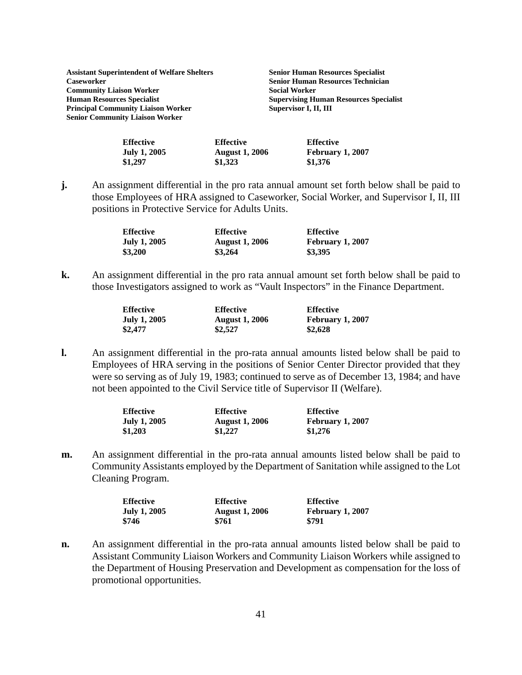| <b>Assistant Superintendent of Welfare Shelters</b> | <b>Senior Human Resources Specialist</b>      |
|-----------------------------------------------------|-----------------------------------------------|
| <b>Caseworker</b>                                   | <b>Senior Human Resources Technician</b>      |
| <b>Community Liaison Worker</b>                     | <b>Social Worker</b>                          |
| <b>Human Resources Specialist</b>                   | <b>Supervising Human Resources Specialist</b> |
| <b>Principal Community Liaison Worker</b>           | Supervisor I, II, III                         |
| <b>Senior Community Liaison Worker</b>              |                                               |
|                                                     |                                               |
|                                                     |                                               |

| <b>Effective</b>    | <b>Effective</b>      | <b>Effective</b> |
|---------------------|-----------------------|------------------|
| <b>July 1, 2005</b> | <b>August 1, 2006</b> | February 1, 2007 |
| \$1,297             | \$1,323               | \$1,376          |

**j.** An assignment differential in the pro rata annual amount set forth below shall be paid to those Employees of HRA assigned to Caseworker, Social Worker, and Supervisor I, II, III positions in Protective Service for Adults Units.

| <b>Effective</b>    | <b>Effective</b>      | <b>Effective</b>        |
|---------------------|-----------------------|-------------------------|
| <b>July 1, 2005</b> | <b>August 1, 2006</b> | <b>February 1, 2007</b> |
| \$3,200             | \$3,264               | \$3,395                 |

**k.** An assignment differential in the pro rata annual amount set forth below shall be paid to those Investigators assigned to work as "Vault Inspectors" in the Finance Department.

| <b>Effective</b>    | <b>Effective</b>      | <b>Effective</b>        |
|---------------------|-----------------------|-------------------------|
| <b>July 1, 2005</b> | <b>August 1, 2006</b> | <b>February 1, 2007</b> |
| \$2,477             | \$2,527               | \$2,628                 |

**l.** An assignment differential in the pro-rata annual amounts listed below shall be paid to Employees of HRA serving in the positions of Senior Center Director provided that they were so serving as of July 19, 1983; continued to serve as of December 13, 1984; and have not been appointed to the Civil Service title of Supervisor II (Welfare).

| <b>Effective</b>    | <b>Effective</b>      | <b>Effective</b> |
|---------------------|-----------------------|------------------|
| <b>July 1, 2005</b> | <b>August 1, 2006</b> | February 1, 2007 |
| \$1,203             | \$1,227               | \$1,276          |

**m.** An assignment differential in the pro-rata annual amounts listed below shall be paid to Community Assistants employed by the Department of Sanitation while assigned to the Lot Cleaning Program.

| <b>Effective</b>    | <b>Effective</b>      | <b>Effective</b> |
|---------------------|-----------------------|------------------|
| <b>July 1, 2005</b> | <b>August 1, 2006</b> | February 1, 2007 |
| \$746               | \$761                 | \$791            |

**n.** An assignment differential in the pro-rata annual amounts listed below shall be paid to Assistant Community Liaison Workers and Community Liaison Workers while assigned to the Department of Housing Preservation and Development as compensation for the loss of promotional opportunities.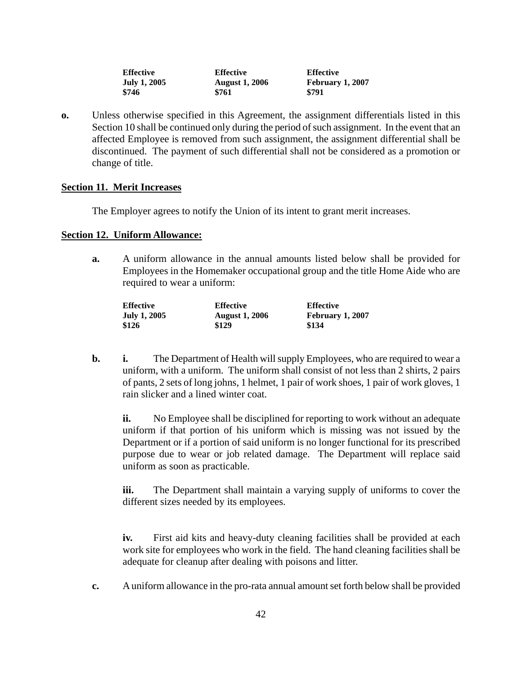| <b>Effective</b>    | <b>Effective</b>      | <b>Effective</b> |
|---------------------|-----------------------|------------------|
| <b>July 1, 2005</b> | <b>August 1, 2006</b> | February 1, 2007 |
| \$746               | \$761                 | \$791            |

**o.** Unless otherwise specified in this Agreement, the assignment differentials listed in this Section 10 shall be continued only during the period of such assignment. In the event that an affected Employee is removed from such assignment, the assignment differential shall be discontinued. The payment of such differential shall not be considered as a promotion or change of title.

#### **Section 11. Merit Increases**

The Employer agrees to notify the Union of its intent to grant merit increases.

#### **Section 12. Uniform Allowance:**

 **a.** A uniform allowance in the annual amounts listed below shall be provided for Employees in the Homemaker occupational group and the title Home Aide who are required to wear a uniform:

| <b>Effective</b>    | <b>Effective</b>      | <b>Effective</b> |
|---------------------|-----------------------|------------------|
| <b>July 1, 2005</b> | <b>August 1, 2006</b> | February 1, 2007 |
| \$126               | \$129                 | \$134            |

**b. i.** The Department of Health will supply Employees, who are required to wear a uniform, with a uniform. The uniform shall consist of not less than 2 shirts, 2 pairs of pants, 2 sets of long johns, 1 helmet, 1 pair of work shoes, 1 pair of work gloves, 1 rain slicker and a lined winter coat.

**ii.** No Employee shall be disciplined for reporting to work without an adequate uniform if that portion of his uniform which is missing was not issued by the Department or if a portion of said uniform is no longer functional for its prescribed purpose due to wear or job related damage. The Department will replace said uniform as soon as practicable.

**iii.** The Department shall maintain a varying supply of uniforms to cover the different sizes needed by its employees.

**iv.** First aid kits and heavy-duty cleaning facilities shall be provided at each work site for employees who work in the field. The hand cleaning facilities shall be adequate for cleanup after dealing with poisons and litter.

 **c.** A uniform allowance in the pro-rata annual amount set forth below shall be provided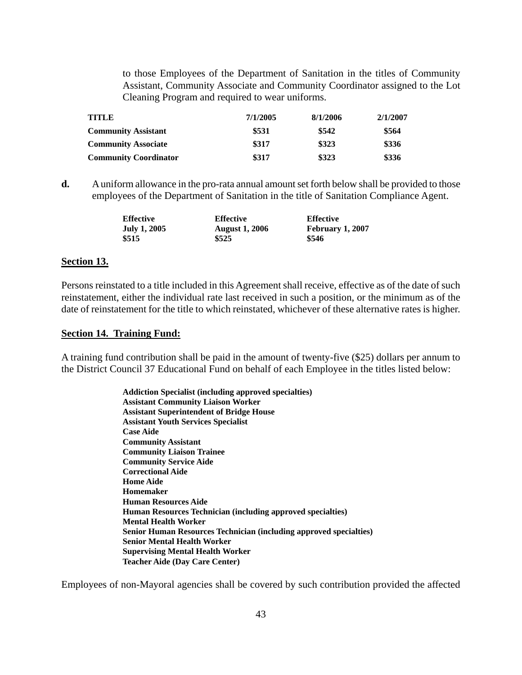to those Employees of the Department of Sanitation in the titles of Community Assistant, Community Associate and Community Coordinator assigned to the Lot Cleaning Program and required to wear uniforms.

| <b>TITLE</b>                 | 7/1/2005 | 8/1/2006 | 2/1/2007 |
|------------------------------|----------|----------|----------|
| <b>Community Assistant</b>   | \$531    | \$542    | \$564    |
| <b>Community Associate</b>   | \$317    | \$323    | \$336    |
| <b>Community Coordinator</b> | \$317    | \$323    | \$336    |

**d.** A uniform allowance in the pro-rata annual amount set forth below shall be provided to those employees of the Department of Sanitation in the title of Sanitation Compliance Agent.

| <b>Effective</b>    | <b>Effective</b>      | <b>Effective</b> |
|---------------------|-----------------------|------------------|
| <b>July 1, 2005</b> | <b>August 1, 2006</b> | February 1, 2007 |
| \$515               | \$525                 | \$546            |

#### **Section 13.**

Persons reinstated to a title included in this Agreement shall receive, effective as of the date of such reinstatement, either the individual rate last received in such a position, or the minimum as of the date of reinstatement for the title to which reinstated, whichever of these alternative rates is higher.

#### **Section 14. Training Fund:**

A training fund contribution shall be paid in the amount of twenty-five (\$25) dollars per annum to the District Council 37 Educational Fund on behalf of each Employee in the titles listed below:

> **Addiction Specialist (including approved specialties) Assistant Community Liaison Worker Assistant Superintendent of Bridge House Assistant Youth Services Specialist Case Aide Community Assistant Community Liaison Trainee Community Service Aide Correctional Aide Home Aide Homemaker Human Resources Aide Human Resources Technician (including approved specialties) Mental Health Worker Senior Human Resources Technician (including approved specialties) Senior Mental Health Worker Supervising Mental Health Worker Teacher Aide (Day Care Center)**

Employees of non-Mayoral agencies shall be covered by such contribution provided the affected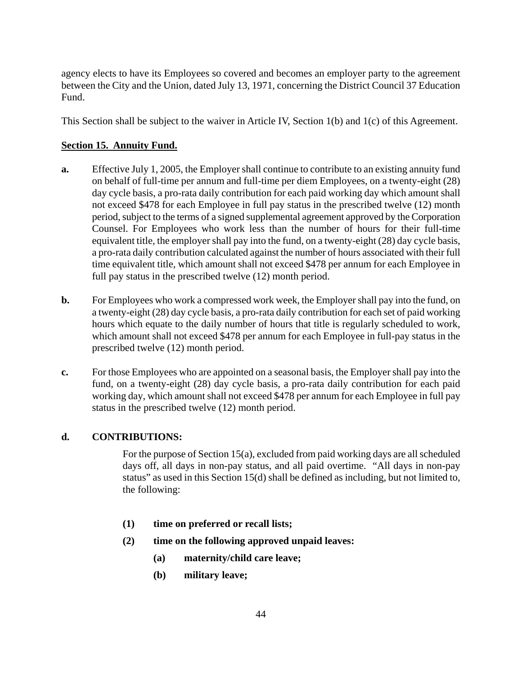agency elects to have its Employees so covered and becomes an employer party to the agreement between the City and the Union, dated July 13, 1971, concerning the District Council 37 Education Fund.

This Section shall be subject to the waiver in Article IV, Section 1(b) and 1(c) of this Agreement.

## **Section 15. Annuity Fund.**

- **a.** Effective July 1, 2005, the Employer shall continue to contribute to an existing annuity fund on behalf of full-time per annum and full-time per diem Employees, on a twenty-eight (28) day cycle basis, a pro-rata daily contribution for each paid working day which amount shall not exceed \$478 for each Employee in full pay status in the prescribed twelve (12) month period, subject to the terms of a signed supplemental agreement approved by the Corporation Counsel. For Employees who work less than the number of hours for their full-time equivalent title, the employer shall pay into the fund, on a twenty-eight (28) day cycle basis, a pro-rata daily contribution calculated against the number of hours associated with their full time equivalent title, which amount shall not exceed \$478 per annum for each Employee in full pay status in the prescribed twelve (12) month period.
- **b.** For Employees who work a compressed work week, the Employer shall pay into the fund, on a twenty-eight (28) day cycle basis, a pro-rata daily contribution for each set of paid working hours which equate to the daily number of hours that title is regularly scheduled to work, which amount shall not exceed \$478 per annum for each Employee in full-pay status in the prescribed twelve (12) month period.
- **c.** For those Employees who are appointed on a seasonal basis, the Employer shall pay into the fund, on a twenty-eight (28) day cycle basis, a pro-rata daily contribution for each paid working day, which amount shall not exceed \$478 per annum for each Employee in full pay status in the prescribed twelve (12) month period.

## **d. CONTRIBUTIONS:**

For the purpose of Section 15(a), excluded from paid working days are all scheduled days off, all days in non-pay status, and all paid overtime. "All days in non-pay status" as used in this Section 15(d) shall be defined as including, but not limited to, the following:

- **(1) time on preferred or recall lists;**
- **(2) time on the following approved unpaid leaves:** 
	- **(a) maternity/child care leave;**
	- **(b) military leave;**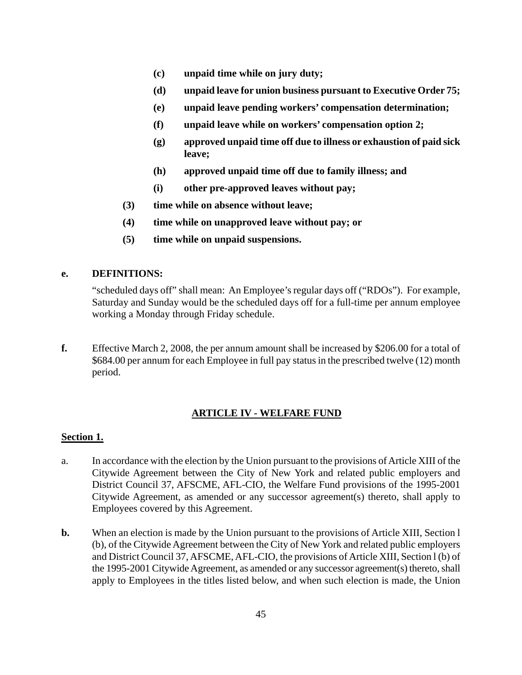- **(c) unpaid time while on jury duty;**
- **(d) unpaid leave for union business pursuant to Executive Order 75;**
- **(e) unpaid leave pending workers' compensation determination;**
- **(f) unpaid leave while on workers' compensation option 2;**
- **(g) approved unpaid time off due to illness or exhaustion of paid sick leave;**
- **(h) approved unpaid time off due to family illness; and**
- **(i) other pre-approved leaves without pay;**
- **(3) time while on absence without leave;**
- **(4) time while on unapproved leave without pay; or**
- **(5) time while on unpaid suspensions.**

## **e. DEFINITIONS:**

"scheduled days off" shall mean: An Employee's regular days off ("RDOs"). For example, Saturday and Sunday would be the scheduled days off for a full-time per annum employee working a Monday through Friday schedule.

**f.** Effective March 2, 2008, the per annum amount shall be increased by \$206.00 for a total of \$684.00 per annum for each Employee in full pay status in the prescribed twelve (12) month period.

## **ARTICLE IV - WELFARE FUND**

## **Section 1.**

- a. In accordance with the election by the Union pursuant to the provisions of Article XIII of the Citywide Agreement between the City of New York and related public employers and District Council 37, AFSCME, AFL-CIO, the Welfare Fund provisions of the 1995-2001 Citywide Agreement, as amended or any successor agreement(s) thereto, shall apply to Employees covered by this Agreement.
- **b.** When an election is made by the Union pursuant to the provisions of Article XIII, Section 1 (b), of the Citywide Agreement between the City of New York and related public employers and District Council 37, AFSCME, AFL-CIO, the provisions of Article XIII, Section l (b) of the 1995-2001 Citywide Agreement, as amended or any successor agreement(s) thereto, shall apply to Employees in the titles listed below, and when such election is made, the Union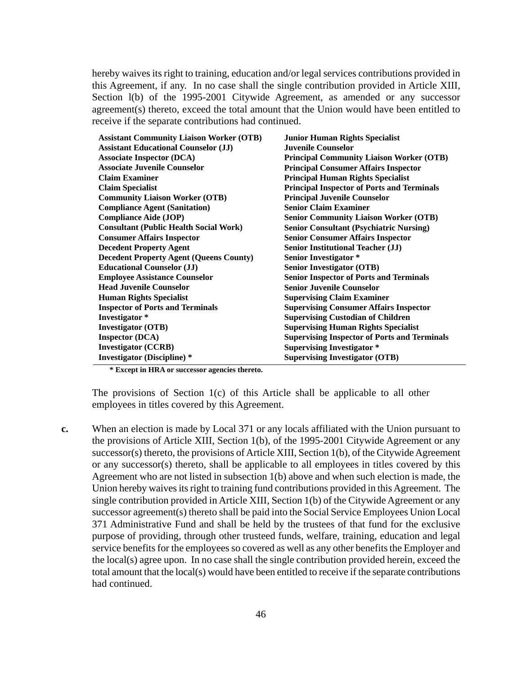hereby waives its right to training, education and/or legal services contributions provided in this Agreement, if any. In no case shall the single contribution provided in Article XIII, Section 1(b) of the 1995-2001 Citywide Agreement, as amended or any successor agreement(s) thereto, exceed the total amount that the Union would have been entitled to receive if the separate contributions had continued.

| <b>Assistant Community Liaison Worker (OTB)</b> | <b>Junior Human Rights Specialist</b>               |
|-------------------------------------------------|-----------------------------------------------------|
| <b>Assistant Educational Counselor (JJ)</b>     | Juvenile Counselor                                  |
| <b>Associate Inspector (DCA)</b>                | <b>Principal Community Liaison Worker (OTB)</b>     |
| <b>Associate Juvenile Counselor</b>             | <b>Principal Consumer Affairs Inspector</b>         |
| <b>Claim Examiner</b>                           | <b>Principal Human Rights Specialist</b>            |
| <b>Claim Specialist</b>                         | <b>Principal Inspector of Ports and Terminals</b>   |
| <b>Community Liaison Worker (OTB)</b>           | <b>Principal Juvenile Counselor</b>                 |
| <b>Compliance Agent (Sanitation)</b>            | <b>Senior Claim Examiner</b>                        |
| <b>Compliance Aide (JOP)</b>                    | <b>Senior Community Liaison Worker (OTB)</b>        |
| <b>Consultant (Public Health Social Work)</b>   | <b>Senior Consultant (Psychiatric Nursing)</b>      |
| <b>Consumer Affairs Inspector</b>               | <b>Senior Consumer Affairs Inspector</b>            |
| <b>Decedent Property Agent</b>                  | <b>Senior Institutional Teacher (JJ)</b>            |
| <b>Decedent Property Agent (Queens County)</b>  | <b>Senior Investigator *</b>                        |
| <b>Educational Counselor (JJ)</b>               | <b>Senior Investigator (OTB)</b>                    |
| <b>Employee Assistance Counselor</b>            | <b>Senior Inspector of Ports and Terminals</b>      |
| <b>Head Juvenile Counselor</b>                  | <b>Senior Juvenile Counselor</b>                    |
| <b>Human Rights Specialist</b>                  | <b>Supervising Claim Examiner</b>                   |
| <b>Inspector of Ports and Terminals</b>         | <b>Supervising Consumer Affairs Inspector</b>       |
| Investigator *                                  | <b>Supervising Custodian of Children</b>            |
| <b>Investigator (OTB)</b>                       | <b>Supervising Human Rights Specialist</b>          |
| <b>Inspector (DCA)</b>                          | <b>Supervising Inspector of Ports and Terminals</b> |
| <b>Investigator (CCRB)</b>                      | <b>Supervising Investigator *</b>                   |
| <b>Investigator (Discipline)</b> *              | <b>Supervising Investigator (OTB)</b>               |

 **\* Except in HRA or successor agencies thereto.**

The provisions of Section 1(c) of this Article shall be applicable to all other employees in titles covered by this Agreement.

**c.** When an election is made by Local 371 or any locals affiliated with the Union pursuant to the provisions of Article XIII, Section 1(b), of the 1995-2001 Citywide Agreement or any successor(s) thereto, the provisions of Article XIII, Section 1(b), of the Citywide Agreement or any successor(s) thereto, shall be applicable to all employees in titles covered by this Agreement who are not listed in subsection 1(b) above and when such election is made, the Union hereby waives its right to training fund contributions provided in this Agreement. The single contribution provided in Article XIII, Section 1(b) of the Citywide Agreement or any successor agreement(s) thereto shall be paid into the Social Service Employees Union Local 371 Administrative Fund and shall be held by the trustees of that fund for the exclusive purpose of providing, through other trusteed funds, welfare, training, education and legal service benefits for the employees so covered as well as any other benefits the Employer and the local(s) agree upon. In no case shall the single contribution provided herein, exceed the total amount that the local(s) would have been entitled to receive if the separate contributions had continued.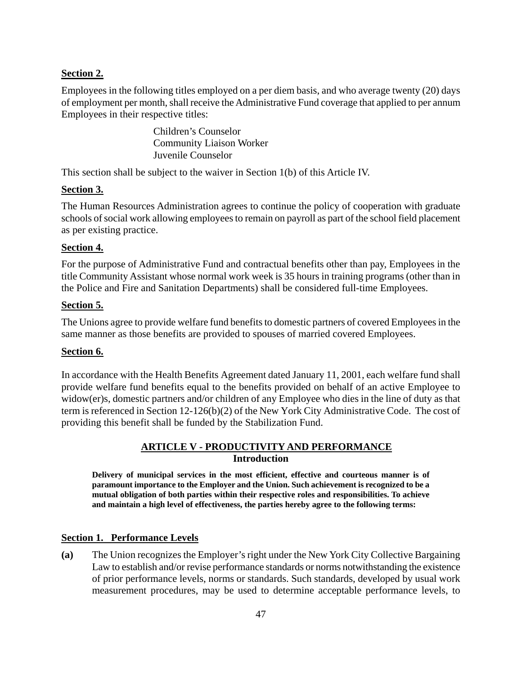## **Section 2.**

Employees in the following titles employed on a per diem basis, and who average twenty (20) days of employment per month, shall receive the Administrative Fund coverage that applied to per annum Employees in their respective titles:

> Children's Counselor Community Liaison Worker Juvenile Counselor

This section shall be subject to the waiver in Section 1(b) of this Article IV.

#### **Section 3.**

The Human Resources Administration agrees to continue the policy of cooperation with graduate schools of social work allowing employees to remain on payroll as part of the school field placement as per existing practice.

#### **Section 4.**

For the purpose of Administrative Fund and contractual benefits other than pay, Employees in the title Community Assistant whose normal work week is 35 hours in training programs (other than in the Police and Fire and Sanitation Departments) shall be considered full-time Employees.

#### **Section 5.**

The Unions agree to provide welfare fund benefits to domestic partners of covered Employees in the same manner as those benefits are provided to spouses of married covered Employees.

#### **Section 6.**

In accordance with the Health Benefits Agreement dated January 11, 2001, each welfare fund shall provide welfare fund benefits equal to the benefits provided on behalf of an active Employee to widow(er)s, domestic partners and/or children of any Employee who dies in the line of duty as that term is referenced in Section 12-126(b)(2) of the New York City Administrative Code. The cost of providing this benefit shall be funded by the Stabilization Fund.

## **ARTICLE V - PRODUCTIVITY AND PERFORMANCE Introduction**

**Delivery of municipal services in the most efficient, effective and courteous manner is of paramount importance to the Employer and the Union. Such achievement is recognized to be a mutual obligation of both parties within their respective roles and responsibilities. To achieve and maintain a high level of effectiveness, the parties hereby agree to the following terms:** 

#### **Section 1. Performance Levels**

**(a)** The Union recognizes the Employer's right under the New York City Collective Bargaining Law to establish and/or revise performance standards or norms notwithstanding the existence of prior performance levels, norms or standards. Such standards, developed by usual work measurement procedures, may be used to determine acceptable performance levels, to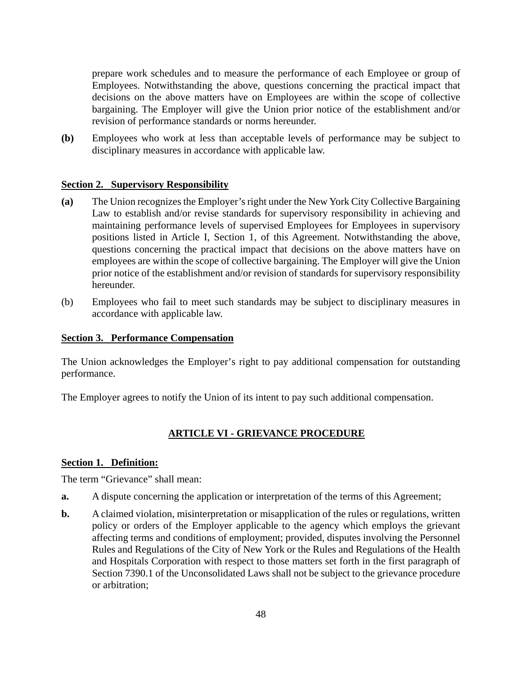prepare work schedules and to measure the performance of each Employee or group of Employees. Notwithstanding the above, questions concerning the practical impact that decisions on the above matters have on Employees are within the scope of collective bargaining. The Employer will give the Union prior notice of the establishment and/or revision of performance standards or norms hereunder.

**(b)** Employees who work at less than acceptable levels of performance may be subject to disciplinary measures in accordance with applicable law.

## **Section 2. Supervisory Responsibility**

- **(a)** The Union recognizes the Employer's right under the New York City Collective Bargaining Law to establish and/or revise standards for supervisory responsibility in achieving and maintaining performance levels of supervised Employees for Employees in supervisory positions listed in Article I, Section 1, of this Agreement. Notwithstanding the above, questions concerning the practical impact that decisions on the above matters have on employees are within the scope of collective bargaining. The Employer will give the Union prior notice of the establishment and/or revision of standards for supervisory responsibility hereunder.
- (b) Employees who fail to meet such standards may be subject to disciplinary measures in accordance with applicable law.

## **Section 3. Performance Compensation**

The Union acknowledges the Employer's right to pay additional compensation for outstanding performance.

The Employer agrees to notify the Union of its intent to pay such additional compensation.

## **ARTICLE VI - GRIEVANCE PROCEDURE**

#### **Section 1. Definition:**

The term "Grievance" shall mean:

- **a.** A dispute concerning the application or interpretation of the terms of this Agreement;
- **b.** A claimed violation, misinterpretation or misapplication of the rules or regulations, written policy or orders of the Employer applicable to the agency which employs the grievant affecting terms and conditions of employment; provided, disputes involving the Personnel Rules and Regulations of the City of New York or the Rules and Regulations of the Health and Hospitals Corporation with respect to those matters set forth in the first paragraph of Section 7390.1 of the Unconsolidated Laws shall not be subject to the grievance procedure or arbitration;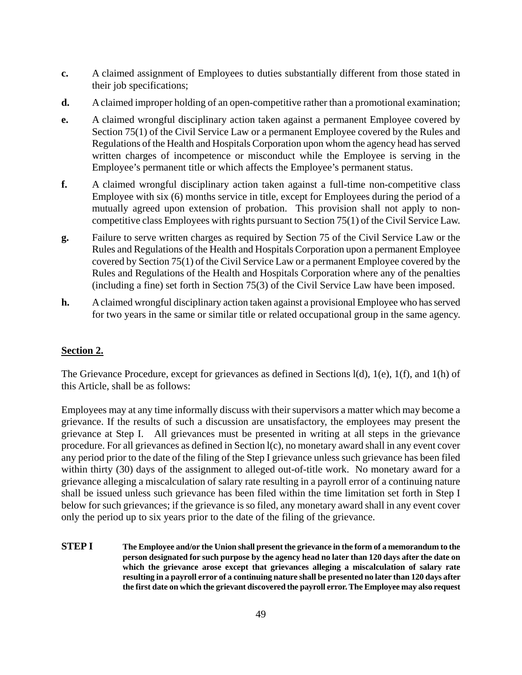- **c.** A claimed assignment of Employees to duties substantially different from those stated in their job specifications;
- **d.** A claimed improper holding of an open-competitive rather than a promotional examination;
- **e.** A claimed wrongful disciplinary action taken against a permanent Employee covered by Section 75(1) of the Civil Service Law or a permanent Employee covered by the Rules and Regulations of the Health and Hospitals Corporation upon whom the agency head has served written charges of incompetence or misconduct while the Employee is serving in the Employee's permanent title or which affects the Employee's permanent status.
- **f.** A claimed wrongful disciplinary action taken against a full-time non-competitive class Employee with six (6) months service in title, except for Employees during the period of a mutually agreed upon extension of probation. This provision shall not apply to noncompetitive class Employees with rights pursuant to Section 75(1) of the Civil Service Law.
- **g.** Failure to serve written charges as required by Section 75 of the Civil Service Law or the Rules and Regulations of the Health and Hospitals Corporation upon a permanent Employee covered by Section 75(1) of the Civil Service Law or a permanent Employee covered by the Rules and Regulations of the Health and Hospitals Corporation where any of the penalties (including a fine) set forth in Section 75(3) of the Civil Service Law have been imposed.
- **h.** A claimed wrongful disciplinary action taken against a provisional Employee who has served for two years in the same or similar title or related occupational group in the same agency.

## **Section 2.**

The Grievance Procedure, except for grievances as defined in Sections l(d), 1(e), 1(f), and 1(h) of this Article, shall be as follows:

Employees may at any time informally discuss with their supervisors a matter which may become a grievance. If the results of such a discussion are unsatisfactory, the employees may present the grievance at Step I. All grievances must be presented in writing at all steps in the grievance procedure. For all grievances as defined in Section l(c), no monetary award shall in any event cover any period prior to the date of the filing of the Step I grievance unless such grievance has been filed within thirty (30) days of the assignment to alleged out-of-title work. No monetary award for a grievance alleging a miscalculation of salary rate resulting in a payroll error of a continuing nature shall be issued unless such grievance has been filed within the time limitation set forth in Step I below for such grievances; if the grievance is so filed, any monetary award shall in any event cover only the period up to six years prior to the date of the filing of the grievance.

**STEP I** The Employee and/or the Union shall present the grievance in the form of a memorandum to the **person designated for such purpose by the agency head no later than 120 days after the date on which the grievance arose except that grievances alleging a miscalculation of salary rate resulting in a payroll error of a continuing nature shall be presented no later than 120 days after the first date on which the grievant discovered the payroll error. The Employee may also request**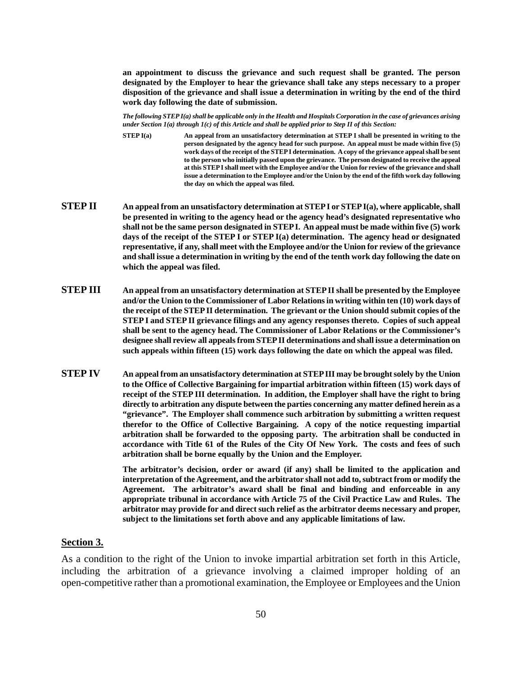**an appointment to discuss the grievance and such request shall be granted. The person designated by the Employer to hear the grievance shall take any steps necessary to a proper disposition of the grievance and shall issue a determination in writing by the end of the third work day following the date of submission.** 

*The following STEP I(a) shall be applicable only in the Health and Hospitals Corporation in the case of grievances arising under Section 1(a) through 1(c) of this Article and shall be applied prior to Step II of this Section:*

- **STEP I(a)** An appeal from an unsatisfactory determination at **STEP I** shall be presented in writing to the **person designated by the agency head for such purpose. An appeal must be made within five (5) work days of the receipt of the STEP I determination. A copy of the grievance appeal shall be sent to the person who initially passed upon the grievance. The person designated to receive the appeal at this STEP I shall meet with the Employee and/or the Union for review of the grievance and shall issue a determination to the Employee and/or the Union by the end of the fifth work day following the day on which the appeal was filed.**
- **STEP II** An appeal from an unsatisfactory determination at STEP I or STEP I(a), where applicable, shall **be presented in writing to the agency head or the agency head's designated representative who shall not be the same person designated in STEP I. An appeal must be made within five (5) work days of the receipt of the STEP I or STEP I(a) determination. The agency head or designated representative, if any, shall meet with the Employee and/or the Union for review of the grievance and shall issue a determination in writing by the end of the tenth work day following the date on which the appeal was filed.**
- **STEP III An appeal from an unsatisfactory determination at STEP II shall be presented by the Employee and/or the Union to the Commissioner of Labor Relations in writing within ten (10) work days of the receipt of the STEP II determination. The grievant or the Union should submit copies of the STEP I and STEP II grievance filings and any agency responses thereto. Copies of such appeal shall be sent to the agency head. The Commissioner of Labor Relations or the Commissioner's designee shall review all appeals from STEP II determinations and shall issue a determination on such appeals within fifteen (15) work days following the date on which the appeal was filed.**
- **STEP IV An appeal from an unsatisfactory determination at STEP III may be brought solely by the Union to the Office of Collective Bargaining for impartial arbitration within fifteen (15) work days of receipt of the STEP III determination. In addition, the Employer shall have the right to bring directly to arbitration any dispute between the parties concerning any matter defined herein as a "grievance". The Employer shall commence such arbitration by submitting a written request therefor to the Office of Collective Bargaining. A copy of the notice requesting impartial arbitration shall be forwarded to the opposing party. The arbitration shall be conducted in accordance with Title 61 of the Rules of the City Of New York. The costs and fees of such arbitration shall be borne equally by the Union and the Employer.**

**The arbitrator's decision, order or award (if any) shall be limited to the application and interpretation of the Agreement, and the arbitrator shall not add to, subtract from or modify the Agreement. The arbitrator's award shall be final and binding and enforceable in any appropriate tribunal in accordance with Article 75 of the Civil Practice Law and Rules. The arbitrator may provide for and direct such relief as the arbitrator deems necessary and proper, subject to the limitations set forth above and any applicable limitations of law.**

#### **Section 3.**

As a condition to the right of the Union to invoke impartial arbitration set forth in this Article, including the arbitration of a grievance involving a claimed improper holding of an open-competitive rather than a promotional examination, the Employee or Employees and the Union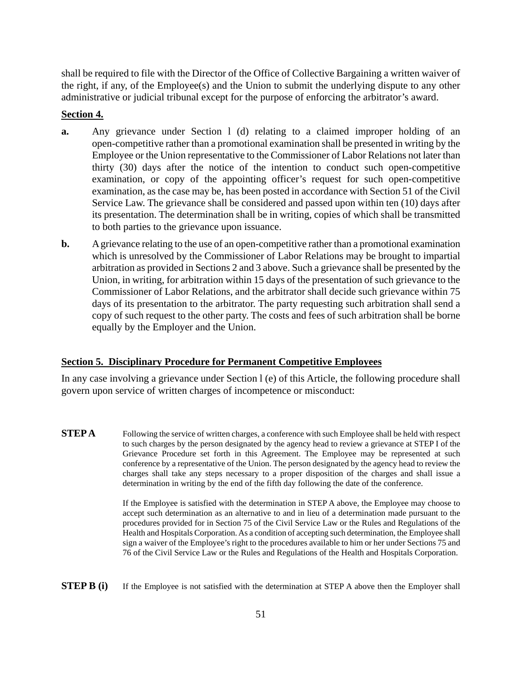shall be required to file with the Director of the Office of Collective Bargaining a written waiver of the right, if any, of the Employee(s) and the Union to submit the underlying dispute to any other administrative or judicial tribunal except for the purpose of enforcing the arbitrator's award.

#### **Section 4.**

- **a.** Any grievance under Section 1 (d) relating to a claimed improper holding of an open-competitive rather than a promotional examination shall be presented in writing by the Employee or the Union representative to the Commissioner of Labor Relations not later than thirty (30) days after the notice of the intention to conduct such open-competitive examination, or copy of the appointing officer's request for such open-competitive examination, as the case may be, has been posted in accordance with Section 51 of the Civil Service Law. The grievance shall be considered and passed upon within ten (10) days after its presentation. The determination shall be in writing, copies of which shall be transmitted to both parties to the grievance upon issuance.
- **b.** A grievance relating to the use of an open-competitive rather than a promotional examination which is unresolved by the Commissioner of Labor Relations may be brought to impartial arbitration as provided in Sections 2 and 3 above. Such a grievance shall be presented by the Union, in writing, for arbitration within 15 days of the presentation of such grievance to the Commissioner of Labor Relations, and the arbitrator shall decide such grievance within 75 days of its presentation to the arbitrator. The party requesting such arbitration shall send a copy of such request to the other party. The costs and fees of such arbitration shall be borne equally by the Employer and the Union.

## **Section 5. Disciplinary Procedure for Permanent Competitive Employees**

In any case involving a grievance under Section l (e) of this Article, the following procedure shall govern upon service of written charges of incompetence or misconduct:

**STEP A** Following the service of written charges, a conference with such Employee shall be held with respect to such charges by the person designated by the agency head to review a grievance at STEP I of the Grievance Procedure set forth in this Agreement. The Employee may be represented at such conference by a representative of the Union. The person designated by the agency head to review the charges shall take any steps necessary to a proper disposition of the charges and shall issue a determination in writing by the end of the fifth day following the date of the conference.

> If the Employee is satisfied with the determination in STEP A above, the Employee may choose to accept such determination as an alternative to and in lieu of a determination made pursuant to the procedures provided for in Section 75 of the Civil Service Law or the Rules and Regulations of the Health and Hospitals Corporation. As a condition of accepting such determination, the Employee shall sign a waiver of the Employee's right to the procedures available to him or her under Sections 75 and 76 of the Civil Service Law or the Rules and Regulations of the Health and Hospitals Corporation.

**STEP B (i)** If the Employee is not satisfied with the determination at STEP A above then the Employer shall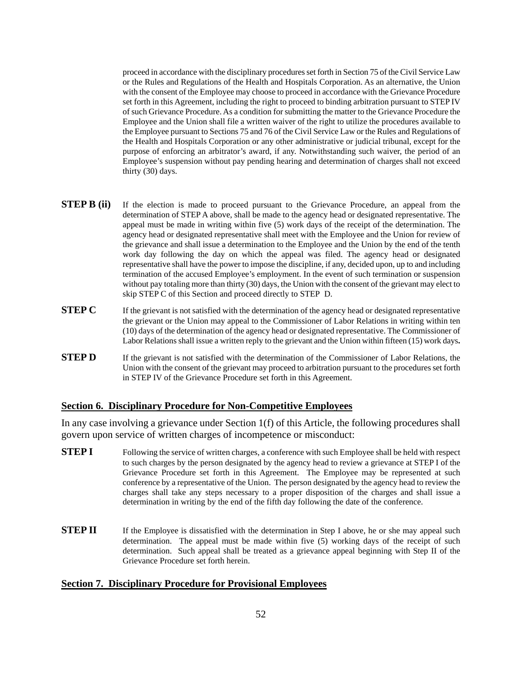proceed in accordance with the disciplinary procedures set forth in Section 75 of the Civil Service Law or the Rules and Regulations of the Health and Hospitals Corporation. As an alternative, the Union with the consent of the Employee may choose to proceed in accordance with the Grievance Procedure set forth in this Agreement, including the right to proceed to binding arbitration pursuant to STEP IV of such Grievance Procedure. As a condition for submitting the matter to the Grievance Procedure the Employee and the Union shall file a written waiver of the right to utilize the procedures available to the Employee pursuant to Sections 75 and 76 of the Civil Service Law or the Rules and Regulations of the Health and Hospitals Corporation or any other administrative or judicial tribunal, except for the purpose of enforcing an arbitrator's award, if any. Notwithstanding such waiver, the period of an Employee's suspension without pay pending hearing and determination of charges shall not exceed thirty (30) days.

- **STEP B (ii)** If the election is made to proceed pursuant to the Grievance Procedure, an appeal from the determination of STEP A above, shall be made to the agency head or designated representative. The appeal must be made in writing within five (5) work days of the receipt of the determination. The agency head or designated representative shall meet with the Employee and the Union for review of the grievance and shall issue a determination to the Employee and the Union by the end of the tenth work day following the day on which the appeal was filed. The agency head or designated representative shall have the power to impose the discipline, if any, decided upon, up to and including termination of the accused Employee's employment. In the event of such termination or suspension without pay totaling more than thirty (30) days, the Union with the consent of the grievant may elect to skip STEP C of this Section and proceed directly to STEP D.
- **STEP C** If the grievant is not satisfied with the determination of the agency head or designated representative the grievant or the Union may appeal to the Commissioner of Labor Relations in writing within ten (10) days of the determination of the agency head or designated representative. The Commissioner of Labor Relations shall issue a written reply to the grievant and the Union within fifteen (15) work days**.**
- **STEP D** If the grievant is not satisfied with the determination of the Commissioner of Labor Relations, the Union with the consent of the grievant may proceed to arbitration pursuant to the procedures set forth in STEP IV of the Grievance Procedure set forth in this Agreement.

#### **Section 6. Disciplinary Procedure for Non-Competitive Employees**

In any case involving a grievance under Section 1(f) of this Article, the following procedures shall govern upon service of written charges of incompetence or misconduct:

- **STEP I** Following the service of written charges, a conference with such Employee shall be held with respect to such charges by the person designated by the agency head to review a grievance at STEP I of the Grievance Procedure set forth in this Agreement. The Employee may be represented at such conference by a representative of the Union. The person designated by the agency head to review the charges shall take any steps necessary to a proper disposition of the charges and shall issue a determination in writing by the end of the fifth day following the date of the conference.
- **STEP II** If the Employee is dissatisfied with the determination in Step I above, he or she may appeal such determination. The appeal must be made within five (5) working days of the receipt of such determination. Such appeal shall be treated as a grievance appeal beginning with Step II of the Grievance Procedure set forth herein.

#### **Section 7. Disciplinary Procedure for Provisional Employees**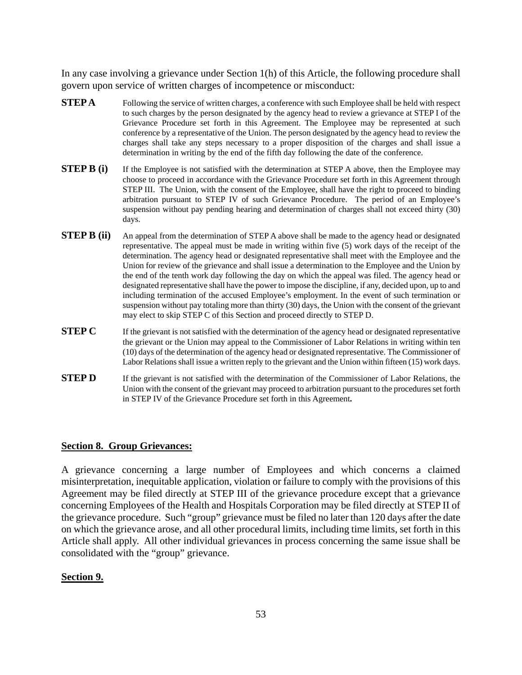In any case involving a grievance under Section 1(h) of this Article, the following procedure shall govern upon service of written charges of incompetence or misconduct:

- **STEP A** Following the service of written charges, a conference with such Employee shall be held with respect to such charges by the person designated by the agency head to review a grievance at STEP I of the Grievance Procedure set forth in this Agreement. The Employee may be represented at such conference by a representative of the Union. The person designated by the agency head to review the charges shall take any steps necessary to a proper disposition of the charges and shall issue a determination in writing by the end of the fifth day following the date of the conference.
- **STEP B (i)** If the Employee is not satisfied with the determination at STEP A above, then the Employee may choose to proceed in accordance with the Grievance Procedure set forth in this Agreement through STEP III. The Union, with the consent of the Employee, shall have the right to proceed to binding arbitration pursuant to STEP IV of such Grievance Procedure. The period of an Employee's suspension without pay pending hearing and determination of charges shall not exceed thirty (30) days.
- **STEP B (ii)** An appeal from the determination of STEP A above shall be made to the agency head or designated representative. The appeal must be made in writing within five (5) work days of the receipt of the determination. The agency head or designated representative shall meet with the Employee and the Union for review of the grievance and shall issue a determination to the Employee and the Union by the end of the tenth work day following the day on which the appeal was filed. The agency head or designated representative shall have the power to impose the discipline, if any, decided upon, up to and including termination of the accused Employee's employment. In the event of such termination or suspension without pay totaling more than thirty (30) days, the Union with the consent of the grievant may elect to skip STEP C of this Section and proceed directly to STEP D.
- **STEP C** If the grievant is not satisfied with the determination of the agency head or designated representative the grievant or the Union may appeal to the Commissioner of Labor Relations in writing within ten (10) days of the determination of the agency head or designated representative. The Commissioner of Labor Relations shall issue a written reply to the grievant and the Union within fifteen (15) work days.
- **STEP D** If the grievant is not satisfied with the determination of the Commissioner of Labor Relations, the Union with the consent of the grievant may proceed to arbitration pursuant to the procedures set forth in STEP IV of the Grievance Procedure set forth in this Agreement**.**

## **Section 8. Group Grievances:**

A grievance concerning a large number of Employees and which concerns a claimed misinterpretation, inequitable application, violation or failure to comply with the provisions of this Agreement may be filed directly at STEP III of the grievance procedure except that a grievance concerning Employees of the Health and Hospitals Corporation may be filed directly at STEP II of the grievance procedure. Such "group" grievance must be filed no later than 120 days after the date on which the grievance arose, and all other procedural limits, including time limits, set forth in this Article shall apply. All other individual grievances in process concerning the same issue shall be consolidated with the "group" grievance.

## **Section 9.**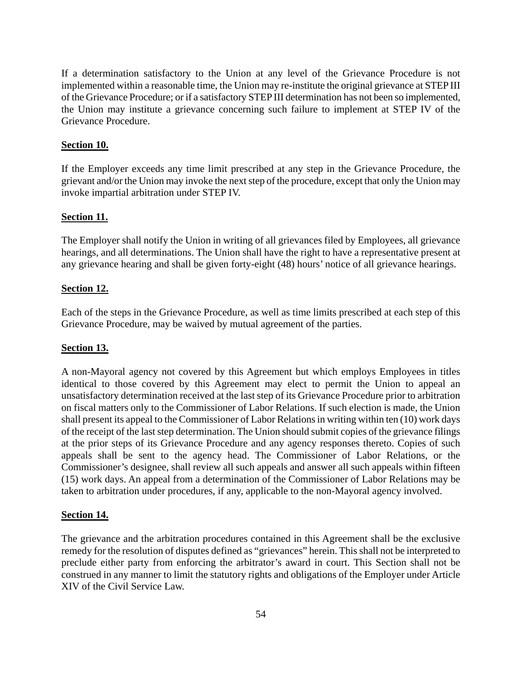If a determination satisfactory to the Union at any level of the Grievance Procedure is not implemented within a reasonable time, the Union may re-institute the original grievance at STEP III of the Grievance Procedure; or if a satisfactory STEP III determination has not been so implemented, the Union may institute a grievance concerning such failure to implement at STEP IV of the Grievance Procedure.

#### **Section 10.**

If the Employer exceeds any time limit prescribed at any step in the Grievance Procedure, the grievant and/or the Union may invoke the next step of the procedure, except that only the Union may invoke impartial arbitration under STEP IV.

#### **Section 11.**

The Employer shall notify the Union in writing of all grievances filed by Employees, all grievance hearings, and all determinations. The Union shall have the right to have a representative present at any grievance hearing and shall be given forty-eight (48) hours' notice of all grievance hearings.

#### **Section 12.**

Each of the steps in the Grievance Procedure, as well as time limits prescribed at each step of this Grievance Procedure, may be waived by mutual agreement of the parties.

#### **Section 13.**

A non-Mayoral agency not covered by this Agreement but which employs Employees in titles identical to those covered by this Agreement may elect to permit the Union to appeal an unsatisfactory determination received at the last step of its Grievance Procedure prior to arbitration on fiscal matters only to the Commissioner of Labor Relations. If such election is made, the Union shall present its appeal to the Commissioner of Labor Relations in writing within ten (10) work days of the receipt of the last step determination. The Union should submit copies of the grievance filings at the prior steps of its Grievance Procedure and any agency responses thereto. Copies of such appeals shall be sent to the agency head. The Commissioner of Labor Relations, or the Commissioner's designee, shall review all such appeals and answer all such appeals within fifteen (15) work days. An appeal from a determination of the Commissioner of Labor Relations may be taken to arbitration under procedures, if any, applicable to the non-Mayoral agency involved.

#### **Section 14.**

The grievance and the arbitration procedures contained in this Agreement shall be the exclusive remedy for the resolution of disputes defined as "grievances" herein. This shall not be interpreted to preclude either party from enforcing the arbitrator's award in court. This Section shall not be construed in any manner to limit the statutory rights and obligations of the Employer under Article XIV of the Civil Service Law.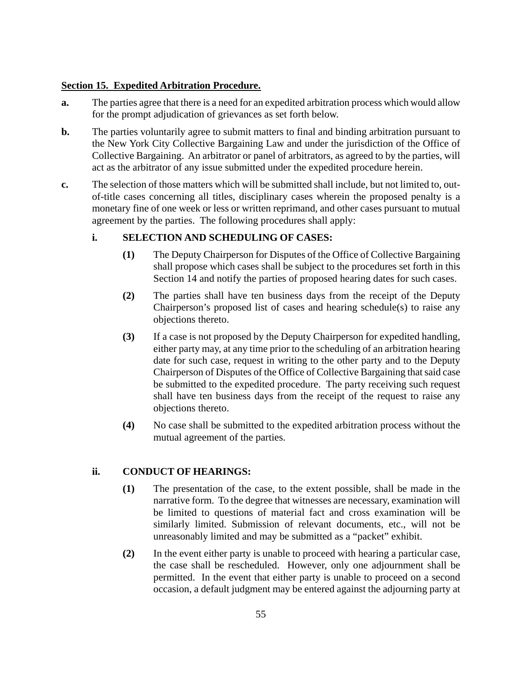#### **Section 15. Expedited Arbitration Procedure.**

- **a.** The parties agree that there is a need for an expedited arbitration process which would allow for the prompt adjudication of grievances as set forth below.
- **b.** The parties voluntarily agree to submit matters to final and binding arbitration pursuant to the New York City Collective Bargaining Law and under the jurisdiction of the Office of Collective Bargaining. An arbitrator or panel of arbitrators, as agreed to by the parties, will act as the arbitrator of any issue submitted under the expedited procedure herein.
- **c.** The selection of those matters which will be submitted shall include, but not limited to, outof-title cases concerning all titles, disciplinary cases wherein the proposed penalty is a monetary fine of one week or less or written reprimand, and other cases pursuant to mutual agreement by the parties. The following procedures shall apply:

## **i. SELECTION AND SCHEDULING OF CASES:**

- **(1)** The Deputy Chairperson for Disputes of the Office of Collective Bargaining shall propose which cases shall be subject to the procedures set forth in this Section 14 and notify the parties of proposed hearing dates for such cases.
- **(2)** The parties shall have ten business days from the receipt of the Deputy Chairperson's proposed list of cases and hearing schedule(s) to raise any objections thereto.
- **(3)** If a case is not proposed by the Deputy Chairperson for expedited handling, either party may, at any time prior to the scheduling of an arbitration hearing date for such case, request in writing to the other party and to the Deputy Chairperson of Disputes of the Office of Collective Bargaining that said case be submitted to the expedited procedure. The party receiving such request shall have ten business days from the receipt of the request to raise any objections thereto.
- **(4)** No case shall be submitted to the expedited arbitration process without the mutual agreement of the parties.

## **ii. CONDUCT OF HEARINGS:**

- **(1)** The presentation of the case, to the extent possible, shall be made in the narrative form. To the degree that witnesses are necessary, examination will be limited to questions of material fact and cross examination will be similarly limited. Submission of relevant documents, etc., will not be unreasonably limited and may be submitted as a "packet" exhibit.
- **(2)** In the event either party is unable to proceed with hearing a particular case, the case shall be rescheduled. However, only one adjournment shall be permitted. In the event that either party is unable to proceed on a second occasion, a default judgment may be entered against the adjourning party at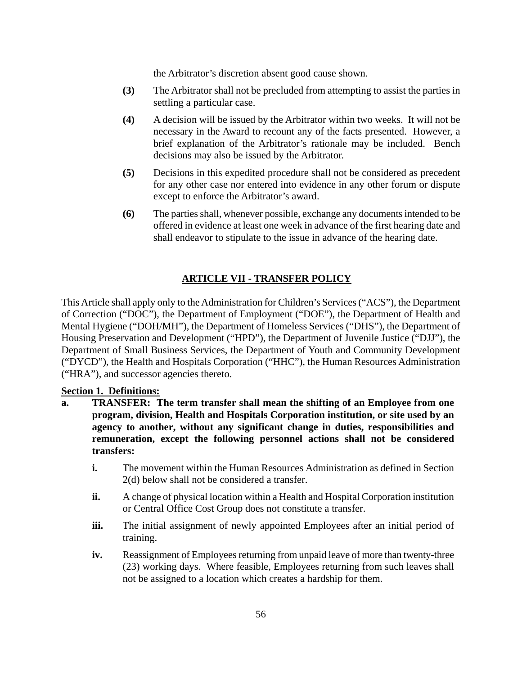the Arbitrator's discretion absent good cause shown.

- **(3)** The Arbitrator shall not be precluded from attempting to assist the parties in settling a particular case.
- **(4)** A decision will be issued by the Arbitrator within two weeks. It will not be necessary in the Award to recount any of the facts presented. However, a brief explanation of the Arbitrator's rationale may be included. Bench decisions may also be issued by the Arbitrator.
- **(5)** Decisions in this expedited procedure shall not be considered as precedent for any other case nor entered into evidence in any other forum or dispute except to enforce the Arbitrator's award.
- **(6)** The parties shall, whenever possible, exchange any documents intended to be offered in evidence at least one week in advance of the first hearing date and shall endeavor to stipulate to the issue in advance of the hearing date.

## **ARTICLE VII - TRANSFER POLICY**

This Article shall apply only to the Administration for Children's Services ("ACS"), the Department of Correction ("DOC"), the Department of Employment ("DOE"), the Department of Health and Mental Hygiene ("DOH/MH"), the Department of Homeless Services ("DHS"), the Department of Housing Preservation and Development ("HPD"), the Department of Juvenile Justice ("DJJ"), the Department of Small Business Services, the Department of Youth and Community Development ("DYCD"), the Health and Hospitals Corporation ("HHC"), the Human Resources Administration ("HRA"), and successor agencies thereto.

## **Section 1. Definitions:**

- **a. TRANSFER: The term transfer shall mean the shifting of an Employee from one program, division, Health and Hospitals Corporation institution, or site used by an agency to another, without any significant change in duties, responsibilities and remuneration, except the following personnel actions shall not be considered transfers:** 
	- **i.** The movement within the Human Resources Administration as defined in Section 2(d) below shall not be considered a transfer.
	- **ii.** A change of physical location within a Health and Hospital Corporation institution or Central Office Cost Group does not constitute a transfer.
	- **iii.** The initial assignment of newly appointed Employees after an initial period of training.
	- **iv.** Reassignment of Employees returning from unpaid leave of more than twenty-three (23) working days. Where feasible, Employees returning from such leaves shall not be assigned to a location which creates a hardship for them.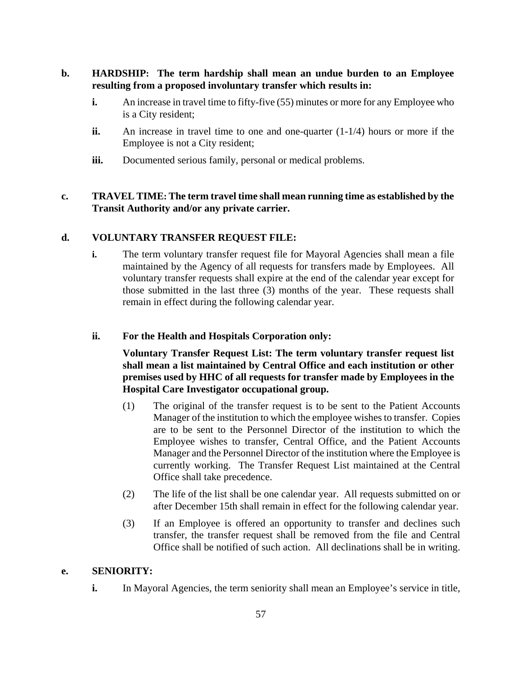## **b. HARDSHIP: The term hardship shall mean an undue burden to an Employee resulting from a proposed involuntary transfer which results in:**

- **i.** An increase in travel time to fifty-five (55) minutes or more for any Employee who is a City resident;
- **ii.** An increase in travel time to one and one-quarter (1-1/4) hours or more if the Employee is not a City resident;
- **iii.** Documented serious family, personal or medical problems.

## **c. TRAVEL TIME: The term travel time shall mean running time as established by the Transit Authority and/or any private carrier.**

## **d. VOLUNTARY TRANSFER REQUEST FILE:**

**i.** The term voluntary transfer request file for Mayoral Agencies shall mean a file maintained by the Agency of all requests for transfers made by Employees. All voluntary transfer requests shall expire at the end of the calendar year except for those submitted in the last three (3) months of the year. These requests shall remain in effect during the following calendar year.

#### **ii. For the Health and Hospitals Corporation only:**

**Voluntary Transfer Request List: The term voluntary transfer request list shall mean a list maintained by Central Office and each institution or other premises used by HHC of all requests for transfer made by Employees in the Hospital Care Investigator occupational group.** 

- (1) The original of the transfer request is to be sent to the Patient Accounts Manager of the institution to which the employee wishes to transfer. Copies are to be sent to the Personnel Director of the institution to which the Employee wishes to transfer, Central Office, and the Patient Accounts Manager and the Personnel Director of the institution where the Employee is currently working. The Transfer Request List maintained at the Central Office shall take precedence.
- (2) The life of the list shall be one calendar year. All requests submitted on or after December 15th shall remain in effect for the following calendar year.
- (3) If an Employee is offered an opportunity to transfer and declines such transfer, the transfer request shall be removed from the file and Central Office shall be notified of such action. All declinations shall be in writing.

#### **e. SENIORITY:**

**i.** In Mayoral Agencies, the term seniority shall mean an Employee's service in title,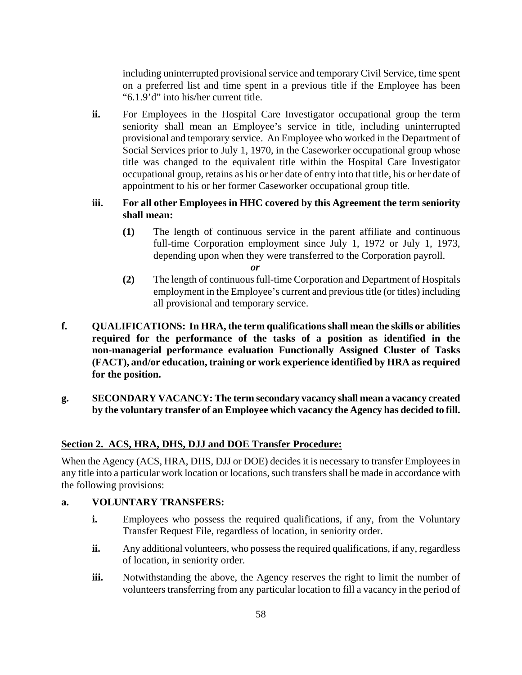including uninterrupted provisional service and temporary Civil Service, time spent on a preferred list and time spent in a previous title if the Employee has been "6.1.9'd" into his/her current title.

**ii.** For Employees in the Hospital Care Investigator occupational group the term seniority shall mean an Employee's service in title, including uninterrupted provisional and temporary service. An Employee who worked in the Department of Social Services prior to July 1, 1970, in the Caseworker occupational group whose title was changed to the equivalent title within the Hospital Care Investigator occupational group, retains as his or her date of entry into that title, his or her date of appointment to his or her former Caseworker occupational group title.

## **iii. For all other Employees in HHC covered by this Agreement the term seniority shall mean:**

- **(1)** The length of continuous service in the parent affiliate and continuous full-time Corporation employment since July 1, 1972 or July 1, 1973, depending upon when they were transferred to the Corporation payroll.
	- *or*
- **(2)** The length of continuous full-time Corporation and Department of Hospitals employment in the Employee's current and previous title (or titles) including all provisional and temporary service.
- **f. QUALIFICATIONS: In HRA, the term qualifications shall mean the skills or abilities required for the performance of the tasks of a position as identified in the non-managerial performance evaluation Functionally Assigned Cluster of Tasks (FACT), and/or education, training or work experience identified by HRA as required for the position.**
- **g. SECONDARY VACANCY: The term secondary vacancy shall mean a vacancy created by the voluntary transfer of an Employee which vacancy the Agency has decided to fill.**

## **Section 2. ACS, HRA, DHS, DJJ and DOE Transfer Procedure:**

When the Agency (ACS, HRA, DHS, DJJ or DOE) decides it is necessary to transfer Employees in any title into a particular work location or locations, such transfers shall be made in accordance with the following provisions:

## **a. VOLUNTARY TRANSFERS:**

- **i.** Employees who possess the required qualifications, if any, from the Voluntary Transfer Request File, regardless of location, in seniority order.
- ii. Any additional volunteers, who possess the required qualifications, if any, regardless of location, in seniority order.
- **iii.** Notwithstanding the above, the Agency reserves the right to limit the number of volunteers transferring from any particular location to fill a vacancy in the period of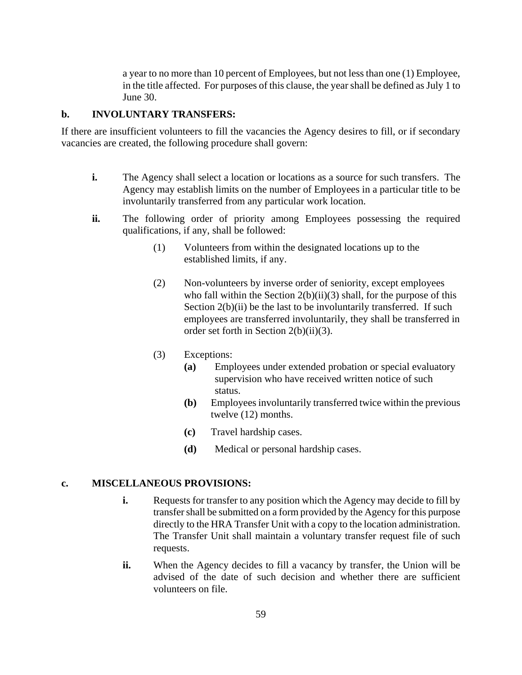a year to no more than 10 percent of Employees, but not less than one (1) Employee, in the title affected. For purposes of this clause, the year shall be defined as July 1 to June 30.

## **b. INVOLUNTARY TRANSFERS:**

If there are insufficient volunteers to fill the vacancies the Agency desires to fill, or if secondary vacancies are created, the following procedure shall govern:

- **i.** The Agency shall select a location or locations as a source for such transfers. The Agency may establish limits on the number of Employees in a particular title to be involuntarily transferred from any particular work location.
- **ii.** The following order of priority among Employees possessing the required qualifications, if any, shall be followed:
	- (1) Volunteers from within the designated locations up to the established limits, if any.
	- (2) Non-volunteers by inverse order of seniority, except employees who fall within the Section  $2(b)(ii)(3)$  shall, for the purpose of this Section  $2(b)(ii)$  be the last to be involuntarily transferred. If such employees are transferred involuntarily, they shall be transferred in order set forth in Section 2(b)(ii)(3).
	- (3) Exceptions:
		- **(a)** Employees under extended probation or special evaluatory supervision who have received written notice of such status.
		- **(b)** Employees involuntarily transferred twice within the previous twelve (12) months.
		- **(c)** Travel hardship cases.
		- **(d)** Medical or personal hardship cases.

## **c. MISCELLANEOUS PROVISIONS:**

- **i.** Requests for transfer to any position which the Agency may decide to fill by transfer shall be submitted on a form provided by the Agency for this purpose directly to the HRA Transfer Unit with a copy to the location administration. The Transfer Unit shall maintain a voluntary transfer request file of such requests.
- **ii.** When the Agency decides to fill a vacancy by transfer, the Union will be advised of the date of such decision and whether there are sufficient volunteers on file.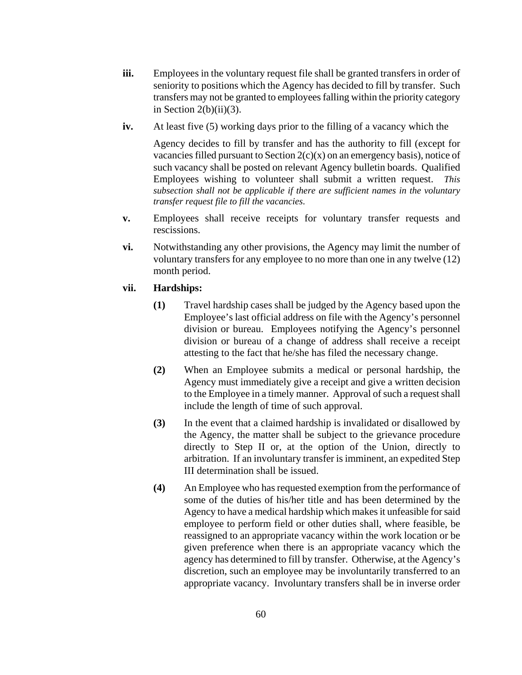- **iii.** Employees in the voluntary request file shall be granted transfers in order of seniority to positions which the Agency has decided to fill by transfer. Such transfers may not be granted to employees falling within the priority category in Section  $2(b)(ii)(3)$ .
- **iv.** At least five (5) working days prior to the filling of a vacancy which the

Agency decides to fill by transfer and has the authority to fill (except for vacancies filled pursuant to Section  $2(c)(x)$  on an emergency basis), notice of such vacancy shall be posted on relevant Agency bulletin boards. Qualified Employees wishing to volunteer shall submit a written request. *This subsection shall not be applicable if there are sufficient names in the voluntary transfer request file to fill the vacancies*.

- **v.** Employees shall receive receipts for voluntary transfer requests and rescissions.
- **vi.** Notwithstanding any other provisions, the Agency may limit the number of voluntary transfers for any employee to no more than one in any twelve (12) month period.
- **vii. Hardships:** 
	- **(1)** Travel hardship cases shall be judged by the Agency based upon the Employee's last official address on file with the Agency's personnel division or bureau. Employees notifying the Agency's personnel division or bureau of a change of address shall receive a receipt attesting to the fact that he/she has filed the necessary change.
	- **(2)** When an Employee submits a medical or personal hardship, the Agency must immediately give a receipt and give a written decision to the Employee in a timely manner. Approval of such a request shall include the length of time of such approval.
	- **(3)** In the event that a claimed hardship is invalidated or disallowed by the Agency, the matter shall be subject to the grievance procedure directly to Step II or, at the option of the Union, directly to arbitration. If an involuntary transfer is imminent, an expedited Step III determination shall be issued.
	- **(4)** An Employee who has requested exemption from the performance of some of the duties of his/her title and has been determined by the Agency to have a medical hardship which makes it unfeasible for said employee to perform field or other duties shall, where feasible, be reassigned to an appropriate vacancy within the work location or be given preference when there is an appropriate vacancy which the agency has determined to fill by transfer. Otherwise, at the Agency's discretion, such an employee may be involuntarily transferred to an appropriate vacancy. Involuntary transfers shall be in inverse order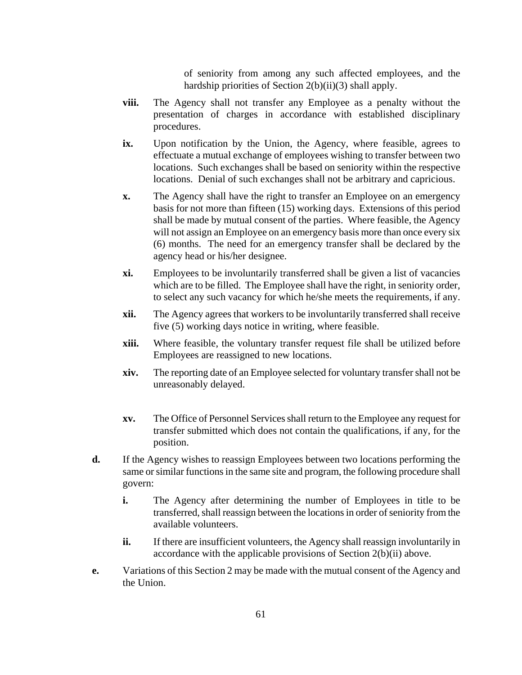of seniority from among any such affected employees, and the hardship priorities of Section 2(b)(ii)(3) shall apply.

- **viii.** The Agency shall not transfer any Employee as a penalty without the presentation of charges in accordance with established disciplinary procedures.
- **ix.** Upon notification by the Union, the Agency, where feasible, agrees to effectuate a mutual exchange of employees wishing to transfer between two locations. Such exchanges shall be based on seniority within the respective locations. Denial of such exchanges shall not be arbitrary and capricious.
- **x.** The Agency shall have the right to transfer an Employee on an emergency basis for not more than fifteen (15) working days. Extensions of this period shall be made by mutual consent of the parties. Where feasible, the Agency will not assign an Employee on an emergency basis more than once every six (6) months. The need for an emergency transfer shall be declared by the agency head or his/her designee.
- **xi.** Employees to be involuntarily transferred shall be given a list of vacancies which are to be filled. The Employee shall have the right, in seniority order, to select any such vacancy for which he/she meets the requirements, if any.
- **xii.** The Agency agrees that workers to be involuntarily transferred shall receive five (5) working days notice in writing, where feasible.
- **xiii.** Where feasible, the voluntary transfer request file shall be utilized before Employees are reassigned to new locations.
- **xiv.** The reporting date of an Employee selected for voluntary transfer shall not be unreasonably delayed.
- **xv.** The Office of Personnel Services shall return to the Employee any request for transfer submitted which does not contain the qualifications, if any, for the position.
- **d.** If the Agency wishes to reassign Employees between two locations performing the same or similar functions in the same site and program, the following procedure shall govern:
	- **i.** The Agency after determining the number of Employees in title to be transferred, shall reassign between the locations in order of seniority from the available volunteers.
	- **ii.** If there are insufficient volunteers, the Agency shall reassign involuntarily in accordance with the applicable provisions of Section 2(b)(ii) above.
- **e.** Variations of this Section 2 may be made with the mutual consent of the Agency and the Union.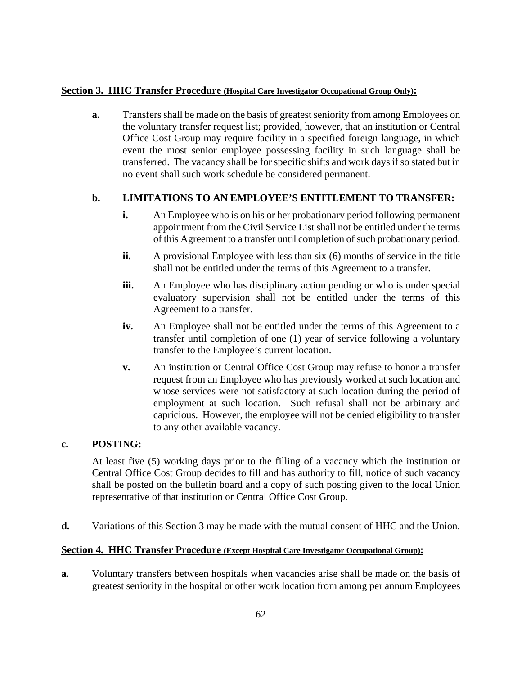#### **Section 3. HHC Transfer Procedure (Hospital Care Investigator Occupational Group Only):**

**a.** Transfers shall be made on the basis of greatest seniority from among Employees on the voluntary transfer request list; provided, however, that an institution or Central Office Cost Group may require facility in a specified foreign language, in which event the most senior employee possessing facility in such language shall be transferred. The vacancy shall be for specific shifts and work days if so stated but in no event shall such work schedule be considered permanent.

## **b. LIMITATIONS TO AN EMPLOYEE'S ENTITLEMENT TO TRANSFER:**

- **i.** An Employee who is on his or her probationary period following permanent appointment from the Civil Service List shall not be entitled under the terms of this Agreement to a transfer until completion of such probationary period.
- **ii.** A provisional Employee with less than six (6) months of service in the title shall not be entitled under the terms of this Agreement to a transfer.
- **iii.** An Employee who has disciplinary action pending or who is under special evaluatory supervision shall not be entitled under the terms of this Agreement to a transfer.
- **iv.** An Employee shall not be entitled under the terms of this Agreement to a transfer until completion of one (1) year of service following a voluntary transfer to the Employee's current location.
- **v.** An institution or Central Office Cost Group may refuse to honor a transfer request from an Employee who has previously worked at such location and whose services were not satisfactory at such location during the period of employment at such location. Such refusal shall not be arbitrary and capricious. However, the employee will not be denied eligibility to transfer to any other available vacancy.

## **c. POSTING:**

At least five (5) working days prior to the filling of a vacancy which the institution or Central Office Cost Group decides to fill and has authority to fill, notice of such vacancy shall be posted on the bulletin board and a copy of such posting given to the local Union representative of that institution or Central Office Cost Group.

**d.** Variations of this Section 3 may be made with the mutual consent of HHC and the Union.

## **Section 4. HHC Transfer Procedure (Except Hospital Care Investigator Occupational Group):**

**a.** Voluntary transfers between hospitals when vacancies arise shall be made on the basis of greatest seniority in the hospital or other work location from among per annum Employees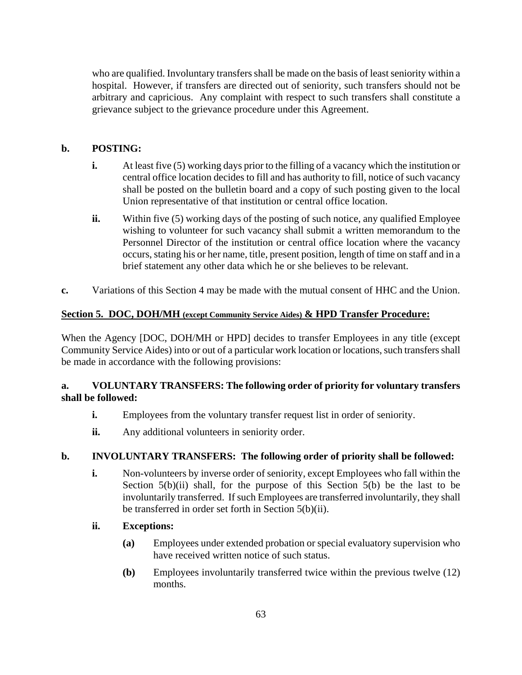who are qualified. Involuntary transfers shall be made on the basis of least seniority within a hospital. However, if transfers are directed out of seniority, such transfers should not be arbitrary and capricious. Any complaint with respect to such transfers shall constitute a grievance subject to the grievance procedure under this Agreement.

## **b. POSTING:**

- **i.** At least five (5) working days prior to the filling of a vacancy which the institution or central office location decides to fill and has authority to fill, notice of such vacancy shall be posted on the bulletin board and a copy of such posting given to the local Union representative of that institution or central office location.
- **ii.** Within five (5) working days of the posting of such notice, any qualified Employee wishing to volunteer for such vacancy shall submit a written memorandum to the Personnel Director of the institution or central office location where the vacancy occurs, stating his or her name, title, present position, length of time on staff and in a brief statement any other data which he or she believes to be relevant.
- **c.** Variations of this Section 4 may be made with the mutual consent of HHC and the Union.

## **Section 5. DOC, DOH/MH (except Community Service Aides) & HPD Transfer Procedure:**

When the Agency [DOC, DOH/MH or HPD] decides to transfer Employees in any title (except Community Service Aides) into or out of a particular work location or locations, such transfers shall be made in accordance with the following provisions:

## **a. VOLUNTARY TRANSFERS: The following order of priority for voluntary transfers shall be followed:**

- **i.** Employees from the voluntary transfer request list in order of seniority.
- **ii.** Any additional volunteers in seniority order.

## **b. INVOLUNTARY TRANSFERS: The following order of priority shall be followed:**

**i.** Non-volunteers by inverse order of seniority, except Employees who fall within the Section 5(b)(ii) shall, for the purpose of this Section 5(b) be the last to be involuntarily transferred. If such Employees are transferred involuntarily, they shall be transferred in order set forth in Section 5(b)(ii).

## **ii. Exceptions:**

- **(a)** Employees under extended probation or special evaluatory supervision who have received written notice of such status.
- **(b)** Employees involuntarily transferred twice within the previous twelve (12) months.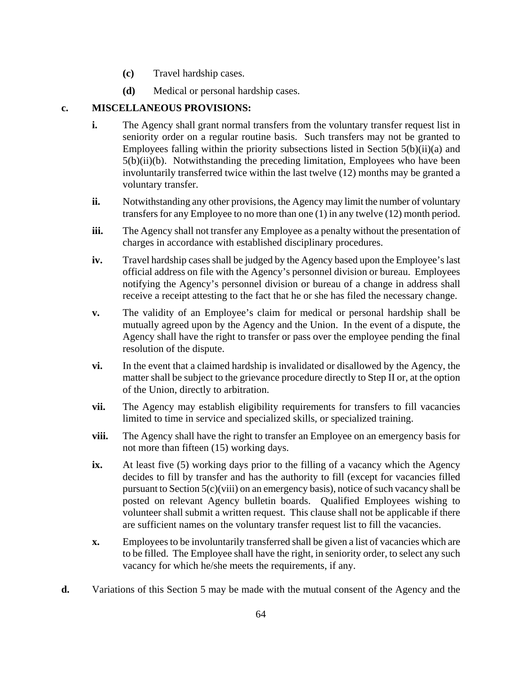- **(c)** Travel hardship cases.
- **(d)** Medical or personal hardship cases.

## **c. MISCELLANEOUS PROVISIONS:**

- **i.** The Agency shall grant normal transfers from the voluntary transfer request list in seniority order on a regular routine basis. Such transfers may not be granted to Employees falling within the priority subsections listed in Section 5(b)(ii)(a) and 5(b)(ii)(b). Notwithstanding the preceding limitation, Employees who have been involuntarily transferred twice within the last twelve (12) months may be granted a voluntary transfer.
- **ii.** Notwithstanding any other provisions, the Agency may limit the number of voluntary transfers for any Employee to no more than one (1) in any twelve (12) month period.
- **iii.** The Agency shall not transfer any Employee as a penalty without the presentation of charges in accordance with established disciplinary procedures.
- **iv.** Travel hardship cases shall be judged by the Agency based upon the Employee's last official address on file with the Agency's personnel division or bureau. Employees notifying the Agency's personnel division or bureau of a change in address shall receive a receipt attesting to the fact that he or she has filed the necessary change.
- **v.** The validity of an Employee's claim for medical or personal hardship shall be mutually agreed upon by the Agency and the Union. In the event of a dispute, the Agency shall have the right to transfer or pass over the employee pending the final resolution of the dispute.
- **vi.** In the event that a claimed hardship is invalidated or disallowed by the Agency, the matter shall be subject to the grievance procedure directly to Step II or, at the option of the Union, directly to arbitration.
- **vii.** The Agency may establish eligibility requirements for transfers to fill vacancies limited to time in service and specialized skills, or specialized training.
- **viii.** The Agency shall have the right to transfer an Employee on an emergency basis for not more than fifteen (15) working days.
- **ix.** At least five (5) working days prior to the filling of a vacancy which the Agency decides to fill by transfer and has the authority to fill (except for vacancies filled pursuant to Section 5(c)(viii) on an emergency basis), notice of such vacancy shall be posted on relevant Agency bulletin boards. Qualified Employees wishing to volunteer shall submit a written request. This clause shall not be applicable if there are sufficient names on the voluntary transfer request list to fill the vacancies.
- **x.** Employees to be involuntarily transferred shall be given a list of vacancies which are to be filled. The Employee shall have the right, in seniority order, to select any such vacancy for which he/she meets the requirements, if any.
- **d.** Variations of this Section 5 may be made with the mutual consent of the Agency and the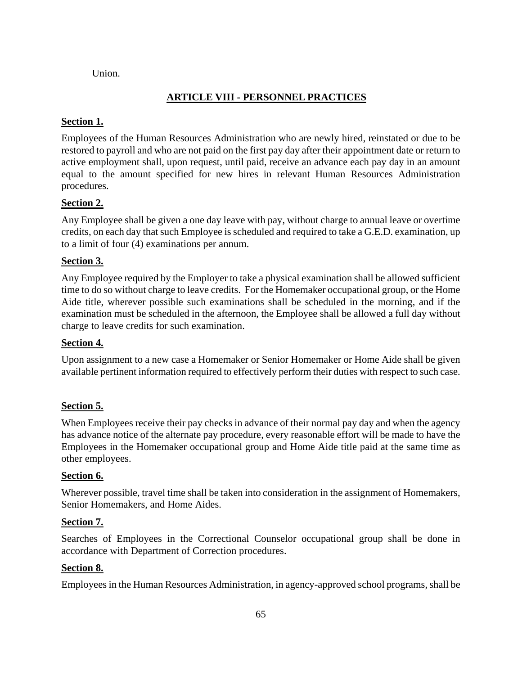Union.

## **ARTICLE VIII - PERSONNEL PRACTICES**

## **Section 1.**

Employees of the Human Resources Administration who are newly hired, reinstated or due to be restored to payroll and who are not paid on the first pay day after their appointment date or return to active employment shall, upon request, until paid, receive an advance each pay day in an amount equal to the amount specified for new hires in relevant Human Resources Administration procedures.

## **Section 2.**

Any Employee shall be given a one day leave with pay, without charge to annual leave or overtime credits, on each day that such Employee is scheduled and required to take a G.E.D. examination, up to a limit of four (4) examinations per annum.

## **Section 3.**

Any Employee required by the Employer to take a physical examination shall be allowed sufficient time to do so without charge to leave credits. For the Homemaker occupational group, or the Home Aide title, wherever possible such examinations shall be scheduled in the morning, and if the examination must be scheduled in the afternoon, the Employee shall be allowed a full day without charge to leave credits for such examination.

## **Section 4.**

Upon assignment to a new case a Homemaker or Senior Homemaker or Home Aide shall be given available pertinent information required to effectively perform their duties with respect to such case.

## **Section 5.**

When Employees receive their pay checks in advance of their normal pay day and when the agency has advance notice of the alternate pay procedure, every reasonable effort will be made to have the Employees in the Homemaker occupational group and Home Aide title paid at the same time as other employees.

## **Section 6.**

Wherever possible, travel time shall be taken into consideration in the assignment of Homemakers, Senior Homemakers, and Home Aides.

## **Section 7.**

Searches of Employees in the Correctional Counselor occupational group shall be done in accordance with Department of Correction procedures.

## **Section 8.**

Employees in the Human Resources Administration, in agency-approved school programs, shall be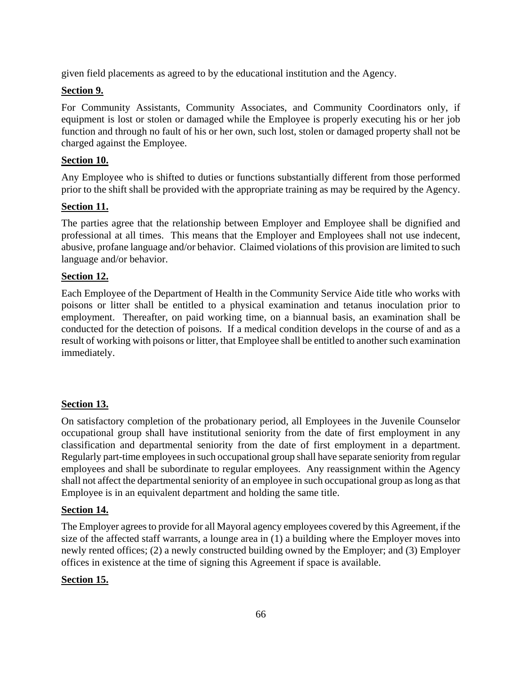given field placements as agreed to by the educational institution and the Agency.

## **Section 9.**

For Community Assistants, Community Associates, and Community Coordinators only, if equipment is lost or stolen or damaged while the Employee is properly executing his or her job function and through no fault of his or her own, such lost, stolen or damaged property shall not be charged against the Employee.

## **Section 10.**

Any Employee who is shifted to duties or functions substantially different from those performed prior to the shift shall be provided with the appropriate training as may be required by the Agency.

## **Section 11.**

The parties agree that the relationship between Employer and Employee shall be dignified and professional at all times. This means that the Employer and Employees shall not use indecent, abusive, profane language and/or behavior. Claimed violations of this provision are limited to such language and/or behavior.

## **Section 12.**

Each Employee of the Department of Health in the Community Service Aide title who works with poisons or litter shall be entitled to a physical examination and tetanus inoculation prior to employment. Thereafter, on paid working time, on a biannual basis, an examination shall be conducted for the detection of poisons. If a medical condition develops in the course of and as a result of working with poisons or litter, that Employee shall be entitled to another such examination immediately.

## **Section 13.**

On satisfactory completion of the probationary period, all Employees in the Juvenile Counselor occupational group shall have institutional seniority from the date of first employment in any classification and departmental seniority from the date of first employment in a department. Regularly part-time employees in such occupational group shall have separate seniority from regular employees and shall be subordinate to regular employees. Any reassignment within the Agency shall not affect the departmental seniority of an employee in such occupational group as long as that Employee is in an equivalent department and holding the same title.

## **Section 14.**

The Employer agrees to provide for all Mayoral agency employees covered by this Agreement, if the size of the affected staff warrants, a lounge area in (1) a building where the Employer moves into newly rented offices; (2) a newly constructed building owned by the Employer; and (3) Employer offices in existence at the time of signing this Agreement if space is available.

## **Section 15.**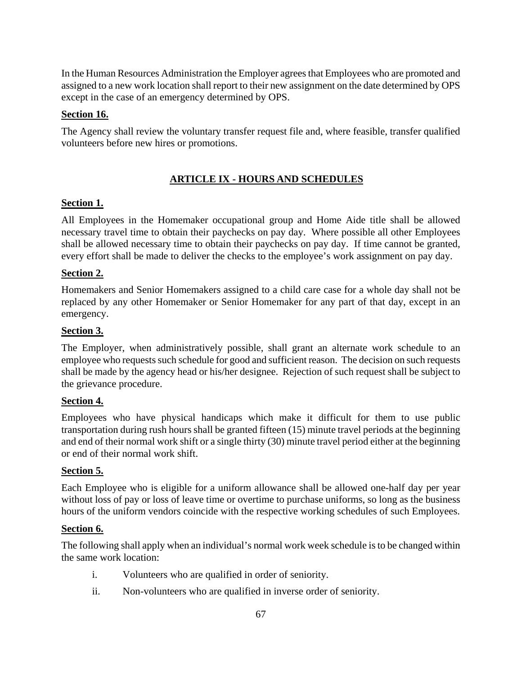In the Human Resources Administration the Employer agrees that Employees who are promoted and assigned to a new work location shall report to their new assignment on the date determined by OPS except in the case of an emergency determined by OPS.

## **Section 16.**

The Agency shall review the voluntary transfer request file and, where feasible, transfer qualified volunteers before new hires or promotions.

## **ARTICLE IX - HOURS AND SCHEDULES**

## **Section 1.**

All Employees in the Homemaker occupational group and Home Aide title shall be allowed necessary travel time to obtain their paychecks on pay day. Where possible all other Employees shall be allowed necessary time to obtain their paychecks on pay day. If time cannot be granted, every effort shall be made to deliver the checks to the employee's work assignment on pay day.

## **Section 2.**

Homemakers and Senior Homemakers assigned to a child care case for a whole day shall not be replaced by any other Homemaker or Senior Homemaker for any part of that day, except in an emergency.

## **Section 3.**

The Employer, when administratively possible, shall grant an alternate work schedule to an employee who requests such schedule for good and sufficient reason. The decision on such requests shall be made by the agency head or his/her designee. Rejection of such request shall be subject to the grievance procedure.

## **Section 4.**

Employees who have physical handicaps which make it difficult for them to use public transportation during rush hours shall be granted fifteen (15) minute travel periods at the beginning and end of their normal work shift or a single thirty (30) minute travel period either at the beginning or end of their normal work shift.

## **Section 5.**

Each Employee who is eligible for a uniform allowance shall be allowed one-half day per year without loss of pay or loss of leave time or overtime to purchase uniforms, so long as the business hours of the uniform vendors coincide with the respective working schedules of such Employees.

## **Section 6.**

The following shall apply when an individual's normal work week schedule is to be changed within the same work location:

- i. Volunteers who are qualified in order of seniority.
- ii. Non-volunteers who are qualified in inverse order of seniority.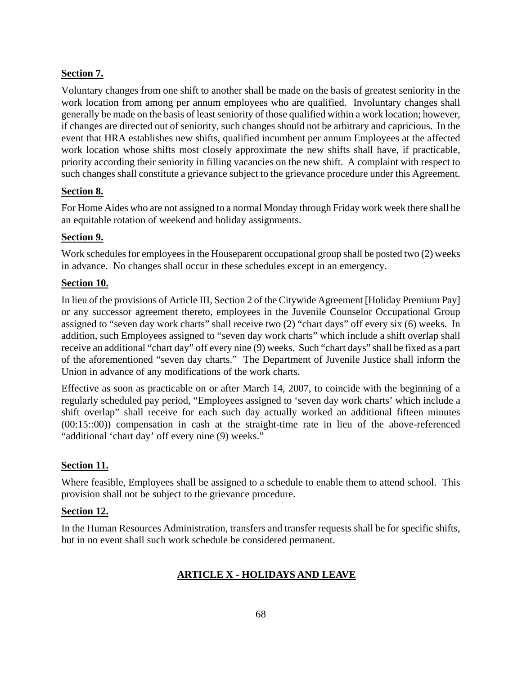## **Section 7.**

Voluntary changes from one shift to another shall be made on the basis of greatest seniority in the work location from among per annum employees who are qualified. Involuntary changes shall generally be made on the basis of least seniority of those qualified within a work location; however, if changes are directed out of seniority, such changes should not be arbitrary and capricious. In the event that HRA establishes new shifts, qualified incumbent per annum Employees at the affected work location whose shifts most closely approximate the new shifts shall have, if practicable, priority according their seniority in filling vacancies on the new shift. A complaint with respect to such changes shall constitute a grievance subject to the grievance procedure under this Agreement.

## **Section 8.**

For Home Aides who are not assigned to a normal Monday through Friday work week there shall be an equitable rotation of weekend and holiday assignments.

## **Section 9.**

Work schedules for employees in the Houseparent occupational group shall be posted two (2) weeks in advance. No changes shall occur in these schedules except in an emergency.

## **Section 10.**

In lieu of the provisions of Article III, Section 2 of the Citywide Agreement [Holiday Premium Pay] or any successor agreement thereto, employees in the Juvenile Counselor Occupational Group assigned to "seven day work charts" shall receive two (2) "chart days" off every six (6) weeks. In addition, such Employees assigned to "seven day work charts" which include a shift overlap shall receive an additional "chart day" off every nine (9) weeks. Such "chart days" shall be fixed as a part of the aforementioned "seven day charts." The Department of Juvenile Justice shall inform the Union in advance of any modifications of the work charts.

Effective as soon as practicable on or after March 14, 2007, to coincide with the beginning of a regularly scheduled pay period, "Employees assigned to 'seven day work charts' which include a shift overlap" shall receive for each such day actually worked an additional fifteen minutes (00:15::00)) compensation in cash at the straight-time rate in lieu of the above-referenced "additional 'chart day' off every nine (9) weeks."

## **Section 11.**

Where feasible, Employees shall be assigned to a schedule to enable them to attend school. This provision shall not be subject to the grievance procedure.

## **Section 12.**

In the Human Resources Administration, transfers and transfer requests shall be for specific shifts, but in no event shall such work schedule be considered permanent.

# **ARTICLE X - HOLIDAYS AND LEAVE**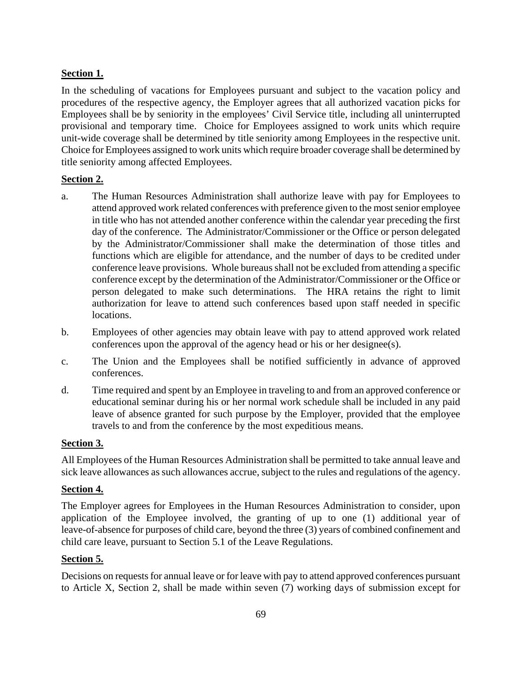## **Section 1.**

In the scheduling of vacations for Employees pursuant and subject to the vacation policy and procedures of the respective agency, the Employer agrees that all authorized vacation picks for Employees shall be by seniority in the employees' Civil Service title, including all uninterrupted provisional and temporary time. Choice for Employees assigned to work units which require unit-wide coverage shall be determined by title seniority among Employees in the respective unit. Choice for Employees assigned to work units which require broader coverage shall be determined by title seniority among affected Employees.

## **Section 2.**

- a. The Human Resources Administration shall authorize leave with pay for Employees to attend approved work related conferences with preference given to the most senior employee in title who has not attended another conference within the calendar year preceding the first day of the conference. The Administrator/Commissioner or the Office or person delegated by the Administrator/Commissioner shall make the determination of those titles and functions which are eligible for attendance, and the number of days to be credited under conference leave provisions. Whole bureaus shall not be excluded from attending a specific conference except by the determination of the Administrator/Commissioner or the Office or person delegated to make such determinations. The HRA retains the right to limit authorization for leave to attend such conferences based upon staff needed in specific locations.
- b. Employees of other agencies may obtain leave with pay to attend approved work related conferences upon the approval of the agency head or his or her designee(s).
- c. The Union and the Employees shall be notified sufficiently in advance of approved conferences.
- d. Time required and spent by an Employee in traveling to and from an approved conference or educational seminar during his or her normal work schedule shall be included in any paid leave of absence granted for such purpose by the Employer, provided that the employee travels to and from the conference by the most expeditious means.

## **Section 3.**

All Employees of the Human Resources Administration shall be permitted to take annual leave and sick leave allowances as such allowances accrue, subject to the rules and regulations of the agency.

## **Section 4.**

The Employer agrees for Employees in the Human Resources Administration to consider, upon application of the Employee involved, the granting of up to one (1) additional year of leave-of-absence for purposes of child care, beyond the three (3) years of combined confinement and child care leave, pursuant to Section 5.1 of the Leave Regulations.

## **Section 5.**

Decisions on requests for annual leave or for leave with pay to attend approved conferences pursuant to Article X, Section 2, shall be made within seven (7) working days of submission except for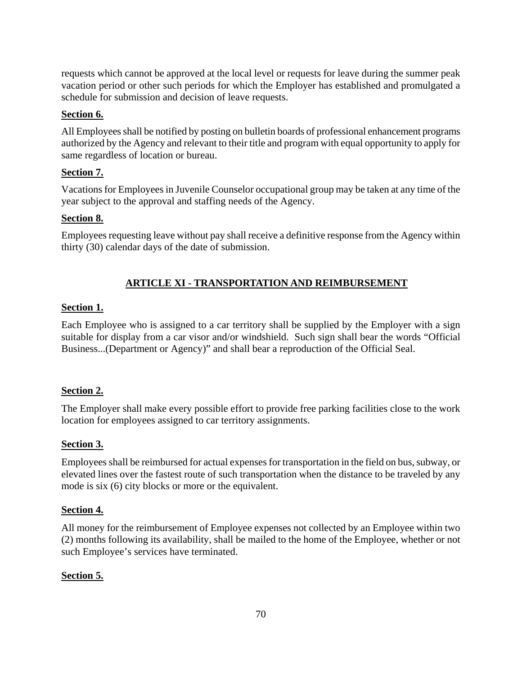requests which cannot be approved at the local level or requests for leave during the summer peak vacation period or other such periods for which the Employer has established and promulgated a schedule for submission and decision of leave requests.

## **Section 6.**

All Employees shall be notified by posting on bulletin boards of professional enhancement programs authorized by the Agency and relevant to their title and program with equal opportunity to apply for same regardless of location or bureau.

## **Section 7.**

Vacations for Employees in Juvenile Counselor occupational group may be taken at any time of the year subject to the approval and staffing needs of the Agency.

## **Section 8.**

Employees requesting leave without pay shall receive a definitive response from the Agency within thirty (30) calendar days of the date of submission.

## **ARTICLE XI - TRANSPORTATION AND REIMBURSEMENT**

## **Section 1.**

Each Employee who is assigned to a car territory shall be supplied by the Employer with a sign suitable for display from a car visor and/or windshield. Such sign shall bear the words "Official Business...(Department or Agency)" and shall bear a reproduction of the Official Seal.

## **Section 2.**

The Employer shall make every possible effort to provide free parking facilities close to the work location for employees assigned to car territory assignments.

## **Section 3.**

Employees shall be reimbursed for actual expenses for transportation in the field on bus, subway, or elevated lines over the fastest route of such transportation when the distance to be traveled by any mode is six (6) city blocks or more or the equivalent.

## **Section 4.**

All money for the reimbursement of Employee expenses not collected by an Employee within two (2) months following its availability, shall be mailed to the home of the Employee, whether or not such Employee's services have terminated.

## **Section 5.**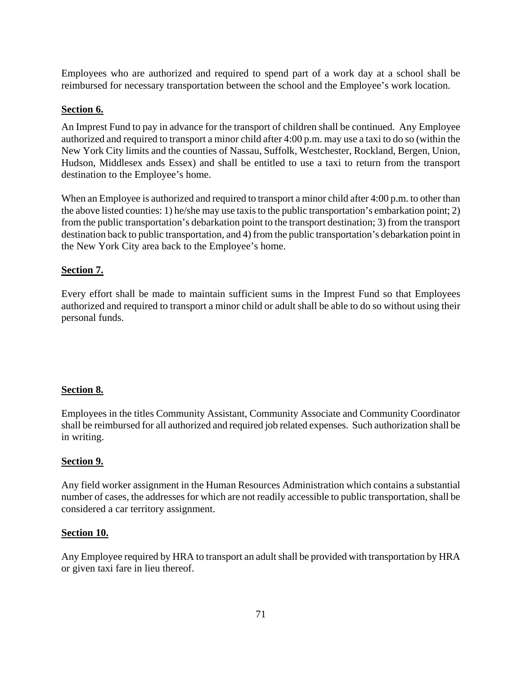Employees who are authorized and required to spend part of a work day at a school shall be reimbursed for necessary transportation between the school and the Employee's work location.

## **Section 6.**

An Imprest Fund to pay in advance for the transport of children shall be continued. Any Employee authorized and required to transport a minor child after 4:00 p.m. may use a taxi to do so (within the New York City limits and the counties of Nassau, Suffolk, Westchester, Rockland, Bergen, Union, Hudson, Middlesex ands Essex) and shall be entitled to use a taxi to return from the transport destination to the Employee's home.

When an Employee is authorized and required to transport a minor child after 4:00 p.m. to other than the above listed counties: 1) he/she may use taxis to the public transportation's embarkation point; 2) from the public transportation's debarkation point to the transport destination; 3) from the transport destination back to public transportation, and 4) from the public transportation's debarkation point in the New York City area back to the Employee's home.

## **Section 7.**

Every effort shall be made to maintain sufficient sums in the Imprest Fund so that Employees authorized and required to transport a minor child or adult shall be able to do so without using their personal funds.

## **Section 8.**

Employees in the titles Community Assistant, Community Associate and Community Coordinator shall be reimbursed for all authorized and required job related expenses. Such authorization shall be in writing.

## **Section 9.**

Any field worker assignment in the Human Resources Administration which contains a substantial number of cases, the addresses for which are not readily accessible to public transportation, shall be considered a car territory assignment.

## **Section 10.**

Any Employee required by HRA to transport an adult shall be provided with transportation by HRA or given taxi fare in lieu thereof.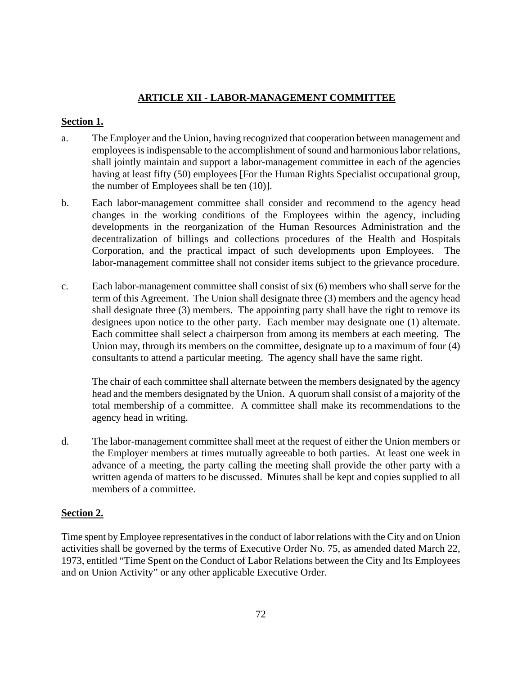## **ARTICLE XII - LABOR-MANAGEMENT COMMITTEE**

#### **Section 1.**

- a. The Employer and the Union, having recognized that cooperation between management and employees is indispensable to the accomplishment of sound and harmonious labor relations, shall jointly maintain and support a labor-management committee in each of the agencies having at least fifty (50) employees [For the Human Rights Specialist occupational group, the number of Employees shall be ten (10)].
- b. Each labor-management committee shall consider and recommend to the agency head changes in the working conditions of the Employees within the agency, including developments in the reorganization of the Human Resources Administration and the decentralization of billings and collections procedures of the Health and Hospitals Corporation, and the practical impact of such developments upon Employees. The labor-management committee shall not consider items subject to the grievance procedure.
- c. Each labor-management committee shall consist of six (6) members who shall serve for the term of this Agreement. The Union shall designate three (3) members and the agency head shall designate three (3) members. The appointing party shall have the right to remove its designees upon notice to the other party. Each member may designate one (1) alternate. Each committee shall select a chairperson from among its members at each meeting. The Union may, through its members on the committee, designate up to a maximum of four (4) consultants to attend a particular meeting. The agency shall have the same right.

The chair of each committee shall alternate between the members designated by the agency head and the members designated by the Union. A quorum shall consist of a majority of the total membership of a committee. A committee shall make its recommendations to the agency head in writing.

d. The labor-management committee shall meet at the request of either the Union members or the Employer members at times mutually agreeable to both parties. At least one week in advance of a meeting, the party calling the meeting shall provide the other party with a written agenda of matters to be discussed. Minutes shall be kept and copies supplied to all members of a committee.

## **Section 2.**

Time spent by Employee representatives in the conduct of labor relations with the City and on Union activities shall be governed by the terms of Executive Order No. 75, as amended dated March 22, 1973, entitled "Time Spent on the Conduct of Labor Relations between the City and Its Employees and on Union Activity" or any other applicable Executive Order.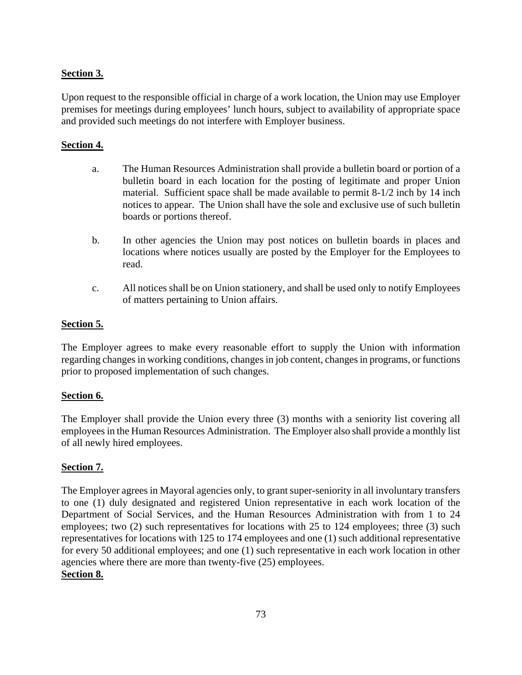# **Section 3.**

Upon request to the responsible official in charge of a work location, the Union may use Employer premises for meetings during employees' lunch hours, subject to availability of appropriate space and provided such meetings do not interfere with Employer business.

# **Section 4.**

- a. The Human Resources Administration shall provide a bulletin board or portion of a bulletin board in each location for the posting of legitimate and proper Union material. Sufficient space shall be made available to permit 8-1/2 inch by 14 inch notices to appear. The Union shall have the sole and exclusive use of such bulletin boards or portions thereof.
- b. In other agencies the Union may post notices on bulletin boards in places and locations where notices usually are posted by the Employer for the Employees to read.
- c. All notices shall be on Union stationery, and shall be used only to notify Employees of matters pertaining to Union affairs.

#### **Section 5.**

The Employer agrees to make every reasonable effort to supply the Union with information regarding changes in working conditions, changes in job content, changes in programs, or functions prior to proposed implementation of such changes.

# **Section 6.**

The Employer shall provide the Union every three (3) months with a seniority list covering all employees in the Human Resources Administration. The Employer also shall provide a monthly list of all newly hired employees.

#### **Section 7.**

The Employer agrees in Mayoral agencies only, to grant super-seniority in all involuntary transfers to one (1) duly designated and registered Union representative in each work location of the Department of Social Services, and the Human Resources Administration with from 1 to 24 employees; two (2) such representatives for locations with 25 to 124 employees; three (3) such representatives for locations with 125 to 174 employees and one (1) such additional representative for every 50 additional employees; and one (1) such representative in each work location in other agencies where there are more than twenty-five (25) employees.

# **Section 8.**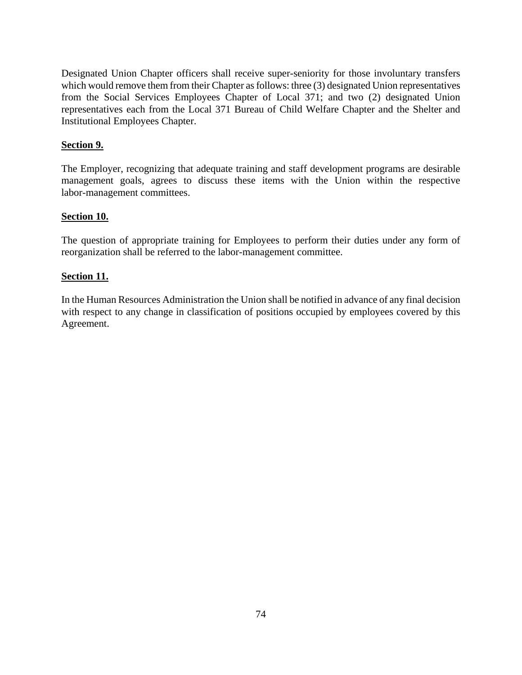Designated Union Chapter officers shall receive super-seniority for those involuntary transfers which would remove them from their Chapter as follows: three (3) designated Union representatives from the Social Services Employees Chapter of Local 371; and two (2) designated Union representatives each from the Local 371 Bureau of Child Welfare Chapter and the Shelter and Institutional Employees Chapter.

# **Section 9.**

The Employer, recognizing that adequate training and staff development programs are desirable management goals, agrees to discuss these items with the Union within the respective labor-management committees.

#### **Section 10.**

The question of appropriate training for Employees to perform their duties under any form of reorganization shall be referred to the labor-management committee.

#### **Section 11.**

In the Human Resources Administration the Union shall be notified in advance of any final decision with respect to any change in classification of positions occupied by employees covered by this Agreement.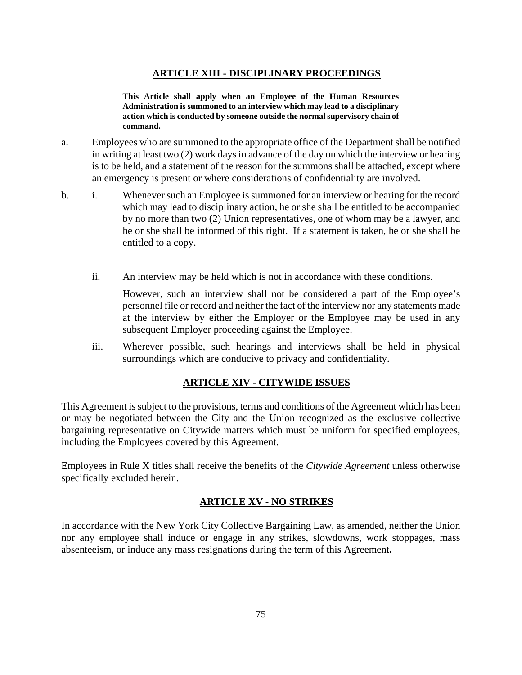#### **ARTICLE XIII - DISCIPLINARY PROCEEDINGS**

**This Article shall apply when an Employee of the Human Resources Administration is summoned to an interview which may lead to a disciplinary action which is conducted by someone outside the normal supervisory chain of command.**

- a. Employees who are summoned to the appropriate office of the Department shall be notified in writing at least two (2) work days in advance of the day on which the interview or hearing is to be held, and a statement of the reason for the summons shall be attached, except where an emergency is present or where considerations of confidentiality are involved.
- b. i. Whenever such an Employee is summoned for an interview or hearing for the record which may lead to disciplinary action, he or she shall be entitled to be accompanied by no more than two (2) Union representatives, one of whom may be a lawyer, and he or she shall be informed of this right. If a statement is taken, he or she shall be entitled to a copy.
	- ii. An interview may be held which is not in accordance with these conditions.

 However, such an interview shall not be considered a part of the Employee's personnel file or record and neither the fact of the interview nor any statements made at the interview by either the Employer or the Employee may be used in any subsequent Employer proceeding against the Employee.

iii. Wherever possible, such hearings and interviews shall be held in physical surroundings which are conducive to privacy and confidentiality.

#### **ARTICLE XIV - CITYWIDE ISSUES**

This Agreement is subject to the provisions, terms and conditions of the Agreement which has been or may be negotiated between the City and the Union recognized as the exclusive collective bargaining representative on Citywide matters which must be uniform for specified employees, including the Employees covered by this Agreement.

Employees in Rule X titles shall receive the benefits of the *Citywide Agreement* unless otherwise specifically excluded herein.

#### **ARTICLE XV - NO STRIKES**

In accordance with the New York City Collective Bargaining Law, as amended, neither the Union nor any employee shall induce or engage in any strikes, slowdowns, work stoppages, mass absenteeism, or induce any mass resignations during the term of this Agreement**.**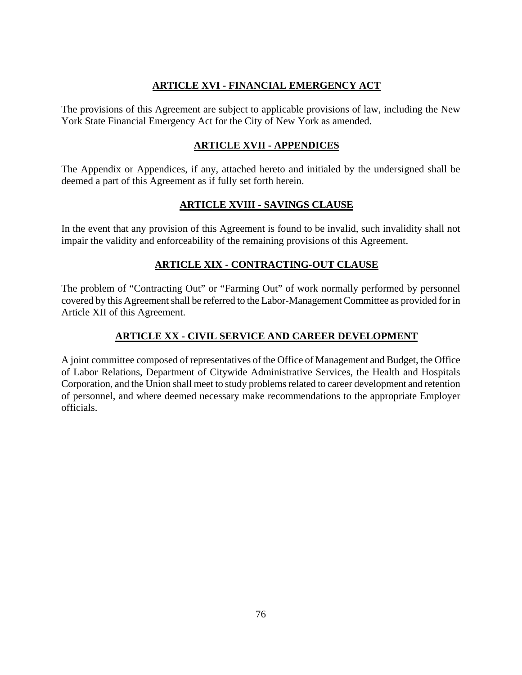#### **ARTICLE XVI - FINANCIAL EMERGENCY ACT**

The provisions of this Agreement are subject to applicable provisions of law, including the New York State Financial Emergency Act for the City of New York as amended.

# **ARTICLE XVII - APPENDICES**

The Appendix or Appendices, if any, attached hereto and initialed by the undersigned shall be deemed a part of this Agreement as if fully set forth herein.

#### **ARTICLE XVIII - SAVINGS CLAUSE**

In the event that any provision of this Agreement is found to be invalid, such invalidity shall not impair the validity and enforceability of the remaining provisions of this Agreement.

#### **ARTICLE XIX - CONTRACTING-OUT CLAUSE**

The problem of "Contracting Out" or "Farming Out" of work normally performed by personnel covered by this Agreement shall be referred to the Labor-Management Committee as provided for in Article XII of this Agreement.

# **ARTICLE XX - CIVIL SERVICE AND CAREER DEVELOPMENT**

A joint committee composed of representatives of the Office of Management and Budget, the Office of Labor Relations, Department of Citywide Administrative Services, the Health and Hospitals Corporation, and the Union shall meet to study problems related to career development and retention of personnel, and where deemed necessary make recommendations to the appropriate Employer officials.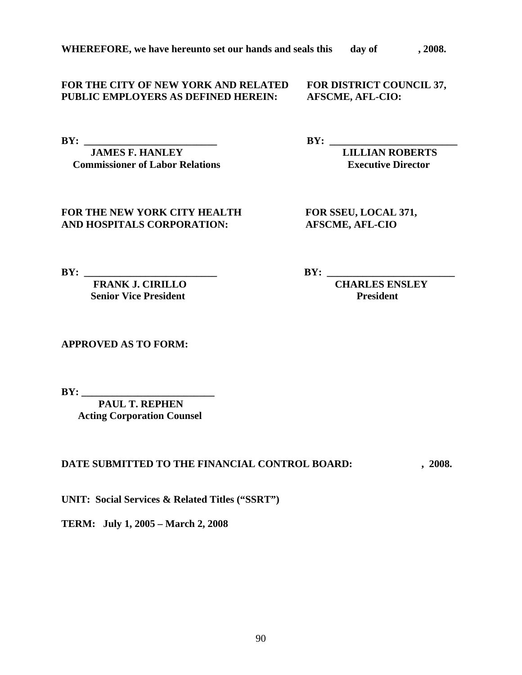#### FOR THE CITY OF NEW YORK AND RELATED FOR DISTRICT COUNCIL 37, **PUBLIC EMPLOYERS AS DEFINED HEREIN: AFSCME, AFL-CIO:**

*IAMES F. HANLEY* LILLIAN ROBERTS **Commissioner of Labor Relations Executive Director** 

**BY: \_\_\_\_\_\_\_\_\_\_\_\_\_\_\_\_\_\_\_\_\_\_\_\_\_\_ BY: \_\_\_\_\_\_\_\_\_\_\_\_\_\_\_\_\_\_\_\_\_\_\_\_\_** 

#### FOR THE NEW YORK CITY HEALTH FOR SSEU, LOCAL 371, **AND HOSPITALS CORPORATION: AFSCME, AFL-CIO**

 $BY:$ 

**Senior Vice President President President** 

**FRANK J. CIRILLO CHARLES ENSLEY** 

**APPROVED AS TO FORM:** 

 $BY:$ 

 **PAUL T. REPHEN Acting Corporation Counsel** 

# **DATE SUBMITTED TO THE FINANCIAL CONTROL BOARD: , 2008.**

**UNIT: Social Services & Related Titles ("SSRT")** 

**TERM: July 1, 2005 – March 2, 2008**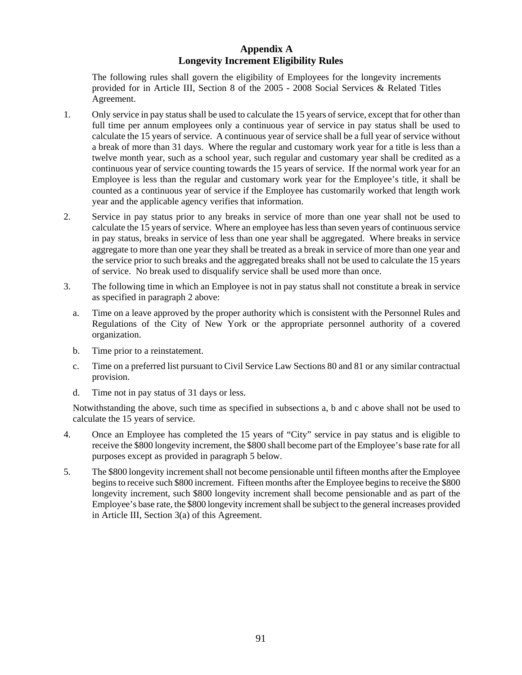# **Appendix A Longevity Increment Eligibility Rules**

The following rules shall govern the eligibility of Employees for the longevity increments provided for in Article III, Section 8 of the 2005 - 2008 Social Services & Related Titles Agreement.

- 1. Only service in pay status shall be used to calculate the 15 years of service, except that for other than full time per annum employees only a continuous year of service in pay status shall be used to calculate the 15 years of service. A continuous year of service shall be a full year of service without a break of more than 31 days. Where the regular and customary work year for a title is less than a twelve month year, such as a school year, such regular and customary year shall be credited as a continuous year of service counting towards the 15 years of service. If the normal work year for an Employee is less than the regular and customary work year for the Employee's title, it shall be counted as a continuous year of service if the Employee has customarily worked that length work year and the applicable agency verifies that information.
- 2. Service in pay status prior to any breaks in service of more than one year shall not be used to calculate the 15 years of service. Where an employee has less than seven years of continuous service in pay status, breaks in service of less than one year shall be aggregated. Where breaks in service aggregate to more than one year they shall be treated as a break in service of more than one year and the service prior to such breaks and the aggregated breaks shall not be used to calculate the 15 years of service. No break used to disqualify service shall be used more than once.
- 3. The following time in which an Employee is not in pay status shall not constitute a break in service as specified in paragraph 2 above:
	- a. Time on a leave approved by the proper authority which is consistent with the Personnel Rules and Regulations of the City of New York or the appropriate personnel authority of a covered organization.
	- b. Time prior to a reinstatement.
	- c. Time on a preferred list pursuant to Civil Service Law Sections 80 and 81 or any similar contractual provision.
	- d. Time not in pay status of 31 days or less.

Notwithstanding the above, such time as specified in subsections a, b and c above shall not be used to calculate the 15 years of service.

- 4. Once an Employee has completed the 15 years of "City" service in pay status and is eligible to receive the \$800 longevity increment, the \$800 shall become part of the Employee's base rate for all purposes except as provided in paragraph 5 below.
- 5. The \$800 longevity increment shall not become pensionable until fifteen months after the Employee begins to receive such \$800 increment. Fifteen months after the Employee begins to receive the \$800 longevity increment, such \$800 longevity increment shall become pensionable and as part of the Employee's base rate, the \$800 longevity increment shall be subject to the general increases provided in Article III, Section 3(a) of this Agreement.